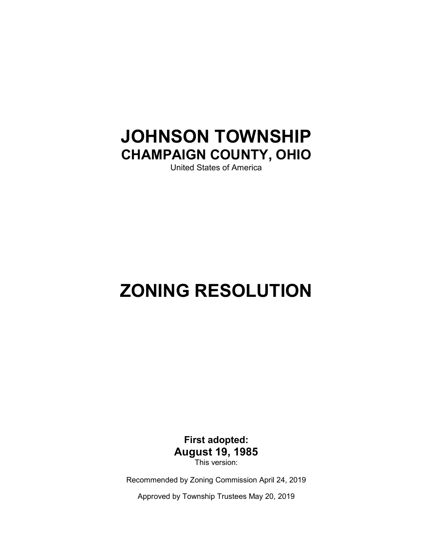# JOHNSON TOWNSHIP CHAMPAIGN COUNTY, OHIO

United States of America

# ZONING RESOLUTION

First adopted: August 19, 1985 This version:

Recommended by Zoning Commission April 24, 2019

Approved by Township Trustees May 20, 2019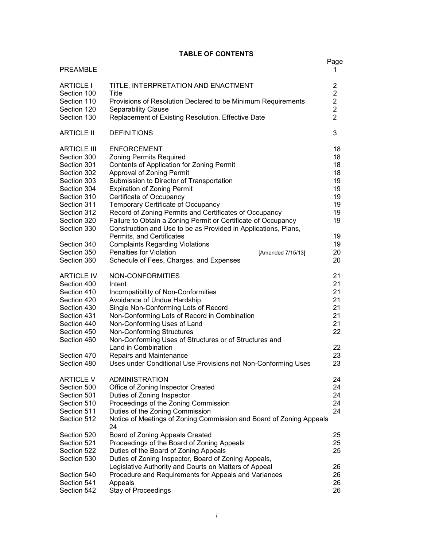#### TABLE OF CONTENTS

| <b>PREAMBLE</b>                 |                                                                                                                         | Page<br>1                        |
|---------------------------------|-------------------------------------------------------------------------------------------------------------------------|----------------------------------|
| <b>ARTICLE I</b><br>Section 100 | TITLE, INTERPRETATION AND ENACTMENT<br>Title                                                                            | $\overline{2}$<br>$\overline{2}$ |
| Section 110                     | Provisions of Resolution Declared to be Minimum Requirements                                                            | $\overline{2}$                   |
| Section 120                     | <b>Separability Clause</b>                                                                                              | $\overline{2}$                   |
| Section 130                     | Replacement of Existing Resolution, Effective Date                                                                      | $\overline{2}$                   |
| <b>ARTICLE II</b>               | <b>DEFINITIONS</b>                                                                                                      | 3                                |
| <b>ARTICLE III</b>              | <b>ENFORCEMENT</b>                                                                                                      | 18                               |
| Section 300                     | <b>Zoning Permits Required</b>                                                                                          | 18                               |
| Section 301                     | Contents of Application for Zoning Permit                                                                               | 18                               |
| Section 302                     | Approval of Zoning Permit                                                                                               | 18                               |
| Section 303                     | Submission to Director of Transportation                                                                                | 19                               |
| Section 304                     | <b>Expiration of Zoning Permit</b>                                                                                      | 19                               |
| Section 310                     | Certificate of Occupancy                                                                                                | 19                               |
| Section 311<br>Section 312      | Temporary Certificate of Occupancy                                                                                      | 19<br>19                         |
| Section 320                     | Record of Zoning Permits and Certificates of Occupancy<br>Failure to Obtain a Zoning Permit or Certificate of Occupancy | 19                               |
| Section 330                     | Construction and Use to be as Provided in Applications, Plans,                                                          |                                  |
|                                 | Permits, and Certificates                                                                                               | 19                               |
| Section 340                     | <b>Complaints Regarding Violations</b>                                                                                  | 19                               |
| Section 350                     | <b>Penalties for Violation</b><br>[Amended 7/15/13]                                                                     | 20                               |
| Section 360                     | Schedule of Fees, Charges, and Expenses                                                                                 | 20                               |
| <b>ARTICLE IV</b>               | NON-CONFORMITIES                                                                                                        | 21                               |
| Section 400                     | Intent                                                                                                                  | 21                               |
| Section 410                     | Incompatibility of Non-Conformities                                                                                     | 21                               |
| Section 420                     | Avoidance of Undue Hardship                                                                                             | 21                               |
| Section 430                     | Single Non-Conforming Lots of Record                                                                                    | 21                               |
| Section 431                     | Non-Conforming Lots of Record in Combination                                                                            | 21                               |
| Section 440                     | Non-Conforming Uses of Land                                                                                             | 21                               |
| Section 450                     | <b>Non-Conforming Structures</b>                                                                                        | 22                               |
| Section 460                     | Non-Conforming Uses of Structures or of Structures and<br>Land in Combination                                           | 22                               |
| Section 470                     | <b>Repairs and Maintenance</b>                                                                                          | 23                               |
| Section 480                     | Uses under Conditional Use Provisions not Non-Conforming Uses                                                           | 23                               |
| <b>ARTICLE V</b>                | ADMINISTRATION                                                                                                          | 24                               |
| Section 500                     | Office of Zoning Inspector Created                                                                                      | 24                               |
| Section 501                     | Duties of Zoning Inspector                                                                                              | 24                               |
| Section 510                     | Proceedings of the Zoning Commission                                                                                    | 24                               |
| Section 511                     | Duties of the Zoning Commission                                                                                         | 24                               |
| Section 512                     | Notice of Meetings of Zoning Commission and Board of Zoning Appeals<br>24                                               |                                  |
| Section 520                     | Board of Zoning Appeals Created                                                                                         | 25                               |
| Section 521                     | Proceedings of the Board of Zoning Appeals                                                                              | 25                               |
| Section 522                     | Duties of the Board of Zoning Appeals                                                                                   | 25                               |
| Section 530                     | Duties of Zoning Inspector, Board of Zoning Appeals,                                                                    |                                  |
|                                 | Legislative Authority and Courts on Matters of Appeal                                                                   | 26                               |
| Section 540                     | Procedure and Requirements for Appeals and Variances                                                                    | 26                               |
| Section 541                     | Appeals                                                                                                                 | 26                               |
| Section 542                     | Stay of Proceedings                                                                                                     | 26                               |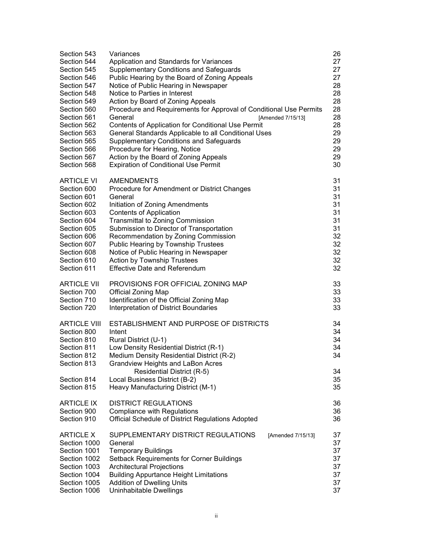| Section 543<br>Section 544<br>Section 545<br>Section 546<br>Section 547<br>Section 548<br>Section 549<br>Section 560<br>Section 561<br>Section 562<br>Section 563<br>Section 565<br>Section 566<br>Section 567<br>Section 568 | Variances<br>Application and Standards for Variances<br><b>Supplementary Conditions and Safeguards</b><br>Public Hearing by the Board of Zoning Appeals<br>Notice of Public Hearing in Newspaper<br>Notice to Parties in Interest<br>Action by Board of Zoning Appeals<br>Procedure and Requirements for Approval of Conditional Use Permits<br>General<br>[Amended 7/15/13]<br>Contents of Application for Conditional Use Permit<br>General Standards Applicable to all Conditional Uses<br><b>Supplementary Conditions and Safeguards</b><br>Procedure for Hearing, Notice<br>Action by the Board of Zoning Appeals<br><b>Expiration of Conditional Use Permit</b> | 26<br>27<br>27<br>27<br>28<br>28<br>28<br>28<br>28<br>28<br>29<br>29<br>29<br>29<br>30 |
|-------------------------------------------------------------------------------------------------------------------------------------------------------------------------------------------------------------------------------|-----------------------------------------------------------------------------------------------------------------------------------------------------------------------------------------------------------------------------------------------------------------------------------------------------------------------------------------------------------------------------------------------------------------------------------------------------------------------------------------------------------------------------------------------------------------------------------------------------------------------------------------------------------------------|----------------------------------------------------------------------------------------|
| <b>ARTICLE VI</b>                                                                                                                                                                                                             | <b>AMENDMENTS</b>                                                                                                                                                                                                                                                                                                                                                                                                                                                                                                                                                                                                                                                     | 31                                                                                     |
| Section 600                                                                                                                                                                                                                   | Procedure for Amendment or District Changes                                                                                                                                                                                                                                                                                                                                                                                                                                                                                                                                                                                                                           | 31                                                                                     |
| Section 601                                                                                                                                                                                                                   | General                                                                                                                                                                                                                                                                                                                                                                                                                                                                                                                                                                                                                                                               | 31                                                                                     |
| Section 602                                                                                                                                                                                                                   | Initiation of Zoning Amendments                                                                                                                                                                                                                                                                                                                                                                                                                                                                                                                                                                                                                                       | 31                                                                                     |
| Section 603                                                                                                                                                                                                                   | <b>Contents of Application</b>                                                                                                                                                                                                                                                                                                                                                                                                                                                                                                                                                                                                                                        | 31                                                                                     |
| Section 604                                                                                                                                                                                                                   | <b>Transmittal to Zoning Commission</b>                                                                                                                                                                                                                                                                                                                                                                                                                                                                                                                                                                                                                               | 31                                                                                     |
| Section 605                                                                                                                                                                                                                   | Submission to Director of Transportation                                                                                                                                                                                                                                                                                                                                                                                                                                                                                                                                                                                                                              | 31                                                                                     |
| Section 606                                                                                                                                                                                                                   | Recommendation by Zoning Commission                                                                                                                                                                                                                                                                                                                                                                                                                                                                                                                                                                                                                                   | 32                                                                                     |
| Section 607                                                                                                                                                                                                                   | Public Hearing by Township Trustees                                                                                                                                                                                                                                                                                                                                                                                                                                                                                                                                                                                                                                   | 32                                                                                     |
| Section 608                                                                                                                                                                                                                   | Notice of Public Hearing in Newspaper                                                                                                                                                                                                                                                                                                                                                                                                                                                                                                                                                                                                                                 | 32                                                                                     |
| Section 610                                                                                                                                                                                                                   | Action by Township Trustees                                                                                                                                                                                                                                                                                                                                                                                                                                                                                                                                                                                                                                           | 32                                                                                     |
| Section 611                                                                                                                                                                                                                   | <b>Effective Date and Referendum</b>                                                                                                                                                                                                                                                                                                                                                                                                                                                                                                                                                                                                                                  | 32                                                                                     |
| <b>ARTICLE VII</b>                                                                                                                                                                                                            | PROVISIONS FOR OFFICIAL ZONING MAP                                                                                                                                                                                                                                                                                                                                                                                                                                                                                                                                                                                                                                    | 33                                                                                     |
| Section 700                                                                                                                                                                                                                   | <b>Official Zoning Map</b>                                                                                                                                                                                                                                                                                                                                                                                                                                                                                                                                                                                                                                            | 33                                                                                     |
| Section 710                                                                                                                                                                                                                   | Identification of the Official Zoning Map                                                                                                                                                                                                                                                                                                                                                                                                                                                                                                                                                                                                                             | 33                                                                                     |
| Section 720                                                                                                                                                                                                                   | Interpretation of District Boundaries                                                                                                                                                                                                                                                                                                                                                                                                                                                                                                                                                                                                                                 | 33                                                                                     |
| <b>ARTICLE VIII</b>                                                                                                                                                                                                           | ESTABLISHMENT AND PURPOSE OF DISTRICTS                                                                                                                                                                                                                                                                                                                                                                                                                                                                                                                                                                                                                                | 34                                                                                     |
| Section 800                                                                                                                                                                                                                   | Intent                                                                                                                                                                                                                                                                                                                                                                                                                                                                                                                                                                                                                                                                | 34                                                                                     |
| Section 810                                                                                                                                                                                                                   | Rural District (U-1)                                                                                                                                                                                                                                                                                                                                                                                                                                                                                                                                                                                                                                                  | 34                                                                                     |
| Section 811                                                                                                                                                                                                                   | Low Density Residential District (R-1)                                                                                                                                                                                                                                                                                                                                                                                                                                                                                                                                                                                                                                | 34                                                                                     |
| Section 812                                                                                                                                                                                                                   | Medium Density Residential District (R-2)                                                                                                                                                                                                                                                                                                                                                                                                                                                                                                                                                                                                                             | 34                                                                                     |
| Section 813                                                                                                                                                                                                                   | <b>Grandview Heights and LaBon Acres</b>                                                                                                                                                                                                                                                                                                                                                                                                                                                                                                                                                                                                                              | 34                                                                                     |
| Section 814                                                                                                                                                                                                                   | Residential District (R-5)                                                                                                                                                                                                                                                                                                                                                                                                                                                                                                                                                                                                                                            | 35                                                                                     |
| Section 815                                                                                                                                                                                                                   | Local Business District (B-2)<br>Heavy Manufacturing District (M-1)                                                                                                                                                                                                                                                                                                                                                                                                                                                                                                                                                                                                   | 35                                                                                     |
| <b>ARTICLE IX</b>                                                                                                                                                                                                             | <b>DISTRICT REGULATIONS</b>                                                                                                                                                                                                                                                                                                                                                                                                                                                                                                                                                                                                                                           | 36                                                                                     |
| Section 900                                                                                                                                                                                                                   | <b>Compliance with Regulations</b>                                                                                                                                                                                                                                                                                                                                                                                                                                                                                                                                                                                                                                    | 36                                                                                     |
| Section 910                                                                                                                                                                                                                   | Official Schedule of District Regulations Adopted                                                                                                                                                                                                                                                                                                                                                                                                                                                                                                                                                                                                                     | 36                                                                                     |
| <b>ARTICLE X</b><br>Section 1000<br>Section 1001<br>Section 1002<br>Section 1003<br>Section 1004<br>Section 1005<br>Section 1006                                                                                              | SUPPLEMENTARY DISTRICT REGULATIONS<br>[Amended 7/15/13]<br>General<br><b>Temporary Buildings</b><br>Setback Requirements for Corner Buildings<br><b>Architectural Projections</b><br><b>Building Appurtance Height Limitations</b><br><b>Addition of Dwelling Units</b><br>Uninhabitable Dwellings                                                                                                                                                                                                                                                                                                                                                                    | 37<br>37<br>37<br>37<br>37<br>37<br>37<br>37                                           |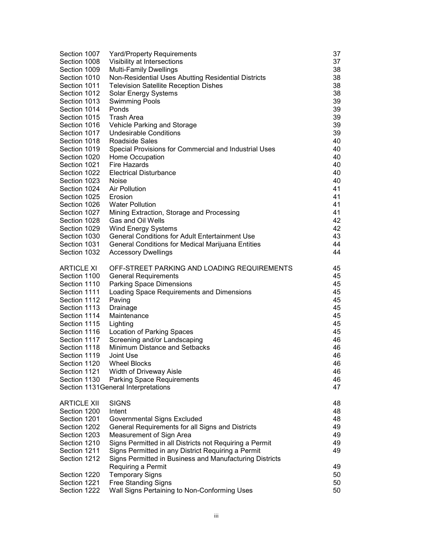| Section 1007       | Yard/Property Requirements                              | 37 |
|--------------------|---------------------------------------------------------|----|
| Section 1008       | Visibility at Intersections                             | 37 |
| Section 1009       | <b>Multi-Family Dwellings</b>                           | 38 |
| Section 1010       | Non-Residential Uses Abutting Residential Districts     | 38 |
| Section 1011       | <b>Television Satellite Reception Dishes</b>            | 38 |
| Section 1012       | Solar Energy Systems                                    | 38 |
| Section 1013       | <b>Swimming Pools</b>                                   | 39 |
| Section 1014       | Ponds                                                   | 39 |
| Section 1015       | Trash Area                                              | 39 |
| Section 1016       | Vehicle Parking and Storage                             | 39 |
| Section 1017       | <b>Undesirable Conditions</b>                           | 39 |
| Section 1018       | Roadside Sales                                          | 40 |
| Section 1019       | Special Provisions for Commercial and Industrial Uses   | 40 |
| Section 1020       | Home Occupation                                         | 40 |
| Section 1021       | Fire Hazards                                            | 40 |
| Section 1022       | <b>Electrical Disturbance</b>                           | 40 |
| Section 1023       | Noise                                                   | 40 |
| Section 1024       | <b>Air Pollution</b>                                    | 41 |
| Section 1025       | Erosion                                                 | 41 |
| Section 1026       | <b>Water Pollution</b>                                  | 41 |
| Section 1027       | Mining Extraction, Storage and Processing               | 41 |
| Section 1028       | Gas and Oil Wells                                       | 42 |
| Section 1029       | <b>Wind Energy Systems</b>                              | 42 |
| Section 1030       | <b>General Conditions for Adult Entertainment Use</b>   | 43 |
| Section 1031       | General Conditions for Medical Marijuana Entities       | 44 |
| Section 1032       | <b>Accessory Dwellings</b>                              | 44 |
| <b>ARTICLE XI</b>  | OFF-STREET PARKING AND LOADING REQUIREMENTS             | 45 |
| Section 1100       | <b>General Requirements</b>                             | 45 |
| Section 1110       | <b>Parking Space Dimensions</b>                         | 45 |
| Section 1111       | Loading Space Requirements and Dimensions               | 45 |
| Section 1112       | Paving                                                  | 45 |
| Section 1113       | Drainage                                                | 45 |
| Section 1114       | Maintenance                                             | 45 |
| Section 1115       | Lighting                                                | 45 |
| Section 1116       | <b>Location of Parking Spaces</b>                       | 45 |
| Section 1117       | Screening and/or Landscaping                            | 46 |
| Section 1118       | Minimum Distance and Setbacks                           | 46 |
| Section 1119       | Joint Use                                               | 46 |
| Section 1120       | <b>Wheel Blocks</b>                                     | 46 |
| Section 1121       | Width of Driveway Aisle                                 | 46 |
| Section 1130       | <b>Parking Space Requirements</b>                       | 46 |
|                    | Section 1131 General Interpretations                    | 47 |
| <b>ARTICLE XII</b> | <b>SIGNS</b>                                            | 48 |
| Section 1200       | Intent                                                  | 48 |
| Section 1201       | <b>Governmental Signs Excluded</b>                      | 48 |
| Section 1202       | General Requirements for all Signs and Districts        | 49 |
| Section 1203       | Measurement of Sign Area                                | 49 |
| Section 1210       | Signs Permitted in all Districts not Requiring a Permit | 49 |
| Section 1211       | Signs Permitted in any District Requiring a Permit      | 49 |
| Section 1212       | Signs Permitted in Business and Manufacturing Districts |    |
|                    | Requiring a Permit                                      | 49 |
| Section 1220       | <b>Temporary Signs</b>                                  | 50 |
| Section 1221       | <b>Free Standing Signs</b>                              | 50 |
| Section 1222       | Wall Signs Pertaining to Non-Conforming Uses            | 50 |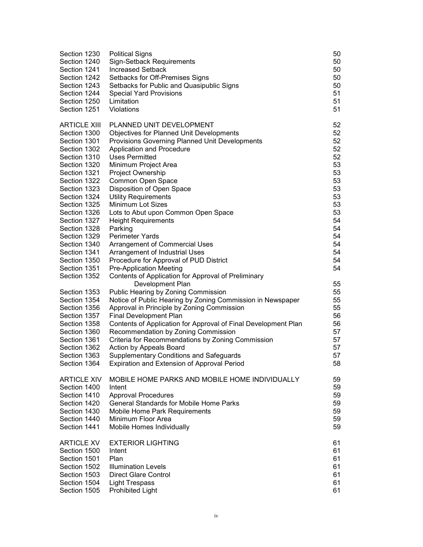| Section 1230<br>Section 1240<br>Section 1241<br>Section 1242<br>Section 1243<br>Section 1244<br>Section 1250<br>Section 1251 | <b>Political Signs</b><br><b>Sign-Setback Requirements</b><br><b>Increased Setback</b><br>Setbacks for Off-Premises Signs<br>Setbacks for Public and Quasipublic Signs<br><b>Special Yard Provisions</b><br>Limitation<br>Violations | 50<br>50<br>50<br>50<br>50<br>51<br>51<br>51 |
|------------------------------------------------------------------------------------------------------------------------------|--------------------------------------------------------------------------------------------------------------------------------------------------------------------------------------------------------------------------------------|----------------------------------------------|
| <b>ARTICLE XIII</b>                                                                                                          | PLANNED UNIT DEVELOPMENT                                                                                                                                                                                                             | 52                                           |
| Section 1300                                                                                                                 | <b>Objectives for Planned Unit Developments</b>                                                                                                                                                                                      | 52                                           |
| Section 1301                                                                                                                 | <b>Provisions Governing Planned Unit Developments</b>                                                                                                                                                                                | 52                                           |
| Section 1302                                                                                                                 | Application and Procedure                                                                                                                                                                                                            | 52                                           |
| Section 1310                                                                                                                 | <b>Uses Permitted</b>                                                                                                                                                                                                                | 52                                           |
| Section 1320                                                                                                                 | Minimum Project Area                                                                                                                                                                                                                 | 53                                           |
| Section 1321                                                                                                                 | Project Ownership                                                                                                                                                                                                                    | 53                                           |
| Section 1322                                                                                                                 | Common Open Space                                                                                                                                                                                                                    | 53                                           |
| Section 1323                                                                                                                 | Disposition of Open Space                                                                                                                                                                                                            | 53                                           |
| Section 1324                                                                                                                 | <b>Utility Requirements</b>                                                                                                                                                                                                          | 53                                           |
| Section 1325                                                                                                                 | <b>Minimum Lot Sizes</b>                                                                                                                                                                                                             | 53                                           |
| Section 1326                                                                                                                 | Lots to Abut upon Common Open Space                                                                                                                                                                                                  | 53                                           |
| Section 1327                                                                                                                 | <b>Height Requirements</b>                                                                                                                                                                                                           | 54                                           |
| Section 1328                                                                                                                 | Parking                                                                                                                                                                                                                              | 54                                           |
| Section 1329                                                                                                                 | <b>Perimeter Yards</b>                                                                                                                                                                                                               | 54                                           |
| Section 1340                                                                                                                 | <b>Arrangement of Commercial Uses</b>                                                                                                                                                                                                | 54                                           |
| Section 1341                                                                                                                 | Arrangement of Industrial Uses                                                                                                                                                                                                       | 54                                           |
| Section 1350                                                                                                                 | Procedure for Approval of PUD District                                                                                                                                                                                               | 54                                           |
| Section 1351                                                                                                                 | <b>Pre-Application Meeting</b>                                                                                                                                                                                                       | 54                                           |
| Section 1352                                                                                                                 | Contents of Application for Approval of Preliminary                                                                                                                                                                                  |                                              |
|                                                                                                                              | Development Plan                                                                                                                                                                                                                     | 55                                           |
| Section 1353                                                                                                                 | Public Hearing by Zoning Commission                                                                                                                                                                                                  | 55                                           |
| Section 1354                                                                                                                 | Notice of Public Hearing by Zoning Commission in Newspaper                                                                                                                                                                           | 55                                           |
| Section 1356                                                                                                                 | Approval in Principle by Zoning Commission                                                                                                                                                                                           | 55                                           |
| Section 1357                                                                                                                 | <b>Final Development Plan</b>                                                                                                                                                                                                        | 56                                           |
| Section 1358                                                                                                                 | Contents of Application for Approval of Final Development Plan                                                                                                                                                                       | 56                                           |
| Section 1360                                                                                                                 | Recommendation by Zoning Commission                                                                                                                                                                                                  | 57                                           |
| Section 1361                                                                                                                 | Criteria for Recommendations by Zoning Commission                                                                                                                                                                                    | 57                                           |
| Section 1362                                                                                                                 | Action by Appeals Board                                                                                                                                                                                                              | 57                                           |
| Section 1363                                                                                                                 | <b>Supplementary Conditions and Safeguards</b>                                                                                                                                                                                       | 57                                           |
| Section 1364                                                                                                                 | <b>Expiration and Extension of Approval Period</b>                                                                                                                                                                                   | 58                                           |
| <b>ARTICLE XIV</b>                                                                                                           | MOBILE HOME PARKS AND MOBILE HOME INDIVIDUALLY                                                                                                                                                                                       | 59                                           |
| Section 1400                                                                                                                 | Intent                                                                                                                                                                                                                               | 59                                           |
| Section 1410                                                                                                                 | <b>Approval Procedures</b>                                                                                                                                                                                                           | 59                                           |
| Section 1420                                                                                                                 | <b>General Standards for Mobile Home Parks</b>                                                                                                                                                                                       | 59                                           |
| Section 1430                                                                                                                 | Mobile Home Park Requirements                                                                                                                                                                                                        | 59                                           |
| Section 1440                                                                                                                 | Minimum Floor Area                                                                                                                                                                                                                   | 59                                           |
| Section 1441                                                                                                                 | Mobile Homes Individually                                                                                                                                                                                                            | 59                                           |
|                                                                                                                              |                                                                                                                                                                                                                                      |                                              |
| <b>ARTICLE XV</b>                                                                                                            | <b>EXTERIOR LIGHTING</b>                                                                                                                                                                                                             | 61                                           |
| Section 1500                                                                                                                 | Intent                                                                                                                                                                                                                               | 61                                           |
| Section 1501                                                                                                                 | Plan                                                                                                                                                                                                                                 | 61                                           |
| Section 1502                                                                                                                 | <b>Illumination Levels</b>                                                                                                                                                                                                           | 61                                           |
| Section 1503                                                                                                                 | <b>Direct Glare Control</b>                                                                                                                                                                                                          | 61                                           |
| Section 1504                                                                                                                 | <b>Light Trespass</b>                                                                                                                                                                                                                | 61                                           |
| Section 1505                                                                                                                 | <b>Prohibited Light</b>                                                                                                                                                                                                              | 61                                           |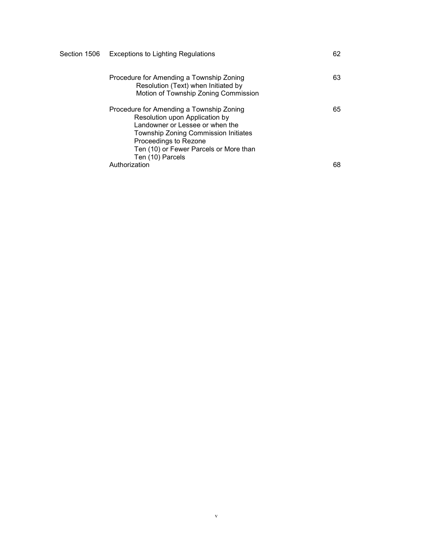|  | Section 1506 Exceptions to Lighting Regulations                                                                                                                                                                                                     | 62 |
|--|-----------------------------------------------------------------------------------------------------------------------------------------------------------------------------------------------------------------------------------------------------|----|
|  | Procedure for Amending a Township Zoning<br>Resolution (Text) when Initiated by<br>Motion of Township Zoning Commission                                                                                                                             | 63 |
|  | Procedure for Amending a Township Zoning<br>Resolution upon Application by<br>Landowner or Lessee or when the<br><b>Township Zoning Commission Initiates</b><br>Proceedings to Rezone<br>Ten (10) or Fewer Parcels or More than<br>Ten (10) Parcels | 65 |
|  | Authorization                                                                                                                                                                                                                                       | 68 |

v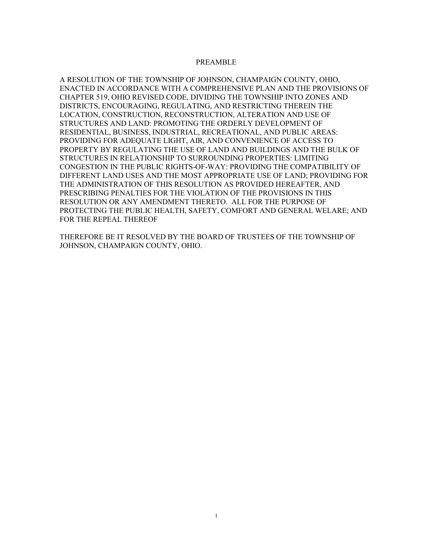#### PREAMBLE

A RESOLUTION OF THE TOWNSHIP OF JOHNSON, CHAMPAIGN COUNTY, OHIO, ENACTED IN ACCORDANCE WITH A COMPREHENSIVE PLAN AND THE PROVISIONS OF CHAPTER 519, OHIO REVISED CODE, DIVIDING THE TOWNSHIP INTO ZONES AND DISTRICTS, ENCOURAGING, REGULATING, AND RESTRICTING THEREIN THE LOCATION, CONSTRUCTION, RECONSTRUCTION, ALTERATION AND USE OF STRUCTURES AND LAND: PROMOTING THE ORDERLY DEVELOPMENT OF RESIDENTIAL, BUSINESS, INDUSTRIAL, RECREATIONAL, AND PUBLIC AREAS: PROVIDING FOR ADEQUATE LIGHT, AIR, AND CONVENIENCE OF ACCESS TO PROPERTY BY REGULATING THE USE OF LAND AND BUILDINGS AND THE BULK OF STRUCTURES IN RELATIONSHIP TO SURROUNDING PROPERTIES: LIMITING CONGESTION IN THE PUBLIC RIGHTS-OF-WAY: PROVIDING THE COMPATIBILITY OF DIFFERENT LAND USES AND THE MOST APPROPRIATE USE OF LAND; PROVIDING FOR THE ADMINISTRATION OF THIS RESOLUTION AS PROVIDED HEREAFTER, AND PRESCRIBING PENALTIES FOR THE VIOLATION OF THE PROVISIONS IN THIS RESOLUTION OR ANY AMENDMENT THERETO. ALL FOR THE PURPOSE OF PROTECTING THE PUBLIC HEALTH, SAFETY, COMFORT AND GENERAL WELARE; AND FOR THE REPEAL THEREOF

THEREFORE BE IT RESOLVED BY THE BOARD OF TRUSTEES OF THE TOWNSHIP OF JOHNSON, CHAMPAIGN COUNTY, OHIO.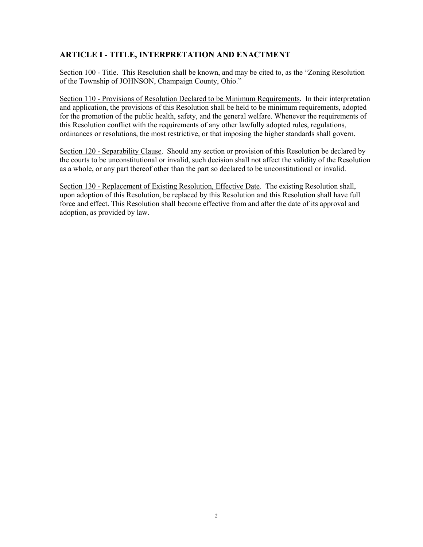### ARTICLE I - TITLE, INTERPRETATION AND ENACTMENT

Section 100 - Title. This Resolution shall be known, and may be cited to, as the "Zoning Resolution of the Township of JOHNSON, Champaign County, Ohio."

Section 110 - Provisions of Resolution Declared to be Minimum Requirements. In their interpretation and application, the provisions of this Resolution shall be held to be minimum requirements, adopted for the promotion of the public health, safety, and the general welfare. Whenever the requirements of this Resolution conflict with the requirements of any other lawfully adopted rules, regulations, ordinances or resolutions, the most restrictive, or that imposing the higher standards shall govern.

Section 120 - Separability Clause. Should any section or provision of this Resolution be declared by the courts to be unconstitutional or invalid, such decision shall not affect the validity of the Resolution as a whole, or any part thereof other than the part so declared to be unconstitutional or invalid.

Section 130 - Replacement of Existing Resolution, Effective Date. The existing Resolution shall, upon adoption of this Resolution, be replaced by this Resolution and this Resolution shall have full force and effect. This Resolution shall become effective from and after the date of its approval and adoption, as provided by law.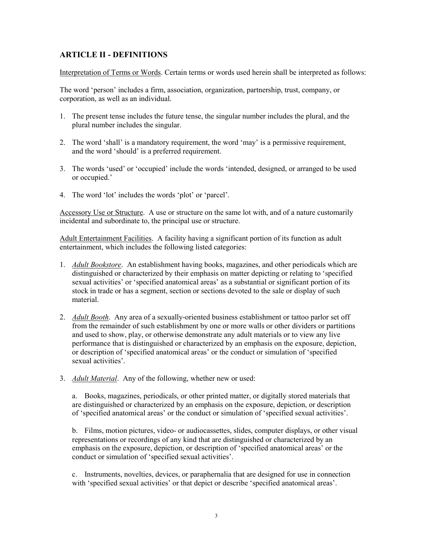### ARTICLE II - DEFINITIONS

Interpretation of Terms or Words. Certain terms or words used herein shall be interpreted as follows:

The word 'person' includes a firm, association, organization, partnership, trust, company, or corporation, as well as an individual.

- 1. The present tense includes the future tense, the singular number includes the plural, and the plural number includes the singular.
- 2. The word 'shall' is a mandatory requirement, the word 'may' is a permissive requirement, and the word 'should' is a preferred requirement.
- 3. The words 'used' or 'occupied' include the words 'intended, designed, or arranged to be used or occupied.'
- 4. The word 'lot' includes the words 'plot' or 'parcel'.

Accessory Use or Structure. A use or structure on the same lot with, and of a nature customarily incidental and subordinate to, the principal use or structure.

Adult Entertainment Facilities. A facility having a significant portion of its function as adult entertainment, which includes the following listed categories:

- 1. Adult Bookstore. An establishment having books, magazines, and other periodicals which are distinguished or characterized by their emphasis on matter depicting or relating to 'specified sexual activities' or 'specified anatomical areas' as a substantial or significant portion of its stock in trade or has a segment, section or sections devoted to the sale or display of such material.
- 2. Adult Booth. Any area of a sexually-oriented business establishment or tattoo parlor set off from the remainder of such establishment by one or more walls or other dividers or partitions and used to show, play, or otherwise demonstrate any adult materials or to view any live performance that is distinguished or characterized by an emphasis on the exposure, depiction, or description of 'specified anatomical areas' or the conduct or simulation of 'specified sexual activities'.
- 3. Adult Material. Any of the following, whether new or used:

a. Books, magazines, periodicals, or other printed matter, or digitally stored materials that are distinguished or characterized by an emphasis on the exposure, depiction, or description of 'specified anatomical areas' or the conduct or simulation of 'specified sexual activities'.

b. Films, motion pictures, video- or audiocassettes, slides, computer displays, or other visual representations or recordings of any kind that are distinguished or characterized by an emphasis on the exposure, depiction, or description of 'specified anatomical areas' or the conduct or simulation of 'specified sexual activities'.

c. Instruments, novelties, devices, or paraphernalia that are designed for use in connection with 'specified sexual activities' or that depict or describe 'specified anatomical areas'.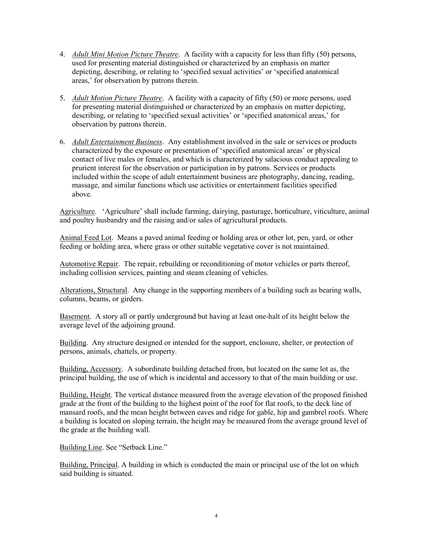- 4. *Adult Mini Motion Picture Theatre.* A facility with a capacity for less than fifty (50) persons, used for presenting material distinguished or characterized by an emphasis on matter depicting, describing, or relating to 'specified sexual activities' or 'specified anatomical areas,' for observation by patrons therein.
- 5. Adult Motion Picture Theatre. A facility with a capacity of fifty (50) or more persons, used for presenting material distinguished or characterized by an emphasis on matter depicting, describing, or relating to 'specified sexual activities' or 'specified anatomical areas,' for observation by patrons therein.
- 6. Adult Entertainment Business. Any establishment involved in the sale or services or products characterized by the exposure or presentation of 'specified anatomical areas' or physical contact of live males or females, and which is characterized by salacious conduct appealing to prurient interest for the observation or participation in by patrons. Services or products included within the scope of adult entertainment business are photography, dancing, reading, massage, and similar functions which use activities or entertainment facilities specified above.

Agriculture. 'Agriculture' shall include farming, dairying, pasturage, horticulture, viticulture, animal and poultry husbandry and the raising and/or sales of agricultural products.

Animal Feed Lot. Means a paved animal feeding or holding area or other lot, pen, yard, or other feeding or holding area, where grass or other suitable vegetative cover is not maintained.

Automotive Repair. The repair, rebuilding or reconditioning of motor vehicles or parts thereof, including collision services, painting and steam cleaning of vehicles.

Alterations, Structural. Any change in the supporting members of a building such as bearing walls, columns, beams, or girders.

Basement. A story all or partly underground but having at least one-halt of its height below the average level of the adjoining ground.

Building. Any structure designed or intended for the support, enclosure, shelter, or protection of persons, animals, chattels, or property.

Building, Accessory. A subordinate building detached from, but located on the same lot as, the principal building, the use of which is incidental and accessory to that of the main building or use.

Building, Height. The vertical distance measured from the average elevation of the proposed finished grade at the front of the building to the highest point of the roof for flat roofs, to the deck line of mansard roofs, and the mean height between eaves and ridge for gable, hip and gambrel roofs. Where a building is located on sloping terrain, the height may be measured from the average ground level of the grade at the building wall.

Building Line. See "Setback Line."

Building, Principal. A building in which is conducted the main or principal use of the lot on which said building is situated.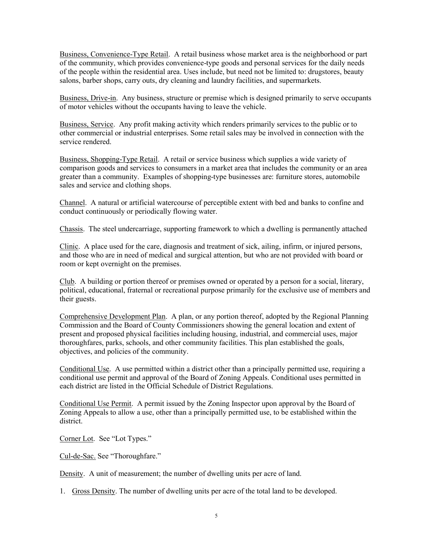Business, Convenience-Type Retail. A retail business whose market area is the neighborhood or part of the community, which provides convenience-type goods and personal services for the daily needs of the people within the residential area. Uses include, but need not be limited to: drugstores, beauty salons, barber shops, carry outs, dry cleaning and laundry facilities, and supermarkets.

Business, Drive-in. Any business, structure or premise which is designed primarily to serve occupants of motor vehicles without the occupants having to leave the vehicle.

Business, Service. Any profit making activity which renders primarily services to the public or to other commercial or industrial enterprises. Some retail sales may be involved in connection with the service rendered.

Business, Shopping-Type Retail. A retail or service business which supplies a wide variety of comparison goods and services to consumers in a market area that includes the community or an area greater than a community. Examples of shopping-type businesses are: furniture stores, automobile sales and service and clothing shops.

Channel. A natural or artificial watercourse of perceptible extent with bed and banks to confine and conduct continuously or periodically flowing water.

Chassis. The steel undercarriage, supporting framework to which a dwelling is permanently attached

Clinic. A place used for the care, diagnosis and treatment of sick, ailing, infirm, or injured persons, and those who are in need of medical and surgical attention, but who are not provided with board or room or kept overnight on the premises.

Club. A building or portion thereof or premises owned or operated by a person for a social, literary, political, educational, fraternal or recreational purpose primarily for the exclusive use of members and their guests.

Comprehensive Development Plan. A plan, or any portion thereof, adopted by the Regional Planning Commission and the Board of County Commissioners showing the general location and extent of present and proposed physical facilities including housing, industrial, and commercial uses, major thoroughfares, parks, schools, and other community facilities. This plan established the goals, objectives, and policies of the community.

Conditional Use. A use permitted within a district other than a principally permitted use, requiring a conditional use permit and approval of the Board of Zoning Appeals. Conditional uses permitted in each district are listed in the Official Schedule of District Regulations.

Conditional Use Permit. A permit issued by the Zoning Inspector upon approval by the Board of Zoning Appeals to allow a use, other than a principally permitted use, to be established within the district.

Corner Lot. See "Lot Types."

Cul-de-Sac. See "Thoroughfare."

Density. A unit of measurement; the number of dwelling units per acre of land.

1. Gross Density. The number of dwelling units per acre of the total land to be developed.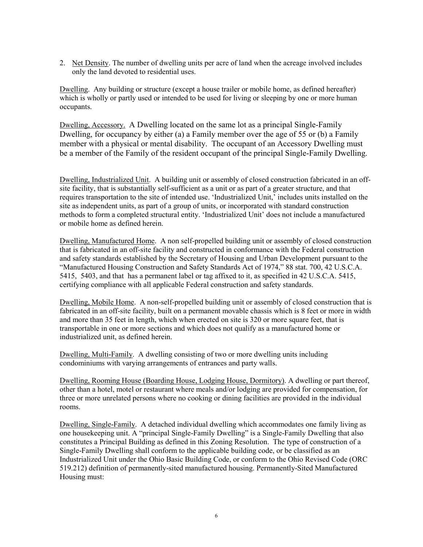2. Net Density. The number of dwelling units per acre of land when the acreage involved includes only the land devoted to residential uses.

Dwelling. Any building or structure (except a house trailer or mobile home, as defined hereafter) which is wholly or partly used or intended to be used for living or sleeping by one or more human occupants.

Dwelling, Accessory. A Dwelling located on the same lot as a principal Single-Family Dwelling, for occupancy by either (a) a Family member over the age of 55 or (b) a Family member with a physical or mental disability. The occupant of an Accessory Dwelling must be a member of the Family of the resident occupant of the principal Single-Family Dwelling.

Dwelling, Industrialized Unit. A building unit or assembly of closed construction fabricated in an offsite facility, that is substantially self-sufficient as a unit or as part of a greater structure, and that requires transportation to the site of intended use. 'Industrialized Unit,' includes units installed on the site as independent units, as part of a group of units, or incorporated with standard construction methods to form a completed structural entity. 'Industrialized Unit' does not include a manufactured or mobile home as defined herein.

Dwelling, Manufactured Home. A non self-propelled building unit or assembly of closed construction that is fabricated in an off-site facility and constructed in conformance with the Federal construction and safety standards established by the Secretary of Housing and Urban Development pursuant to the "Manufactured Housing Construction and Safety Standards Act of 1974," 88 stat. 700, 42 U.S.C.A. 5415, 5403, and that has a permanent label or tag affixed to it, as specified in 42 U.S.C.A. 5415, certifying compliance with all applicable Federal construction and safety standards.

Dwelling, Mobile Home. A non-self-propelled building unit or assembly of closed construction that is fabricated in an off-site facility, built on a permanent movable chassis which is 8 feet or more in width and more than 35 feet in length, which when erected on site is 320 or more square feet, that is transportable in one or more sections and which does not qualify as a manufactured home or industrialized unit, as defined herein.

Dwelling, Multi-Family. A dwelling consisting of two or more dwelling units including condominiums with varying arrangements of entrances and party walls.

Dwelling, Rooming House (Boarding House, Lodging House, Dormitory). A dwelling or part thereof, other than a hotel, motel or restaurant where meals and/or lodging are provided for compensation, for three or more unrelated persons where no cooking or dining facilities are provided in the individual rooms.

Dwelling, Single-Family. A detached individual dwelling which accommodates one family living as one housekeeping unit. A "principal Single-Family Dwelling" is a Single-Family Dwelling that also constitutes a Principal Building as defined in this Zoning Resolution. The type of construction of a Single-Family Dwelling shall conform to the applicable building code, or be classified as an Industrialized Unit under the Ohio Basic Building Code, or conform to the Ohio Revised Code (ORC 519.212) definition of permanently-sited manufactured housing. Permanently-Sited Manufactured Housing must: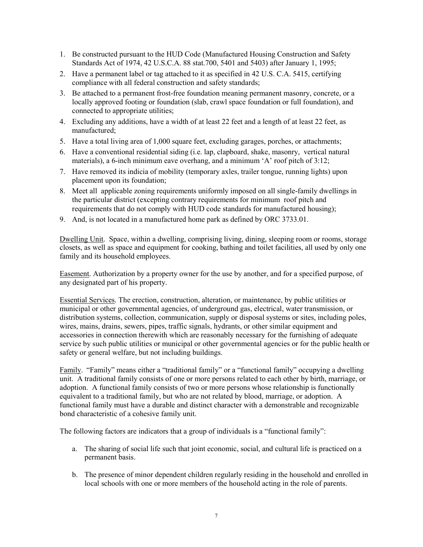- 1. Be constructed pursuant to the HUD Code (Manufactured Housing Construction and Safety Standards Act of 1974, 42 U.S.C.A. 88 stat.700, 5401 and 5403) after January 1, 1995;
- 2. Have a permanent label or tag attached to it as specified in 42 U.S. C.A. 5415, certifying compliance with all federal construction and safety standards;
- 3. Be attached to a permanent frost-free foundation meaning permanent masonry, concrete, or a locally approved footing or foundation (slab, crawl space foundation or full foundation), and connected to appropriate utilities;
- 4. Excluding any additions, have a width of at least 22 feet and a length of at least 22 feet, as manufactured;
- 5. Have a total living area of 1,000 square feet, excluding garages, porches, or attachments;
- 6. Have a conventional residential siding (i.e. lap, clapboard, shake, masonry, vertical natural materials), a 6-inch minimum eave overhang, and a minimum 'A' roof pitch of 3:12;
- 7. Have removed its indicia of mobility (temporary axles, trailer tongue, running lights) upon placement upon its foundation;
- 8. Meet all applicable zoning requirements uniformly imposed on all single-family dwellings in the particular district (excepting contrary requirements for minimum roof pitch and requirements that do not comply with HUD code standards for manufactured housing);
- 9. And, is not located in a manufactured home park as defined by ORC 3733.01.

Dwelling Unit. Space, within a dwelling, comprising living, dining, sleeping room or rooms, storage closets, as well as space and equipment for cooking, bathing and toilet facilities, all used by only one family and its household employees.

Easement. Authorization by a property owner for the use by another, and for a specified purpose, of any designated part of his property.

Essential Services. The erection, construction, alteration, or maintenance, by public utilities or municipal or other governmental agencies, of underground gas, electrical, water transmission, or distribution systems, collection, communication, supply or disposal systems or sites, including poles, wires, mains, drains, sewers, pipes, traffic signals, hydrants, or other similar equipment and accessories in connection therewith which are reasonably necessary for the furnishing of adequate service by such public utilities or municipal or other governmental agencies or for the public health or safety or general welfare, but not including buildings.

Family. "Family" means either a "traditional family" or a "functional family" occupying a dwelling unit. A traditional family consists of one or more persons related to each other by birth, marriage, or adoption. A functional family consists of two or more persons whose relationship is functionally equivalent to a traditional family, but who are not related by blood, marriage, or adoption. A functional family must have a durable and distinct character with a demonstrable and recognizable bond characteristic of a cohesive family unit.

The following factors are indicators that a group of individuals is a "functional family":

- a. The sharing of social life such that joint economic, social, and cultural life is practiced on a permanent basis.
- b. The presence of minor dependent children regularly residing in the household and enrolled in local schools with one or more members of the household acting in the role of parents.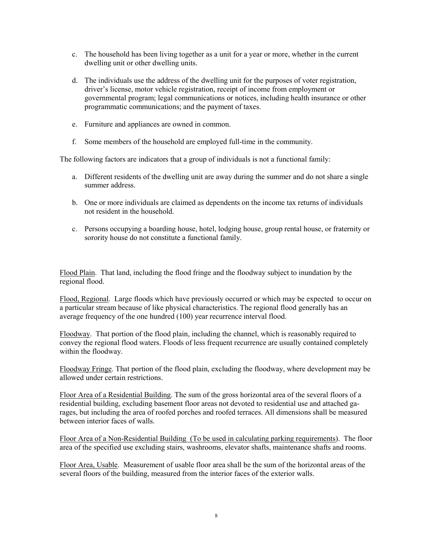- c. The household has been living together as a unit for a year or more, whether in the current dwelling unit or other dwelling units.
- d. The individuals use the address of the dwelling unit for the purposes of voter registration, driver's license, motor vehicle registration, receipt of income from employment or governmental program; legal communications or notices, including health insurance or other programmatic communications; and the payment of taxes.
- e. Furniture and appliances are owned in common.
- f. Some members of the household are employed full-time in the community.

The following factors are indicators that a group of individuals is not a functional family:

- a. Different residents of the dwelling unit are away during the summer and do not share a single summer address.
- b. One or more individuals are claimed as dependents on the income tax returns of individuals not resident in the household.
- c. Persons occupying a boarding house, hotel, lodging house, group rental house, or fraternity or sorority house do not constitute a functional family.

Flood Plain. That land, including the flood fringe and the floodway subject to inundation by the regional flood.

Flood, Regional. Large floods which have previously occurred or which may be expected to occur on a particular stream because of like physical characteristics. The regional flood generally has an average frequency of the one hundred (100) year recurrence interval flood.

Floodway. That portion of the flood plain, including the channel, which is reasonably required to convey the regional flood waters. Floods of less frequent recurrence are usually contained completely within the floodway.

Floodway Fringe. That portion of the flood plain, excluding the floodway, where development may be allowed under certain restrictions.

Floor Area of a Residential Building. The sum of the gross horizontal area of the several floors of a residential building, excluding basement floor areas not devoted to residential use and attached garages, but including the area of roofed porches and roofed terraces. All dimensions shall be measured between interior faces of walls.

Floor Area of a Non-Residential Building (To be used in calculating parking requirements). The floor area of the specified use excluding stairs, washrooms, elevator shafts, maintenance shafts and rooms.

Floor Area, Usable. Measurement of usable floor area shall be the sum of the horizontal areas of the several floors of the building, measured from the interior faces of the exterior walls.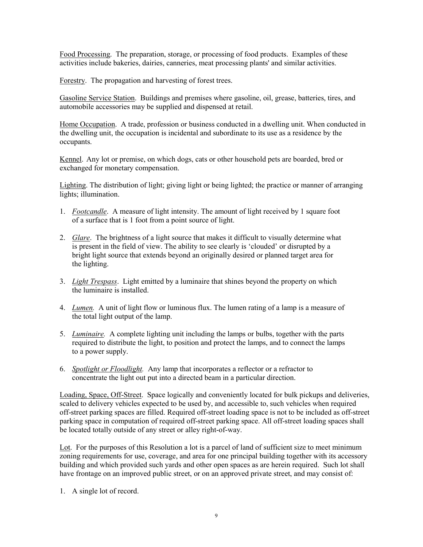Food Processing. The preparation, storage, or processing of food products. Examples of these activities include bakeries, dairies, canneries, meat processing plants' and similar activities.

Forestry. The propagation and harvesting of forest trees.

Gasoline Service Station. Buildings and premises where gasoline, oil, grease, batteries, tires, and automobile accessories may be supplied and dispensed at retail.

Home Occupation. A trade, profession or business conducted in a dwelling unit. When conducted in the dwelling unit, the occupation is incidental and subordinate to its use as a residence by the occupants.

Kennel. Any lot or premise, on which dogs, cats or other household pets are boarded, bred or exchanged for monetary compensation.

Lighting. The distribution of light; giving light or being lighted; the practice or manner of arranging lights; illumination.

- 1. Footcandle. A measure of light intensity. The amount of light received by 1 square foot of a surface that is 1 foot from a point source of light.
- 2. Glare. The brightness of a light source that makes it difficult to visually determine what is present in the field of view. The ability to see clearly is 'clouded' or disrupted by a bright light source that extends beyond an originally desired or planned target area for the lighting.
- 3. Light Trespass. Light emitted by a luminaire that shines beyond the property on which the luminaire is installed.
- 4. *Lumen*. A unit of light flow or luminous flux. The lumen rating of a lamp is a measure of the total light output of the lamp.
- 5. Luminaire. A complete lighting unit including the lamps or bulbs, together with the parts required to distribute the light, to position and protect the lamps, and to connect the lamps to a power supply.
- 6. Spotlight or Floodlight. Any lamp that incorporates a reflector or a refractor to concentrate the light out put into a directed beam in a particular direction.

Loading, Space, Off-Street. Space logically and conveniently located for bulk pickups and deliveries, scaled to delivery vehicles expected to be used by, and accessible to, such vehicles when required off-street parking spaces are filled. Required off-street loading space is not to be included as off-street parking space in computation of required off-street parking space. All off-street loading spaces shall be located totally outside of any street or alley right-of-way.

Lot. For the purposes of this Resolution a lot is a parcel of land of sufficient size to meet minimum zoning requirements for use, coverage, and area for one principal building together with its accessory building and which provided such yards and other open spaces as are herein required. Such lot shall have frontage on an improved public street, or on an approved private street, and may consist of:

1. A single lot of record.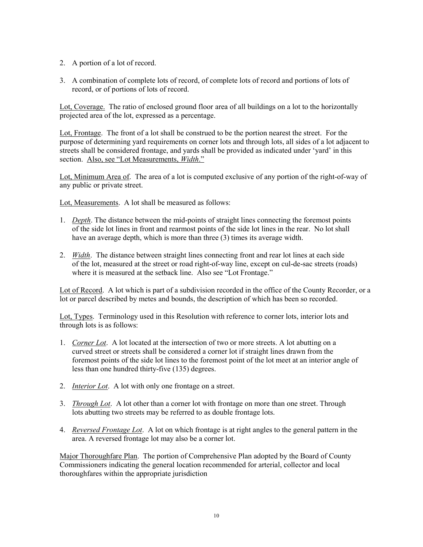- 2. A portion of a lot of record.
- 3. A combination of complete lots of record, of complete lots of record and portions of lots of record, or of portions of lots of record.

Lot, Coverage. The ratio of enclosed ground floor area of all buildings on a lot to the horizontally projected area of the lot, expressed as a percentage.

Lot, Frontage. The front of a lot shall be construed to be the portion nearest the street. For the purpose of determining yard requirements on corner lots and through lots, all sides of a lot adjacent to streets shall be considered frontage, and yards shall be provided as indicated under 'yard' in this section. Also, see "Lot Measurements, Width."

Lot, Minimum Area of. The area of a lot is computed exclusive of any portion of the right-of-way of any public or private street.

Lot, Measurements. A lot shall be measured as follows:

- 1. Depth. The distance between the mid-points of straight lines connecting the foremost points of the side lot lines in front and rearmost points of the side lot lines in the rear. No lot shall have an average depth, which is more than three (3) times its average width.
- 2. *Width*. The distance between straight lines connecting front and rear lot lines at each side of the lot, measured at the street or road right-of-way line, except on cul-de-sac streets (roads) where it is measured at the setback line. Also see "Lot Frontage."

Lot of Record. A lot which is part of a subdivision recorded in the office of the County Recorder, or a lot or parcel described by metes and bounds, the description of which has been so recorded.

Lot, Types. Terminology used in this Resolution with reference to corner lots, interior lots and through lots is as follows:

- 1. Corner Lot. A lot located at the intersection of two or more streets. A lot abutting on a curved street or streets shall be considered a corner lot if straight lines drawn from the foremost points of the side lot lines to the foremost point of the lot meet at an interior angle of less than one hundred thirty-five (135) degrees.
- 2. Interior Lot. A lot with only one frontage on a street.
- 3. Through Lot. A lot other than a corner lot with frontage on more than one street. Through lots abutting two streets may be referred to as double frontage lots.
- 4. Reversed Frontage Lot. A lot on which frontage is at right angles to the general pattern in the area. A reversed frontage lot may also be a corner lot.

Major Thoroughfare Plan. The portion of Comprehensive Plan adopted by the Board of County Commissioners indicating the general location recommended for arterial, collector and local thoroughfares within the appropriate jurisdiction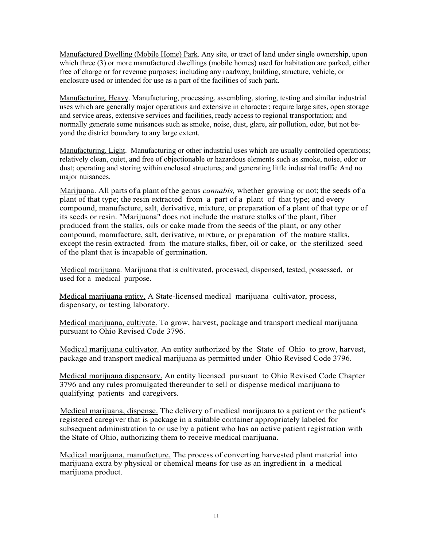Manufactured Dwelling (Mobile Home) Park. Any site, or tract of land under single ownership, upon which three (3) or more manufactured dwellings (mobile homes) used for habitation are parked, either free of charge or for revenue purposes; including any roadway, building, structure, vehicle, or enclosure used or intended for use as a part of the facilities of such park.

Manufacturing, Heavy. Manufacturing, processing, assembling, storing, testing and similar industrial uses which are generally major operations and extensive in character; require large sites, open storage and service areas, extensive services and facilities, ready access to regional transportation; and normally generate some nuisances such as smoke, noise, dust, glare, air pollution, odor, but not beyond the district boundary to any large extent.

Manufacturing, Light. Manufacturing or other industrial uses which are usually controlled operations; relatively clean, quiet, and free of objectionable or hazardous elements such as smoke, noise, odor or dust; operating and storing within enclosed structures; and generating little industrial traffic And no major nuisances.

Marijuana. All parts of a plant of the genus cannabis, whether growing or not; the seeds of a plant of that type; the resin extracted from a part of a plant of that type; and every compound, manufacture, salt, derivative, mixture, or preparation of a plant of that type or of its seeds or resin. "Marijuana" does not include the mature stalks of the plant, fiber produced from the stalks, oils or cake made from the seeds of the plant, or any other compound, manufacture, salt, derivative, mixture, or preparation of the mature stalks, except the resin extracted from the mature stalks, fiber, oil or cake, or the sterilized seed of the plant that is incapable of germination.

Medical marijuana. Marijuana that is cultivated, processed, dispensed, tested, possessed, or used for a medical purpose.

Medical marijuana entity. A State-licensed medical marijuana cultivator, process, dispensary, or testing laboratory.

Medical marijuana, cultivate. To grow, harvest, package and transport medical marijuana pursuant to Ohio Revised Code 3796.

Medical marijuana cultivator. An entity authorized by the State of Ohio to grow, harvest, package and transport medical marijuana as permitted under Ohio Revised Code 3796.

Medical marijuana dispensary. An entity licensed pursuant to Ohio Revised Code Chapter 3796 and any rules promulgated thereunder to sell or dispense medical marijuana to qualifying patients and caregivers.

Medical marijuana, dispense. The delivery of medical marijuana to a patient or the patient's registered caregiver that is package in a suitable container appropriately labeled for subsequent administration to or use by a patient who has an active patient registration with the State of Ohio, authorizing them to receive medical marijuana.

Medical marijuana, manufacture. The process of converting harvested plant material into marijuana extra by physical or chemical means for use as an ingredient in a medical marijuana product.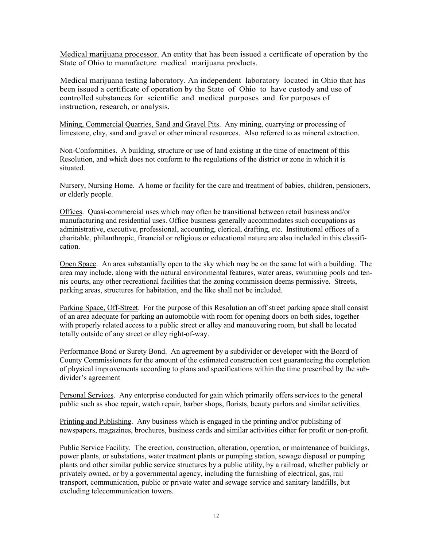Medical marijuana processor. An entity that has been issued a certificate of operation by the State of Ohio to manufacture medical marijuana products.

Medical marijuana testing laboratory. An independent laboratory located in Ohio that has been issued a certificate of operation by the State of Ohio to have custody and use of controlled substances for scientific and medical purposes and for purposes of instruction, research, or analysis.

Mining, Commercial Quarries, Sand and Gravel Pits. Any mining, quarrying or processing of limestone, clay, sand and gravel or other mineral resources. Also referred to as mineral extraction.

Non-Conformities. A building, structure or use of land existing at the time of enactment of this Resolution, and which does not conform to the regulations of the district or zone in which it is situated.

Nursery, Nursing Home. A home or facility for the care and treatment of babies, children, pensioners, or elderly people.

Offices. Quasi-commercial uses which may often be transitional between retail business and/or manufacturing and residential uses. Office business generally accommodates such occupations as administrative, executive, professional, accounting, clerical, drafting, etc. Institutional offices of a charitable, philanthropic, financial or religious or educational nature are also included in this classification.

Open Space. An area substantially open to the sky which may be on the same lot with a building. The area may include, along with the natural environmental features, water areas, swimming pools and tennis courts, any other recreational facilities that the zoning commission deems permissive. Streets, parking areas, structures for habitation, and the like shall not be included.

Parking Space, Off-Street. For the purpose of this Resolution an off street parking space shall consist of an area adequate for parking an automobile with room for opening doors on both sides, together with properly related access to a public street or alley and maneuvering room, but shall be located totally outside of any street or alley right-of-way.

Performance Bond or Surety Bond. An agreement by a subdivider or developer with the Board of County Commissioners for the amount of the estimated construction cost guaranteeing the completion of physical improvements according to plans and specifications within the time prescribed by the subdivider's agreement

Personal Services. Any enterprise conducted for gain which primarily offers services to the general public such as shoe repair, watch repair, barber shops, florists, beauty parlors and similar activities.

Printing and Publishing. Any business which is engaged in the printing and/or publishing of newspapers, magazines, brochures, business cards and similar activities either for profit or non-profit.

Public Service Facility. The erection, construction, alteration, operation, or maintenance of buildings, power plants, or substations, water treatment plants or pumping station, sewage disposal or pumping plants and other similar public service structures by a public utility, by a railroad, whether publicly or privately owned, or by a governmental agency, including the furnishing of electrical, gas, rail transport, communication, public or private water and sewage service and sanitary landfills, but excluding telecommunication towers.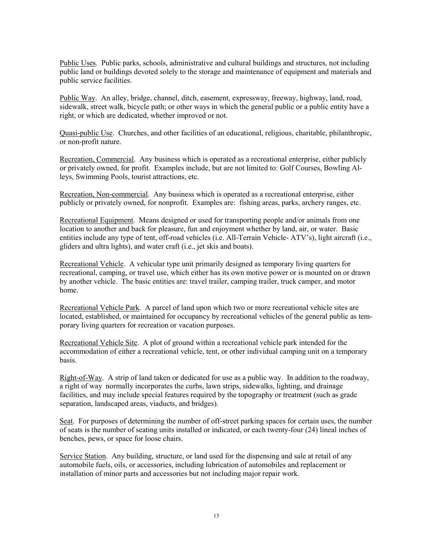Public Uses. Public parks, schools, administrative and cultural buildings and structures, not including public land or buildings devoted solely to the storage and maintenance of equipment and materials and public service facilities.

Public Way. An alley, bridge, channel, ditch, easement, expressway, freeway, highway, land, road, sidewalk, street walk, bicycle path; or other ways in which the general public or a public entity have a right, or which are dedicated, whether improved or not.

Quasi-public Use. Churches, and other facilities of an educational, religious, charitable, philanthropic, or non-profit nature.

Recreation, Commercial. Any business which is operated as a recreational enterprise, either publicly or privately owned, for profit. Examples include, but are not limited to: Golf Courses, Bowling Alleys, Swimming Pools, tourist attractions, etc.

Recreation, Non-commercial. Any business which is operated as a recreational enterprise, either publicly or privately owned, for nonprofit. Examples are: fishing areas, parks, archery ranges, etc.

Recreational Equipment. Means designed or used for transporting people and/or animals from one location to another and back for pleasure, fun and enjoyment whether by land, air, or water. Basic entities include any type of tent, off-road vehicles (i.e. All-Terrain Vehicle- ATV's), light aircraft (i.e., gliders and ultra lights), and water craft (i.e., jet skis and boats).

Recreational Vehicle. A vehicular type unit primarily designed as temporary living quarters for recreational, camping, or travel use, which either has its own motive power or is mounted on or drawn by another vehicle. The basic entities are: travel trailer, camping trailer, truck camper, and motor home.

Recreational Vehicle Park. A parcel of land upon which two or more recreational vehicle sites are located, established, or maintained for occupancy by recreational vehicles of the general public as temporary living quarters for recreation or vacation purposes.

Recreational Vehicle Site. A plot of ground within a recreational vehicle park intended for the accommodation of either a recreational vehicle, tent, or other individual camping unit on a temporary basis.

Right-of-Way. A strip of land taken or dedicated for use as a public way. In addition to the roadway, a right of way normally incorporates the curbs, lawn strips, sidewalks, lighting, and drainage facilities, and may include special features required by the topography or treatment (such as grade separation, landscaped areas, viaducts, and bridges).

Seat. For purposes of determining the number of off-street parking spaces for certain uses, the number of seats is the number of seating units installed or indicated, or each twenty-four (24) lineal inches of benches, pews, or space for loose chairs.

Service Station. Any building, structure, or land used for the dispensing and sale at retail of any automobile fuels, oils, or accessories, including lubrication of automobiles and replacement or installation of minor parts and accessories but not including major repair work.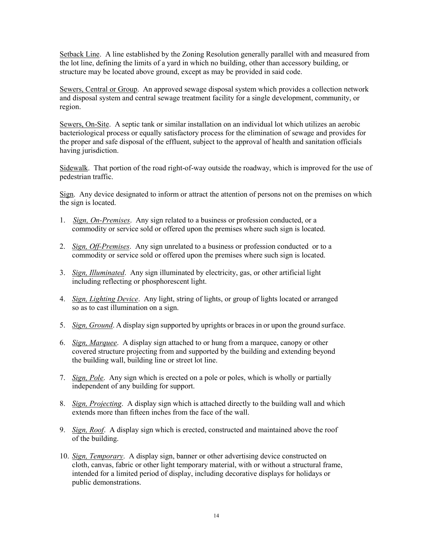Setback Line. A line established by the Zoning Resolution generally parallel with and measured from the lot line, defining the limits of a yard in which no building, other than accessory building, or structure may be located above ground, except as may be provided in said code.

Sewers, Central or Group. An approved sewage disposal system which provides a collection network and disposal system and central sewage treatment facility for a single development, community, or region.

Sewers, On-Site. A septic tank or similar installation on an individual lot which utilizes an aerobic bacteriological process or equally satisfactory process for the elimination of sewage and provides for the proper and safe disposal of the effluent, subject to the approval of health and sanitation officials having jurisdiction.

Sidewalk. That portion of the road right-of-way outside the roadway, which is improved for the use of pedestrian traffic.

Sign. Any device designated to inform or attract the attention of persons not on the premises on which the sign is located.

- 1. Sign, On-Premises. Any sign related to a business or profession conducted, or a commodity or service sold or offered upon the premises where such sign is located.
- 2. Sign, Off-Premises. Any sign unrelated to a business or profession conducted or to a commodity or service sold or offered upon the premises where such sign is located.
- 3. Sign, Illuminated. Any sign illuminated by electricity, gas, or other artificial light including reflecting or phosphorescent light.
- 4. Sign, Lighting Device. Any light, string of lights, or group of lights located or arranged so as to cast illumination on a sign.
- 5. Sign, Ground. A display sign supported by uprights or braces in or upon the ground surface.
- 6. Sign, Marquee. A display sign attached to or hung from a marquee, canopy or other covered structure projecting from and supported by the building and extending beyond the building wall, building line or street lot line.
- 7. Sign, Pole. Any sign which is erected on a pole or poles, which is wholly or partially independent of any building for support.
- 8. Sign, Projecting. A display sign which is attached directly to the building wall and which extends more than fifteen inches from the face of the wall.
- 9. Sign, Roof. A display sign which is erected, constructed and maintained above the roof of the building.
- 10. Sign, Temporary. A display sign, banner or other advertising device constructed on cloth, canvas, fabric or other light temporary material, with or without a structural frame, intended for a limited period of display, including decorative displays for holidays or public demonstrations.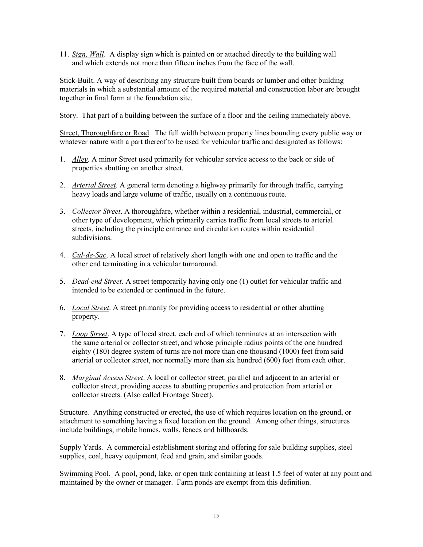11. Sign, Wall. A display sign which is painted on or attached directly to the building wall and which extends not more than fifteen inches from the face of the wall.

Stick-Built. A way of describing any structure built from boards or lumber and other building materials in which a substantial amount of the required material and construction labor are brought together in final form at the foundation site.

Story. That part of a building between the surface of a floor and the ceiling immediately above.

Street, Thoroughfare or Road. The full width between property lines bounding every public way or whatever nature with a part thereof to be used for vehicular traffic and designated as follows:

- 1. Alley. A minor Street used primarily for vehicular service access to the back or side of properties abutting on another street.
- 2. Arterial Street. A general term denoting a highway primarily for through traffic, carrying heavy loads and large volume of traffic, usually on a continuous route.
- 3. Collector Street. A thoroughfare, whether within a residential, industrial, commercial, or other type of development, which primarily carries traffic from local streets to arterial streets, including the principle entrance and circulation routes within residential subdivisions.
- 4. Cul-de-Sac. A local street of relatively short length with one end open to traffic and the other end terminating in a vehicular turnaround.
- 5. Dead-end Street. A street temporarily having only one (1) outlet for vehicular traffic and intended to be extended or continued in the future.
- 6. Local Street. A street primarily for providing access to residential or other abutting property.
- 7. Loop Street. A type of local street, each end of which terminates at an intersection with the same arterial or collector street, and whose principle radius points of the one hundred eighty (180) degree system of turns are not more than one thousand (1000) feet from said arterial or collector street, nor normally more than six hundred (600) feet from each other.
- 8. Marginal Access Street. A local or collector street, parallel and adjacent to an arterial or collector street, providing access to abutting properties and protection from arterial or collector streets. (Also called Frontage Street).

Structure. Anything constructed or erected, the use of which requires location on the ground, or attachment to something having a fixed location on the ground. Among other things, structures include buildings, mobile homes, walls, fences and billboards.

Supply Yards. A commercial establishment storing and offering for sale building supplies, steel supplies, coal, heavy equipment, feed and grain, and similar goods.

Swimming Pool. A pool, pond, lake, or open tank containing at least 1.5 feet of water at any point and maintained by the owner or manager. Farm ponds are exempt from this definition.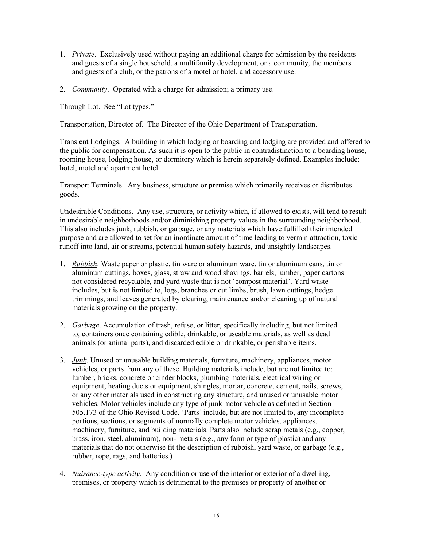- 1. Private. Exclusively used without paying an additional charge for admission by the residents and guests of a single household, a multifamily development, or a community, the members and guests of a club, or the patrons of a motel or hotel, and accessory use.
- 2. Community. Operated with a charge for admission; a primary use.

Through Lot. See "Lot types."

Transportation, Director of. The Director of the Ohio Department of Transportation.

Transient Lodgings. A building in which lodging or boarding and lodging are provided and offered to the public for compensation. As such it is open to the public in contradistinction to a boarding house, rooming house, lodging house, or dormitory which is herein separately defined. Examples include: hotel, motel and apartment hotel.

Transport Terminals. Any business, structure or premise which primarily receives or distributes goods.

Undesirable Conditions. Any use, structure, or activity which, if allowed to exists, will tend to result in undesirable neighborhoods and/or diminishing property values in the surrounding neighborhood. This also includes junk, rubbish, or garbage, or any materials which have fulfilled their intended purpose and are allowed to set for an inordinate amount of time leading to vermin attraction, toxic runoff into land, air or streams, potential human safety hazards, and unsightly landscapes.

- 1. Rubbish. Waste paper or plastic, tin ware or aluminum ware, tin or aluminum cans, tin or aluminum cuttings, boxes, glass, straw and wood shavings, barrels, lumber, paper cartons not considered recyclable, and yard waste that is not 'compost material'. Yard waste includes, but is not limited to, logs, branches or cut limbs, brush, lawn cuttings, hedge trimmings, and leaves generated by clearing, maintenance and/or cleaning up of natural materials growing on the property.
- 2. Garbage. Accumulation of trash, refuse, or litter, specifically including, but not limited to, containers once containing edible, drinkable, or useable materials, as well as dead animals (or animal parts), and discarded edible or drinkable, or perishable items.
- 3. *Junk*. Unused or unusable building materials, furniture, machinery, appliances, motor vehicles, or parts from any of these. Building materials include, but are not limited to: lumber, bricks, concrete or cinder blocks, plumbing materials, electrical wiring or equipment, heating ducts or equipment, shingles, mortar, concrete, cement, nails, screws, or any other materials used in constructing any structure, and unused or unusable motor vehicles. Motor vehicles include any type of junk motor vehicle as defined in Section 505.173 of the Ohio Revised Code. 'Parts' include, but are not limited to, any incomplete portions, sections, or segments of normally complete motor vehicles, appliances, machinery, furniture, and building materials. Parts also include scrap metals (e.g., copper, brass, iron, steel, aluminum), non- metals (e.g., any form or type of plastic) and any materials that do not otherwise fit the description of rubbish, yard waste, or garbage (e.g., rubber, rope, rags, and batteries.)
- 4. Nuisance-type activity. Any condition or use of the interior or exterior of a dwelling, premises, or property which is detrimental to the premises or property of another or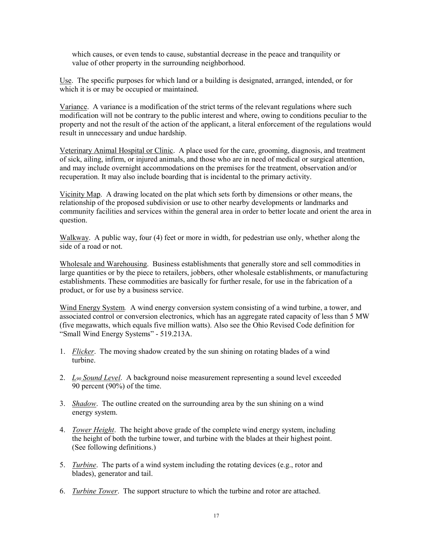which causes, or even tends to cause, substantial decrease in the peace and tranquility or value of other property in the surrounding neighborhood.

Use. The specific purposes for which land or a building is designated, arranged, intended, or for which it is or may be occupied or maintained.

Variance. A variance is a modification of the strict terms of the relevant regulations where such modification will not be contrary to the public interest and where, owing to conditions peculiar to the property and not the result of the action of the applicant, a literal enforcement of the regulations would result in unnecessary and undue hardship.

Veterinary Animal Hospital or Clinic. A place used for the care, grooming, diagnosis, and treatment of sick, ailing, infirm, or injured animals, and those who are in need of medical or surgical attention, and may include overnight accommodations on the premises for the treatment, observation and/or recuperation. It may also include boarding that is incidental to the primary activity.

Vicinity Map. A drawing located on the plat which sets forth by dimensions or other means, the relationship of the proposed subdivision or use to other nearby developments or landmarks and community facilities and services within the general area in order to better locate and orient the area in question.

Walkway. A public way, four (4) feet or more in width, for pedestrian use only, whether along the side of a road or not.

Wholesale and Warehousing. Business establishments that generally store and sell commodities in large quantities or by the piece to retailers, jobbers, other wholesale establishments, or manufacturing establishments. These commodities are basically for further resale, for use in the fabrication of a product, or for use by a business service.

Wind Energy System. A wind energy conversion system consisting of a wind turbine, a tower, and associated control or conversion electronics, which has an aggregate rated capacity of less than 5 MW (five megawatts, which equals five million watts). Also see the Ohio Revised Code definition for "Small Wind Energy Systems" - 519.213A.

- 1. Flicker. The moving shadow created by the sun shining on rotating blades of a wind turbine.
- 2.  $L_{90}$  Sound Level. A background noise measurement representing a sound level exceeded 90 percent (90%) of the time.
- 3. Shadow. The outline created on the surrounding area by the sun shining on a wind energy system.
- 4. Tower Height. The height above grade of the complete wind energy system, including the height of both the turbine tower, and turbine with the blades at their highest point. (See following definitions.)
- 5. Turbine. The parts of a wind system including the rotating devices (e.g., rotor and blades), generator and tail.
- 6. Turbine Tower. The support structure to which the turbine and rotor are attached.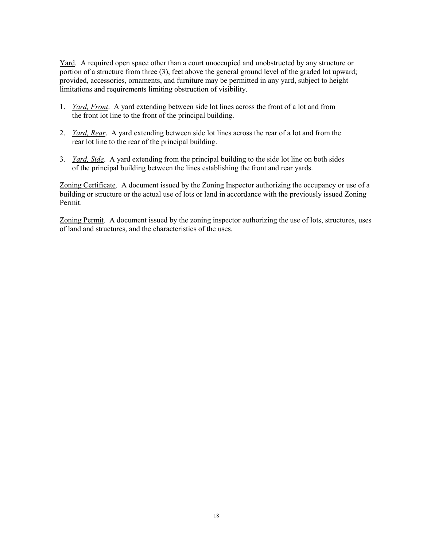Yard. A required open space other than a court unoccupied and unobstructed by any structure or portion of a structure from three (3), feet above the general ground level of the graded lot upward; provided, accessories, ornaments, and furniture may be permitted in any yard, subject to height limitations and requirements limiting obstruction of visibility.

- 1. Yard, Front. A yard extending between side lot lines across the front of a lot and from the front lot line to the front of the principal building.
- 2. Yard, Rear. A yard extending between side lot lines across the rear of a lot and from the rear lot line to the rear of the principal building.
- 3. Yard, Side. A yard extending from the principal building to the side lot line on both sides of the principal building between the lines establishing the front and rear yards.

Zoning Certificate. A document issued by the Zoning Inspector authorizing the occupancy or use of a building or structure or the actual use of lots or land in accordance with the previously issued Zoning Permit.

Zoning Permit. A document issued by the zoning inspector authorizing the use of lots, structures, uses of land and structures, and the characteristics of the uses.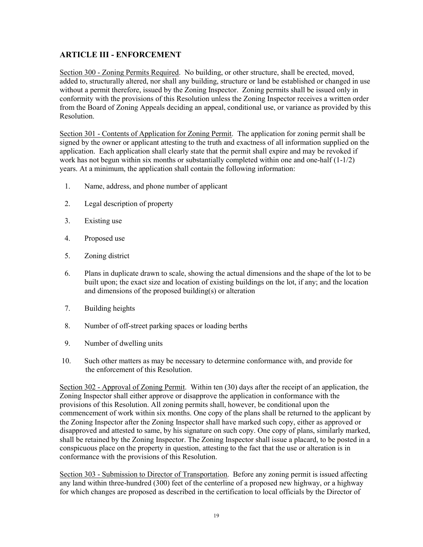# ARTICLE III - ENFORCEMENT

Section 300 - Zoning Permits Required. No building, or other structure, shall be erected, moved, added to, structurally altered, nor shall any building, structure or land be established or changed in use without a permit therefore, issued by the Zoning Inspector. Zoning permits shall be issued only in conformity with the provisions of this Resolution unless the Zoning Inspector receives a written order from the Board of Zoning Appeals deciding an appeal, conditional use, or variance as provided by this Resolution.

Section 301 - Contents of Application for Zoning Permit. The application for zoning permit shall be signed by the owner or applicant attesting to the truth and exactness of all information supplied on the application. Each application shall clearly state that the permit shall expire and may be revoked if work has not begun within six months or substantially completed within one and one-half (1-1/2) years. At a minimum, the application shall contain the following information:

- 1. Name, address, and phone number of applicant
- 2. Legal description of property
- 3. Existing use
- 4. Proposed use
- 5. Zoning district
- 6. Plans in duplicate drawn to scale, showing the actual dimensions and the shape of the lot to be built upon; the exact size and location of existing buildings on the lot, if any; and the location and dimensions of the proposed building(s) or alteration
- 7. Building heights
- 8. Number of off-street parking spaces or loading berths
- 9. Number of dwelling units
- 10. Such other matters as may be necessary to determine conformance with, and provide for the enforcement of this Resolution.

Section 302 - Approval of Zoning Permit. Within ten (30) days after the receipt of an application, the Zoning Inspector shall either approve or disapprove the application in conformance with the provisions of this Resolution. All zoning permits shall, however, be conditional upon the commencement of work within six months. One copy of the plans shall be returned to the applicant by the Zoning Inspector after the Zoning Inspector shall have marked such copy, either as approved or disapproved and attested to same, by his signature on such copy. One copy of plans, similarly marked, shall be retained by the Zoning Inspector. The Zoning Inspector shall issue a placard, to be posted in a conspicuous place on the property in question, attesting to the fact that the use or alteration is in conformance with the provisions of this Resolution.

Section 303 - Submission to Director of Transportation. Before any zoning permit is issued affecting any land within three-hundred (300) feet of the centerline of a proposed new highway, or a highway for which changes are proposed as described in the certification to local officials by the Director of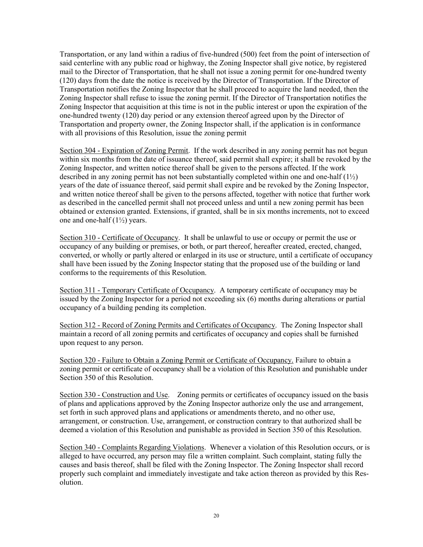Transportation, or any land within a radius of five-hundred (500) feet from the point of intersection of said centerline with any public road or highway, the Zoning Inspector shall give notice, by registered mail to the Director of Transportation, that he shall not issue a zoning permit for one-hundred twenty (120) days from the date the notice is received by the Director of Transportation. If the Director of Transportation notifies the Zoning Inspector that he shall proceed to acquire the land needed, then the Zoning Inspector shall refuse to issue the zoning permit. If the Director of Transportation notifies the Zoning Inspector that acquisition at this time is not in the public interest or upon the expiration of the one-hundred twenty (120) day period or any extension thereof agreed upon by the Director of Transportation and property owner, the Zoning Inspector shall, if the application is in conformance with all provisions of this Resolution, issue the zoning permit

Section 304 - Expiration of Zoning Permit. If the work described in any zoning permit has not begun within six months from the date of issuance thereof, said permit shall expire; it shall be revoked by the Zoning Inspector, and written notice thereof shall be given to the persons affected. If the work described in any zoning permit has not been substantially completed within one and one-half  $(1/2)$ years of the date of issuance thereof, said permit shall expire and be revoked by the Zoning Inspector, and written notice thereof shall be given to the persons affected, together with notice that further work as described in the cancelled permit shall not proceed unless and until a new zoning permit has been obtained or extension granted. Extensions, if granted, shall be in six months increments, not to exceed one and one-half (1½) years.

Section 310 - Certificate of Occupancy. It shall be unlawful to use or occupy or permit the use or occupancy of any building or premises, or both, or part thereof, hereafter created, erected, changed, converted, or wholly or partly altered or enlarged in its use or structure, until a certificate of occupancy shall have been issued by the Zoning Inspector stating that the proposed use of the building or land conforms to the requirements of this Resolution.

Section 311 - Temporary Certificate of Occupancy. A temporary certificate of occupancy may be issued by the Zoning Inspector for a period not exceeding six (6) months during alterations or partial occupancy of a building pending its completion.

Section 312 - Record of Zoning Permits and Certificates of Occupancy. The Zoning Inspector shall maintain a record of all zoning permits and certificates of occupancy and copies shall be furnished upon request to any person.

Section 320 - Failure to Obtain a Zoning Permit or Certificate of Occupancy. Failure to obtain a zoning permit or certificate of occupancy shall be a violation of this Resolution and punishable under Section 350 of this Resolution.

Section 330 - Construction and Use. Zoning permits or certificates of occupancy issued on the basis of plans and applications approved by the Zoning Inspector authorize only the use and arrangement, set forth in such approved plans and applications or amendments thereto, and no other use, arrangement, or construction. Use, arrangement, or construction contrary to that authorized shall be deemed a violation of this Resolution and punishable as provided in Section 350 of this Resolution.

Section 340 - Complaints Regarding Violations. Whenever a violation of this Resolution occurs, or is alleged to have occurred, any person may file a written complaint. Such complaint, stating fully the causes and basis thereof, shall be filed with the Zoning Inspector. The Zoning Inspector shall record properly such complaint and immediately investigate and take action thereon as provided by this Resolution.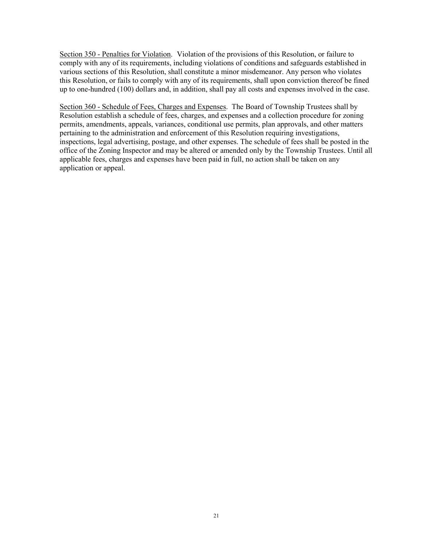Section 350 - Penalties for Violation. Violation of the provisions of this Resolution, or failure to comply with any of its requirements, including violations of conditions and safeguards established in various sections of this Resolution, shall constitute a minor misdemeanor. Any person who violates this Resolution, or fails to comply with any of its requirements, shall upon conviction thereof be fined up to one-hundred (100) dollars and, in addition, shall pay all costs and expenses involved in the case.

Section 360 - Schedule of Fees, Charges and Expenses. The Board of Township Trustees shall by Resolution establish a schedule of fees, charges, and expenses and a collection procedure for zoning permits, amendments, appeals, variances, conditional use permits, plan approvals, and other matters pertaining to the administration and enforcement of this Resolution requiring investigations, inspections, legal advertising, postage, and other expenses. The schedule of fees shall be posted in the office of the Zoning Inspector and may be altered or amended only by the Township Trustees. Until all applicable fees, charges and expenses have been paid in full, no action shall be taken on any application or appeal.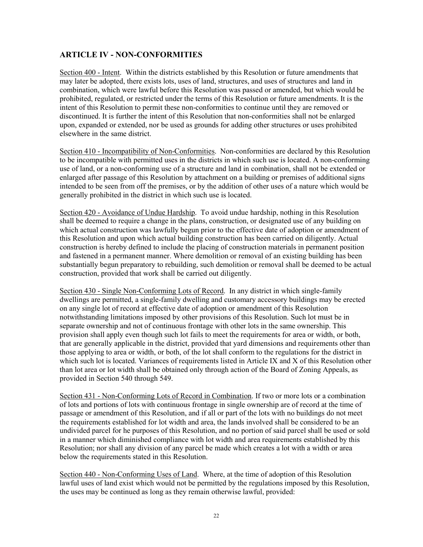#### ARTICLE IV - NON-CONFORMITIES

Section 400 - Intent. Within the districts established by this Resolution or future amendments that may later be adopted, there exists lots, uses of land, structures, and uses of structures and land in combination, which were lawful before this Resolution was passed or amended, but which would be prohibited, regulated, or restricted under the terms of this Resolution or future amendments. It is the intent of this Resolution to permit these non-conformities to continue until they are removed or discontinued. It is further the intent of this Resolution that non-conformities shall not be enlarged upon, expanded or extended, nor be used as grounds for adding other structures or uses prohibited elsewhere in the same district.

Section 410 - Incompatibility of Non-Conformities. Non-conformities are declared by this Resolution to be incompatible with permitted uses in the districts in which such use is located. A non-conforming use of land, or a non-conforming use of a structure and land in combination, shall not be extended or enlarged after passage of this Resolution by attachment on a building or premises of additional signs intended to be seen from off the premises, or by the addition of other uses of a nature which would be generally prohibited in the district in which such use is located.

Section 420 - Avoidance of Undue Hardship. To avoid undue hardship, nothing in this Resolution shall be deemed to require a change in the plans, construction, or designated use of any building on which actual construction was lawfully begun prior to the effective date of adoption or amendment of this Resolution and upon which actual building construction has been carried on diligently. Actual construction is hereby defined to include the placing of construction materials in permanent position and fastened in a permanent manner. Where demolition or removal of an existing building has been substantially begun preparatory to rebuilding, such demolition or removal shall be deemed to be actual construction, provided that work shall be carried out diligently.

Section 430 - Single Non-Conforming Lots of Record. In any district in which single-family dwellings are permitted, a single-family dwelling and customary accessory buildings may be erected on any single lot of record at effective date of adoption or amendment of this Resolution notwithstanding limitations imposed by other provisions of this Resolution. Such lot must be in separate ownership and not of continuous frontage with other lots in the same ownership. This provision shall apply even though such lot fails to meet the requirements for area or width, or both, that are generally applicable in the district, provided that yard dimensions and requirements other than those applying to area or width, or both, of the lot shall conform to the regulations for the district in which such lot is located. Variances of requirements listed in Article IX and X of this Resolution other than lot area or lot width shall be obtained only through action of the Board of Zoning Appeals, as provided in Section 540 through 549.

Section 431 - Non-Conforming Lots of Record in Combination. If two or more lots or a combination of lots and portions of lots with continuous frontage in single ownership are of record at the time of passage or amendment of this Resolution, and if all or part of the lots with no buildings do not meet the requirements established for lot width and area, the lands involved shall be considered to be an undivided parcel for he purposes of this Resolution, and no portion of said parcel shall be used or sold in a manner which diminished compliance with lot width and area requirements established by this Resolution; nor shall any division of any parcel be made which creates a lot with a width or area below the requirements stated in this Resolution.

Section 440 - Non-Conforming Uses of Land. Where, at the time of adoption of this Resolution lawful uses of land exist which would not be permitted by the regulations imposed by this Resolution, the uses may be continued as long as they remain otherwise lawful, provided: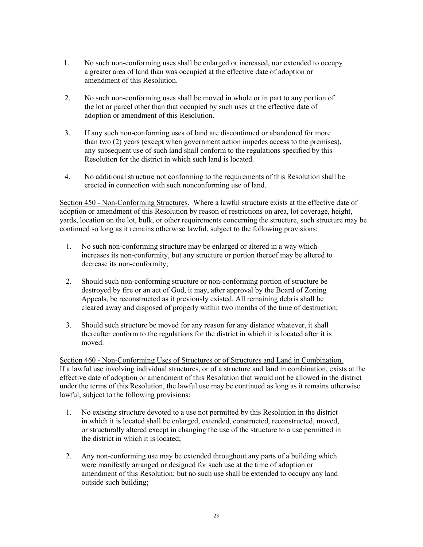- 1. No such non-conforming uses shall be enlarged or increased, nor extended to occupy a greater area of land than was occupied at the effective date of adoption or amendment of this Resolution.
- 2. No such non-conforming uses shall be moved in whole or in part to any portion of the lot or parcel other than that occupied by such uses at the effective date of adoption or amendment of this Resolution.
- 3. If any such non-conforming uses of land are discontinued or abandoned for more than two (2) years (except when government action impedes access to the premises), any subsequent use of such land shall conform to the regulations specified by this Resolution for the district in which such land is located.
- 4. No additional structure not conforming to the requirements of this Resolution shall be erected in connection with such nonconforming use of land.

Section 450 - Non-Conforming Structures. Where a lawful structure exists at the effective date of adoption or amendment of this Resolution by reason of restrictions on area, lot coverage, height, yards, location on the lot, bulk, or other requirements concerning the structure, such structure may be continued so long as it remains otherwise lawful, subject to the following provisions:

- 1. No such non-conforming structure may be enlarged or altered in a way which increases its non-conformity, but any structure or portion thereof may be altered to decrease its non-conformity;
- 2. Should such non-conforming structure or non-conforming portion of structure be destroyed by fire or an act of God, it may, after approval by the Board of Zoning Appeals, be reconstructed as it previously existed. All remaining debris shall be cleared away and disposed of properly within two months of the time of destruction;
- 3. Should such structure be moved for any reason for any distance whatever, it shall thereafter conform to the regulations for the district in which it is located after it is moved.

Section 460 - Non-Conforming Uses of Structures or of Structures and Land in Combination. If a lawful use involving individual structures, or of a structure and land in combination, exists at the effective date of adoption or amendment of this Resolution that would not be allowed in the district under the terms of this Resolution, the lawful use may be continued as long as it remains otherwise lawful, subject to the following provisions:

- 1. No existing structure devoted to a use not permitted by this Resolution in the district in which it is located shall be enlarged, extended, constructed, reconstructed, moved, or structurally altered except in changing the use of the structure to a use permitted in the district in which it is located;
- 2. Any non-conforming use may be extended throughout any parts of a building which were manifestly arranged or designed for such use at the time of adoption or amendment of this Resolution; but no such use shall be extended to occupy any land outside such building;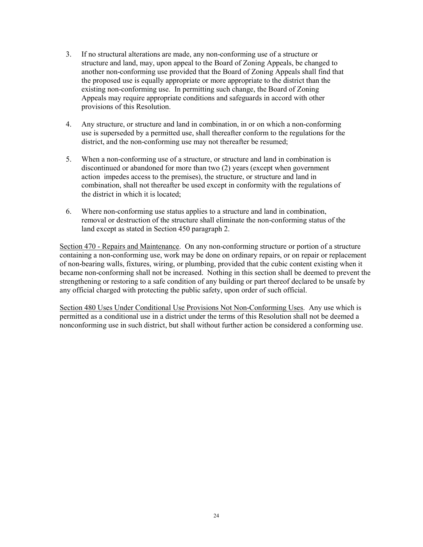- 3. If no structural alterations are made, any non-conforming use of a structure or structure and land, may, upon appeal to the Board of Zoning Appeals, be changed to another non-conforming use provided that the Board of Zoning Appeals shall find that the proposed use is equally appropriate or more appropriate to the district than the existing non-conforming use. In permitting such change, the Board of Zoning Appeals may require appropriate conditions and safeguards in accord with other provisions of this Resolution.
- 4. Any structure, or structure and land in combination, in or on which a non-conforming use is superseded by a permitted use, shall thereafter conform to the regulations for the district, and the non-conforming use may not thereafter be resumed;
- 5. When a non-conforming use of a structure, or structure and land in combination is discontinued or abandoned for more than two (2) years (except when government action impedes access to the premises), the structure, or structure and land in combination, shall not thereafter be used except in conformity with the regulations of the district in which it is located;
- 6. Where non-conforming use status applies to a structure and land in combination, removal or destruction of the structure shall eliminate the non-conforming status of the land except as stated in Section 450 paragraph 2.

Section 470 - Repairs and Maintenance. On any non-conforming structure or portion of a structure containing a non-conforming use, work may be done on ordinary repairs, or on repair or replacement of non-bearing walls, fixtures, wiring, or plumbing, provided that the cubic content existing when it became non-conforming shall not be increased. Nothing in this section shall be deemed to prevent the strengthening or restoring to a safe condition of any building or part thereof declared to be unsafe by any official charged with protecting the public safety, upon order of such official.

Section 480 Uses Under Conditional Use Provisions Not Non-Conforming Uses. Any use which is permitted as a conditional use in a district under the terms of this Resolution shall not be deemed a nonconforming use in such district, but shall without further action be considered a conforming use.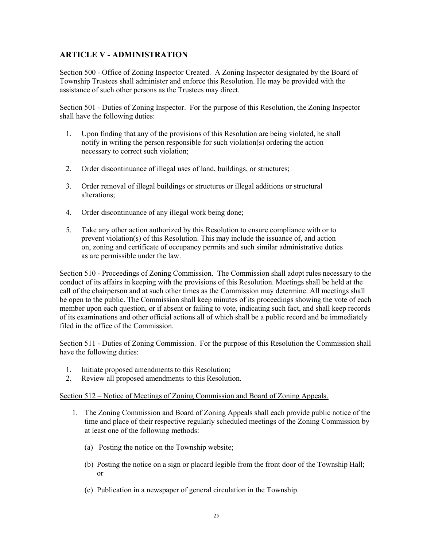# ARTICLE V - ADMINISTRATION

Section 500 - Office of Zoning Inspector Created. A Zoning Inspector designated by the Board of Township Trustees shall administer and enforce this Resolution. He may be provided with the assistance of such other persons as the Trustees may direct.

Section 501 - Duties of Zoning Inspector. For the purpose of this Resolution, the Zoning Inspector shall have the following duties:

- 1. Upon finding that any of the provisions of this Resolution are being violated, he shall notify in writing the person responsible for such violation(s) ordering the action necessary to correct such violation;
- 2. Order discontinuance of illegal uses of land, buildings, or structures;
- 3. Order removal of illegal buildings or structures or illegal additions or structural alterations;
- 4. Order discontinuance of any illegal work being done;
- 5. Take any other action authorized by this Resolution to ensure compliance with or to prevent violation(s) of this Resolution. This may include the issuance of, and action on, zoning and certificate of occupancy permits and such similar administrative duties as are permissible under the law.

Section 510 - Proceedings of Zoning Commission. The Commission shall adopt rules necessary to the conduct of its affairs in keeping with the provisions of this Resolution. Meetings shall be held at the call of the chairperson and at such other times as the Commission may determine. All meetings shall be open to the public. The Commission shall keep minutes of its proceedings showing the vote of each member upon each question, or if absent or failing to vote, indicating such fact, and shall keep records of its examinations and other official actions all of which shall be a public record and be immediately filed in the office of the Commission.

Section 511 - Duties of Zoning Commission. For the purpose of this Resolution the Commission shall have the following duties:

- 1. Initiate proposed amendments to this Resolution;
- 2. Review all proposed amendments to this Resolution.

#### Section 512 – Notice of Meetings of Zoning Commission and Board of Zoning Appeals.

- 1. The Zoning Commission and Board of Zoning Appeals shall each provide public notice of the time and place of their respective regularly scheduled meetings of the Zoning Commission by at least one of the following methods:
	- (a) Posting the notice on the Township website;
	- (b) Posting the notice on a sign or placard legible from the front door of the Township Hall; or
	- (c) Publication in a newspaper of general circulation in the Township.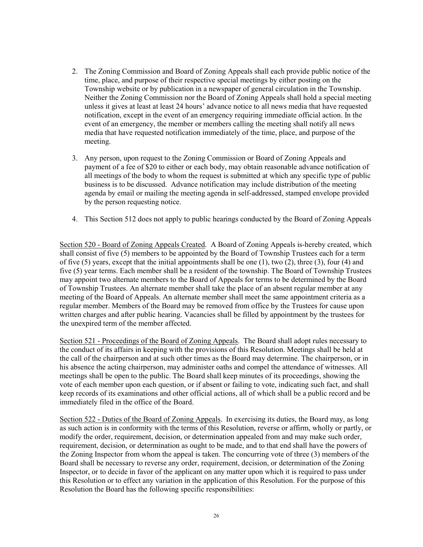- 2. The Zoning Commission and Board of Zoning Appeals shall each provide public notice of the time, place, and purpose of their respective special meetings by either posting on the Township website or by publication in a newspaper of general circulation in the Township. Neither the Zoning Commission nor the Board of Zoning Appeals shall hold a special meeting unless it gives at least at least 24 hours' advance notice to all news media that have requested notification, except in the event of an emergency requiring immediate official action. In the event of an emergency, the member or members calling the meeting shall notify all news media that have requested notification immediately of the time, place, and purpose of the meeting.
- 3. Any person, upon request to the Zoning Commission or Board of Zoning Appeals and payment of a fee of \$20 to either or each body, may obtain reasonable advance notification of all meetings of the body to whom the request is submitted at which any specific type of public business is to be discussed. Advance notification may include distribution of the meeting agenda by email or mailing the meeting agenda in self-addressed, stamped envelope provided by the person requesting notice.
- 4. This Section 512 does not apply to public hearings conducted by the Board of Zoning Appeals

Section 520 - Board of Zoning Appeals Created. A Board of Zoning Appeals is-hereby created, which shall consist of five (5) members to be appointed by the Board of Township Trustees each for a term of five (5) years, except that the initial appointments shall be one (1), two  $(2)$ , three (3), four (4) and five (5) year terms. Each member shall be a resident of the township. The Board of Township Trustees may appoint two alternate members to the Board of Appeals for terms to be determined by the Board of Township Trustees. An alternate member shall take the place of an absent regular member at any meeting of the Board of Appeals. An alternate member shall meet the same appointment criteria as a regular member. Members of the Board may be removed from office by the Trustees for cause upon written charges and after public hearing. Vacancies shall be filled by appointment by the trustees for the unexpired term of the member affected.

Section 521 - Proceedings of the Board of Zoning Appeals. The Board shall adopt rules necessary to the conduct of its affairs in keeping with the provisions of this Resolution. Meetings shall be held at the call of the chairperson and at such other times as the Board may determine. The chairperson, or in his absence the acting chairperson, may administer oaths and compel the attendance of witnesses. All meetings shall be open to the public. The Board shall keep minutes of its proceedings, showing the vote of each member upon each question, or if absent or failing to vote, indicating such fact, and shall keep records of its examinations and other official actions, all of which shall be a public record and be immediately filed in the office of the Board.

Section 522 - Duties of the Board of Zoning Appeals. In exercising its duties, the Board may, as long as such action is in conformity with the terms of this Resolution, reverse or affirm, wholly or partly, or modify the order, requirement, decision, or determination appealed from and may make such order, requirement, decision, or determination as ought to be made, and to that end shall have the powers of the Zoning Inspector from whom the appeal is taken. The concurring vote of three (3) members of the Board shall be necessary to reverse any order, requirement, decision, or determination of the Zoning Inspector, or to decide in favor of the applicant on any matter upon which it is required to pass under this Resolution or to effect any variation in the application of this Resolution. For the purpose of this Resolution the Board has the following specific responsibilities: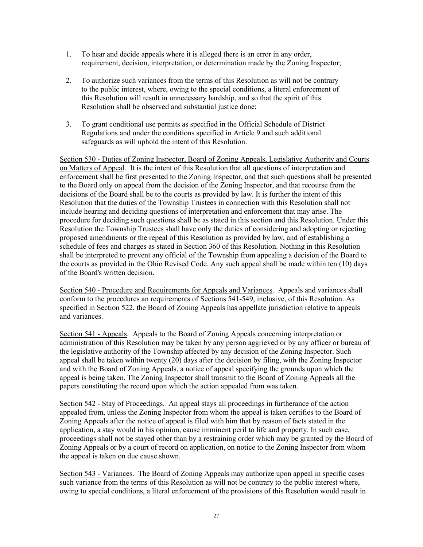- 1. To hear and decide appeals where it is alleged there is an error in any order, requirement, decision, interpretation, or determination made by the Zoning Inspector;
- 2. To authorize such variances from the terms of this Resolution as will not be contrary to the public interest, where, owing to the special conditions, a literal enforcement of this Resolution will result in unnecessary hardship, and so that the spirit of this Resolution shall be observed and substantial justice done;
- 3. To grant conditional use permits as specified in the Official Schedule of District Regulations and under the conditions specified in Article 9 and such additional safeguards as will uphold the intent of this Resolution.

Section 530 - Duties of Zoning Inspector, Board of Zoning Appeals, Legislative Authority and Courts on Matters of Appeal. It is the intent of this Resolution that all questions of interpretation and enforcement shall be first presented to the Zoning Inspector, and that such questions shall be presented to the Board only on appeal from the decision of the Zoning Inspector, and that recourse from the decisions of the Board shall be to the courts as provided by law. It is further the intent of this Resolution that the duties of the Township Trustees in connection with this Resolution shall not include hearing and deciding questions of interpretation and enforcement that may arise. The procedure for deciding such questions shall be as stated in this section and this Resolution. Under this Resolution the Township Trustees shall have only the duties of considering and adopting or rejecting proposed amendments or the repeal of this Resolution as provided by law, and of establishing a schedule of fees and charges as stated in Section 360 of this Resolution. Nothing in this Resolution shall be interpreted to prevent any official of the Township from appealing a decision of the Board to the courts as provided in the Ohio Revised Code. Any such appeal shall be made within ten (10) days of the Board's written decision.

Section 540 - Procedure and Requirements for Appeals and Variances. Appeals and variances shall conform to the procedures an requirements of Sections 541-549, inclusive, of this Resolution. As specified in Section 522, the Board of Zoning Appeals has appellate jurisdiction relative to appeals and variances.

Section 541 - Appeals. Appeals to the Board of Zoning Appeals concerning interpretation or administration of this Resolution may be taken by any person aggrieved or by any officer or bureau of the legislative authority of the Township affected by any decision of the Zoning Inspector. Such appeal shall be taken within twenty (20) days after the decision by filing, with the Zoning Inspector and with the Board of Zoning Appeals, a notice of appeal specifying the grounds upon which the appeal is being taken. The Zoning Inspector shall transmit to the Board of Zoning Appeals all the papers constituting the record upon which the action appealed from was taken.

Section 542 - Stay of Proceedings. An appeal stays all proceedings in furtherance of the action appealed from, unless the Zoning Inspector from whom the appeal is taken certifies to the Board of Zoning Appeals after the notice of appeal is filed with him that by reason of facts stated in the application, a stay would in his opinion, cause imminent peril to life and property. In such case, proceedings shall not be stayed other than by a restraining order which may be granted by the Board of Zoning Appeals or by a court of record on application, on notice to the Zoning Inspector from whom the appeal is taken on due cause shown.

Section 543 - Variances. The Board of Zoning Appeals may authorize upon appeal in specific cases such variance from the terms of this Resolution as will not be contrary to the public interest where, owing to special conditions, a literal enforcement of the provisions of this Resolution would result in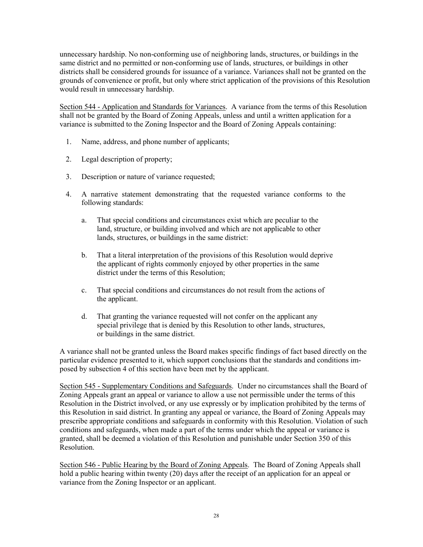unnecessary hardship. No non-conforming use of neighboring lands, structures, or buildings in the same district and no permitted or non-conforming use of lands, structures, or buildings in other districts shall be considered grounds for issuance of a variance. Variances shall not be granted on the grounds of convenience or profit, but only where strict application of the provisions of this Resolution would result in unnecessary hardship.

Section 544 - Application and Standards for Variances. A variance from the terms of this Resolution shall not be granted by the Board of Zoning Appeals, unless and until a written application for a variance is submitted to the Zoning Inspector and the Board of Zoning Appeals containing:

- 1. Name, address, and phone number of applicants;
- 2. Legal description of property;
- 3. Description or nature of variance requested;
- 4. A narrative statement demonstrating that the requested variance conforms to the following standards:
	- a. That special conditions and circumstances exist which are peculiar to the land, structure, or building involved and which are not applicable to other lands, structures, or buildings in the same district:
	- b. That a literal interpretation of the provisions of this Resolution would deprive the applicant of rights commonly enjoyed by other properties in the same district under the terms of this Resolution;
	- c. That special conditions and circumstances do not result from the actions of the applicant.
	- d. That granting the variance requested will not confer on the applicant any special privilege that is denied by this Resolution to other lands, structures, or buildings in the same district.

A variance shall not be granted unless the Board makes specific findings of fact based directly on the particular evidence presented to it, which support conclusions that the standards and conditions imposed by subsection 4 of this section have been met by the applicant.

Section 545 - Supplementary Conditions and Safeguards. Under no circumstances shall the Board of Zoning Appeals grant an appeal or variance to allow a use not permissible under the terms of this Resolution in the District involved, or any use expressly or by implication prohibited by the terms of this Resolution in said district. In granting any appeal or variance, the Board of Zoning Appeals may prescribe appropriate conditions and safeguards in conformity with this Resolution. Violation of such conditions and safeguards, when made a part of the terms under which the appeal or variance is granted, shall be deemed a violation of this Resolution and punishable under Section 350 of this Resolution.

Section 546 - Public Hearing by the Board of Zoning Appeals. The Board of Zoning Appeals shall hold a public hearing within twenty (20) days after the receipt of an application for an appeal or variance from the Zoning Inspector or an applicant.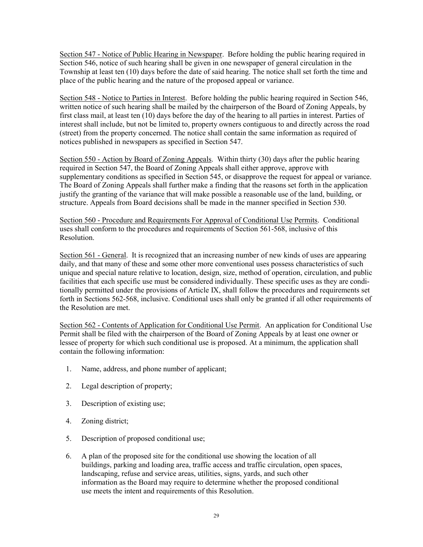Section 547 - Notice of Public Hearing in Newspaper. Before holding the public hearing required in Section 546, notice of such hearing shall be given in one newspaper of general circulation in the Township at least ten (10) days before the date of said hearing. The notice shall set forth the time and place of the public hearing and the nature of the proposed appeal or variance.

Section 548 - Notice to Parties in Interest. Before holding the public hearing required in Section 546, written notice of such hearing shall be mailed by the chairperson of the Board of Zoning Appeals, by first class mail, at least ten (10) days before the day of the hearing to all parties in interest. Parties of interest shall include, but not be limited to, property owners contiguous to and directly across the road (street) from the property concerned. The notice shall contain the same information as required of notices published in newspapers as specified in Section 547.

Section 550 - Action by Board of Zoning Appeals. Within thirty (30) days after the public hearing required in Section 547, the Board of Zoning Appeals shall either approve, approve with supplementary conditions as specified in Section 545, or disapprove the request for appeal or variance. The Board of Zoning Appeals shall further make a finding that the reasons set forth in the application justify the granting of the variance that will make possible a reasonable use of the land, building, or structure. Appeals from Board decisions shall be made in the manner specified in Section 530.

Section 560 - Procedure and Requirements For Approval of Conditional Use Permits. Conditional uses shall conform to the procedures and requirements of Section 561-568, inclusive of this Resolution.

Section 561 - General. It is recognized that an increasing number of new kinds of uses are appearing daily, and that many of these and some other more conventional uses possess characteristics of such unique and special nature relative to location, design, size, method of operation, circulation, and public facilities that each specific use must be considered individually. These specific uses as they are conditionally permitted under the provisions of Article IX, shall follow the procedures and requirements set forth in Sections 562-568, inclusive. Conditional uses shall only be granted if all other requirements of the Resolution are met.

Section 562 - Contents of Application for Conditional Use Permit. An application for Conditional Use Permit shall be filed with the chairperson of the Board of Zoning Appeals by at least one owner or lessee of property for which such conditional use is proposed. At a minimum, the application shall contain the following information:

- 1. Name, address, and phone number of applicant;
- 2. Legal description of property;
- 3. Description of existing use;
- 4. Zoning district;
- 5. Description of proposed conditional use;
- 6. A plan of the proposed site for the conditional use showing the location of all buildings, parking and loading area, traffic access and traffic circulation, open spaces, landscaping, refuse and service areas, utilities, signs, yards, and such other information as the Board may require to determine whether the proposed conditional use meets the intent and requirements of this Resolution.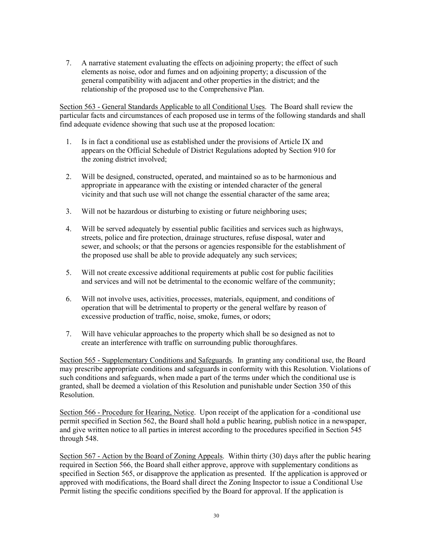7. A narrative statement evaluating the effects on adjoining property; the effect of such elements as noise, odor and fumes and on adjoining property; a discussion of the general compatibility with adjacent and other properties in the district; and the relationship of the proposed use to the Comprehensive Plan.

Section 563 - General Standards Applicable to all Conditional Uses. The Board shall review the particular facts and circumstances of each proposed use in terms of the following standards and shall find adequate evidence showing that such use at the proposed location:

- 1. Is in fact a conditional use as established under the provisions of Article IX and appears on the Official Schedule of District Regulations adopted by Section 910 for the zoning district involved;
- 2. Will be designed, constructed, operated, and maintained so as to be harmonious and appropriate in appearance with the existing or intended character of the general vicinity and that such use will not change the essential character of the same area;
- 3. Will not be hazardous or disturbing to existing or future neighboring uses;
- 4. Will be served adequately by essential public facilities and services such as highways, streets, police and fire protection, drainage structures, refuse disposal, water and sewer, and schools; or that the persons or agencies responsible for the establishment of the proposed use shall be able to provide adequately any such services;
- 5. Will not create excessive additional requirements at public cost for public facilities and services and will not be detrimental to the economic welfare of the community;
- 6. Will not involve uses, activities, processes, materials, equipment, and conditions of operation that will be detrimental to property or the general welfare by reason of excessive production of traffic, noise, smoke, fumes, or odors;
- 7. Will have vehicular approaches to the property which shall be so designed as not to create an interference with traffic on surrounding public thoroughfares.

Section 565 - Supplementary Conditions and Safeguards. In granting any conditional use, the Board may prescribe appropriate conditions and safeguards in conformity with this Resolution. Violations of such conditions and safeguards, when made a part of the terms under which the conditional use is granted, shall be deemed a violation of this Resolution and punishable under Section 350 of this Resolution.

Section 566 - Procedure for Hearing, Notice. Upon receipt of the application for a -conditional use permit specified in Section 562, the Board shall hold a public hearing, publish notice in a newspaper, and give written notice to all parties in interest according to the procedures specified in Section 545 through 548.

Section 567 - Action by the Board of Zoning Appeals. Within thirty (30) days after the public hearing required in Section 566, the Board shall either approve, approve with supplementary conditions as specified in Section 565, or disapprove the application as presented. If the application is approved or approved with modifications, the Board shall direct the Zoning Inspector to issue a Conditional Use Permit listing the specific conditions specified by the Board for approval. If the application is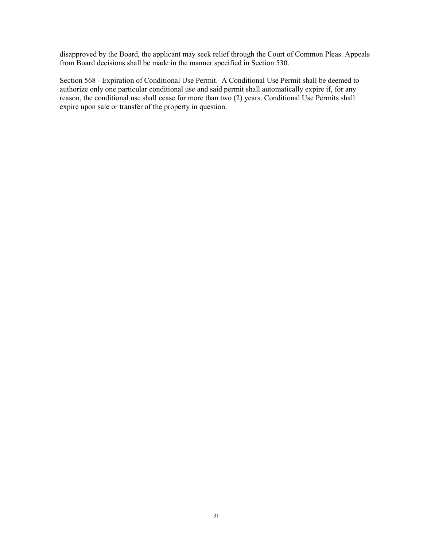disapproved by the Board, the applicant may seek relief through the Court of Common Pleas. Appeals from Board decisions shall be made in the manner specified in Section 530.

Section 568 - Expiration of Conditional Use Permit. A Conditional Use Permit shall be deemed to authorize only one particular conditional use and said permit shall automatically expire if, for any reason, the conditional use shall cease for more than two (2) years. Conditional Use Permits shall expire upon sale or transfer of the property in question.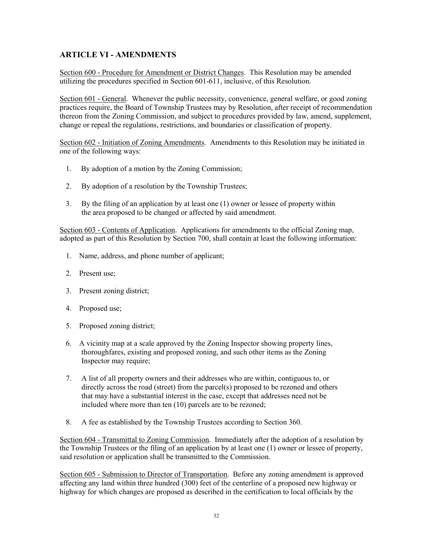# ARTICLE VI - AMENDMENTS

Section 600 - Procedure for Amendment or District Changes. This Resolution may be amended utilizing the procedures specified in Section 601-611, inclusive, of this Resolution.

Section 601 - General. Whenever the public necessity, convenience, general welfare, or good zoning practices require, the Board of Township Trustees may by Resolution, after receipt of recommendation thereon from the Zoning Commission, and subject to procedures provided by law, amend, supplement, change or repeal the regulations, restrictions, and boundaries or classification of property.

Section 602 - Initiation of Zoning Amendments. Amendments to this Resolution may be initiated in one of the following ways:

- 1. By adoption of a motion by the Zoning Commission;
- 2. By adoption of a resolution by the Township Trustees;
- 3. By the filing of an application by at least one (1) owner or lessee of property within the area proposed to be changed or affected by said amendment.

Section 603 - Contents of Application. Applications for amendments to the official Zoning map, adopted as part of this Resolution by Section 700, shall contain at least the following information:

- 1. Name, address, and phone number of applicant;
- 2. Present use;
- 3. Present zoning district;
- 4. Proposed use;
- 5. Proposed zoning district;
- 6. A vicinity map at a scale approved by the Zoning Inspector showing property lines, thoroughfares, existing and proposed zoning, and such other items as the Zoning Inspector may require;
- 7. A list of all property owners and their addresses who are within, contiguous to, or directly across the road (street) from the parcel(s) proposed to be rezoned and others that may have a substantial interest in the case, except that addresses need not be included where more than ten (10) parcels are to be rezoned;
- 8. A fee as established by the Township Trustees according to Section 360.

Section 604 - Transmittal to Zoning Commission. Immediately after the adoption of a resolution by the Township Trustees or the filing of an application by at least one (1) owner or lessee of property, said resolution or application shall be transmitted to the Commission.

Section 605 - Submission to Director of Transportation. Before any zoning amendment is approved affecting any land within three hundred (300) feet of the centerline of a proposed new highway or highway for which changes are proposed as described in the certification to local officials by the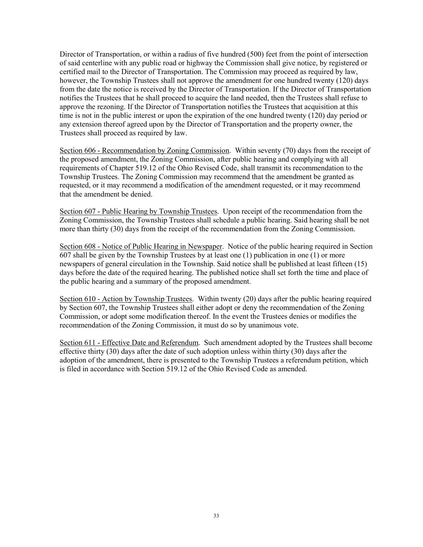Director of Transportation, or within a radius of five hundred (500) feet from the point of intersection of said centerline with any public road or highway the Commission shall give notice, by registered or certified mail to the Director of Transportation. The Commission may proceed as required by law, however, the Township Trustees shall not approve the amendment for one hundred twenty (120) days from the date the notice is received by the Director of Transportation. If the Director of Transportation notifies the Trustees that he shall proceed to acquire the land needed, then the Trustees shall refuse to approve the rezoning. If the Director of Transportation notifies the Trustees that acquisition at this time is not in the public interest or upon the expiration of the one hundred twenty (120) day period or any extension thereof agreed upon by the Director of Transportation and the property owner, the Trustees shall proceed as required by law.

Section 606 - Recommendation by Zoning Commission. Within seventy (70) days from the receipt of the proposed amendment, the Zoning Commission, after public hearing and complying with all requirements of Chapter 519.12 of the Ohio Revised Code, shall transmit its recommendation to the Township Trustees. The Zoning Commission may recommend that the amendment be granted as requested, or it may recommend a modification of the amendment requested, or it may recommend that the amendment be denied.

Section 607 - Public Hearing by Township Trustees. Upon receipt of the recommendation from the Zoning Commission, the Township Trustees shall schedule a public hearing. Said hearing shall be not more than thirty (30) days from the receipt of the recommendation from the Zoning Commission.

Section 608 - Notice of Public Hearing in Newspaper. Notice of the public hearing required in Section 607 shall be given by the Township Trustees by at least one (1) publication in one (1) or more newspapers of general circulation in the Township. Said notice shall be published at least fifteen (15) days before the date of the required hearing. The published notice shall set forth the time and place of the public hearing and a summary of the proposed amendment.

Section 610 - Action by Township Trustees. Within twenty (20) days after the public hearing required by Section 607, the Township Trustees shall either adopt or deny the recommendation of the Zoning Commission, or adopt some modification thereof. In the event the Trustees denies or modifies the recommendation of the Zoning Commission, it must do so by unanimous vote.

Section 611 - Effective Date and Referendum. Such amendment adopted by the Trustees shall become effective thirty (30) days after the date of such adoption unless within thirty (30) days after the adoption of the amendment, there is presented to the Township Trustees a referendum petition, which is filed in accordance with Section 519.12 of the Ohio Revised Code as amended.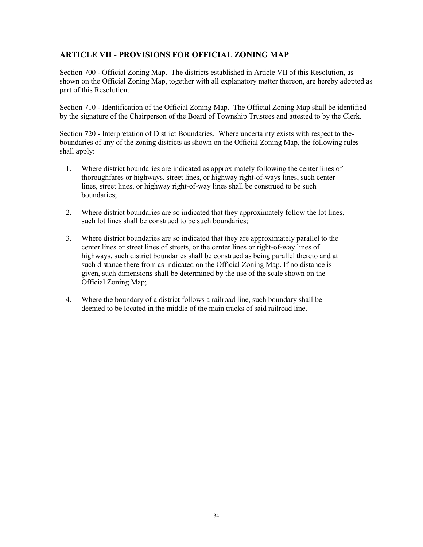## ARTICLE VII - PROVISIONS FOR OFFICIAL ZONING MAP

Section 700 - Official Zoning Map. The districts established in Article VII of this Resolution, as shown on the Official Zoning Map, together with all explanatory matter thereon, are hereby adopted as part of this Resolution.

Section 710 - Identification of the Official Zoning Map. The Official Zoning Map shall be identified by the signature of the Chairperson of the Board of Township Trustees and attested to by the Clerk.

Section 720 - Interpretation of District Boundaries. Where uncertainty exists with respect to theboundaries of any of the zoning districts as shown on the Official Zoning Map, the following rules shall apply:

- 1. Where district boundaries are indicated as approximately following the center lines of thoroughfares or highways, street lines, or highway right-of-ways lines, such center lines, street lines, or highway right-of-way lines shall be construed to be such boundaries;
- 2. Where district boundaries are so indicated that they approximately follow the lot lines, such lot lines shall be construed to be such boundaries;
- 3. Where district boundaries are so indicated that they are approximately parallel to the center lines or street lines of streets, or the center lines or right-of-way lines of highways, such district boundaries shall be construed as being parallel thereto and at such distance there from as indicated on the Official Zoning Map. If no distance is given, such dimensions shall be determined by the use of the scale shown on the Official Zoning Map;
- 4. Where the boundary of a district follows a railroad line, such boundary shall be deemed to be located in the middle of the main tracks of said railroad line.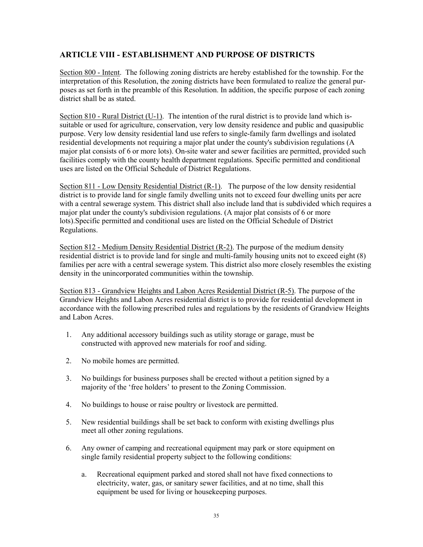### ARTICLE VIII - ESTABLISHMENT AND PURPOSE OF DISTRICTS

Section 800 - Intent. The following zoning districts are hereby established for the township. For the interpretation of this Resolution, the zoning districts have been formulated to realize the general purposes as set forth in the preamble of this Resolution. In addition, the specific purpose of each zoning district shall be as stated.

Section 810 - Rural District (U-1). The intention of the rural district is to provide land which issuitable or used for agriculture, conservation, very low density residence and public and quasipublic purpose. Very low density residential land use refers to single-family farm dwellings and isolated residential developments not requiring a major plat under the county's subdivision regulations (A major plat consists of 6 or more lots). On-site water and sewer facilities are permitted, provided such facilities comply with the county health department regulations. Specific permitted and conditional uses are listed on the Official Schedule of District Regulations.

Section 811 - Low Density Residential District  $(R-1)$ . The purpose of the low density residential district is to provide land for single family dwelling units not to exceed four dwelling units per acre with a central sewerage system. This district shall also include land that is subdivided which requires a major plat under the county's subdivision regulations. (A major plat consists of 6 or more lots).Specific permitted and conditional uses are listed on the Official Schedule of District Regulations.

Section 812 - Medium Density Residential District (R-2). The purpose of the medium density residential district is to provide land for single and multi-family housing units not to exceed eight (8) families per acre with a central sewerage system. This district also more closely resembles the existing density in the unincorporated communities within the township.

Section 813 - Grandview Heights and Labon Acres Residential District (R-5). The purpose of the Grandview Heights and Labon Acres residential district is to provide for residential development in accordance with the following prescribed rules and regulations by the residents of Grandview Heights and Labon Acres.

- 1. Any additional accessory buildings such as utility storage or garage, must be constructed with approved new materials for roof and siding.
- 2. No mobile homes are permitted.
- 3. No buildings for business purposes shall be erected without a petition signed by a majority of the 'free holders' to present to the Zoning Commission.
- 4. No buildings to house or raise poultry or livestock are permitted.
- 5. New residential buildings shall be set back to conform with existing dwellings plus meet all other zoning regulations.
- 6. Any owner of camping and recreational equipment may park or store equipment on single family residential property subject to the following conditions:
	- a. Recreational equipment parked and stored shall not have fixed connections to electricity, water, gas, or sanitary sewer facilities, and at no time, shall this equipment be used for living or housekeeping purposes.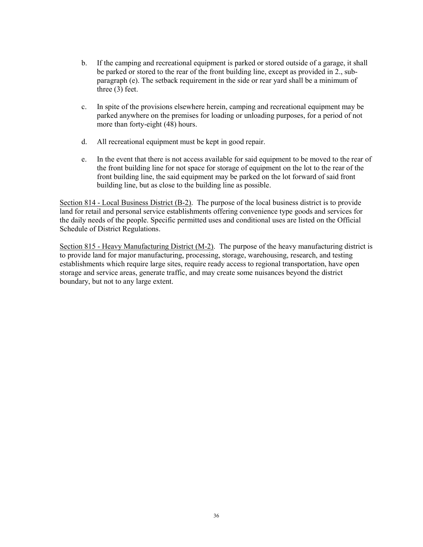- b. If the camping and recreational equipment is parked or stored outside of a garage, it shall be parked or stored to the rear of the front building line, except as provided in 2., subparagraph (e). The setback requirement in the side or rear yard shall be a minimum of three (3) feet.
- c. In spite of the provisions elsewhere herein, camping and recreational equipment may be parked anywhere on the premises for loading or unloading purposes, for a period of not more than forty-eight (48) hours.
- d. All recreational equipment must be kept in good repair.
- e. In the event that there is not access available for said equipment to be moved to the rear of the front building line for not space for storage of equipment on the lot to the rear of the front building line, the said equipment may be parked on the lot forward of said front building line, but as close to the building line as possible.

Section 814 - Local Business District (B-2). The purpose of the local business district is to provide land for retail and personal service establishments offering convenience type goods and services for the daily needs of the people. Specific permitted uses and conditional uses are listed on the Official Schedule of District Regulations.

Section 815 - Heavy Manufacturing District (M-2). The purpose of the heavy manufacturing district is to provide land for major manufacturing, processing, storage, warehousing, research, and testing establishments which require large sites, require ready access to regional transportation, have open storage and service areas, generate traffic, and may create some nuisances beyond the district boundary, but not to any large extent.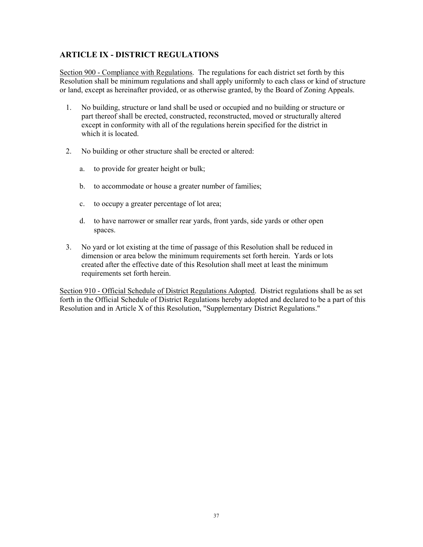### ARTICLE IX - DISTRICT REGULATIONS

Section 900 - Compliance with Regulations. The regulations for each district set forth by this Resolution shall be minimum regulations and shall apply uniformly to each class or kind of structure or land, except as hereinafter provided, or as otherwise granted, by the Board of Zoning Appeals.

- 1. No building, structure or land shall be used or occupied and no building or structure or part thereof shall be erected, constructed, reconstructed, moved or structurally altered except in conformity with all of the regulations herein specified for the district in which it is located.
- 2. No building or other structure shall be erected or altered:
	- a. to provide for greater height or bulk;
	- b. to accommodate or house a greater number of families;
	- c. to occupy a greater percentage of lot area;
	- d. to have narrower or smaller rear yards, front yards, side yards or other open spaces.
- 3. No yard or lot existing at the time of passage of this Resolution shall be reduced in dimension or area below the minimum requirements set forth herein. Yards or lots created after the effective date of this Resolution shall meet at least the minimum requirements set forth herein.

Section 910 - Official Schedule of District Regulations Adopted. District regulations shall be as set forth in the Official Schedule of District Regulations hereby adopted and declared to be a part of this Resolution and in Article X of this Resolution, "Supplementary District Regulations."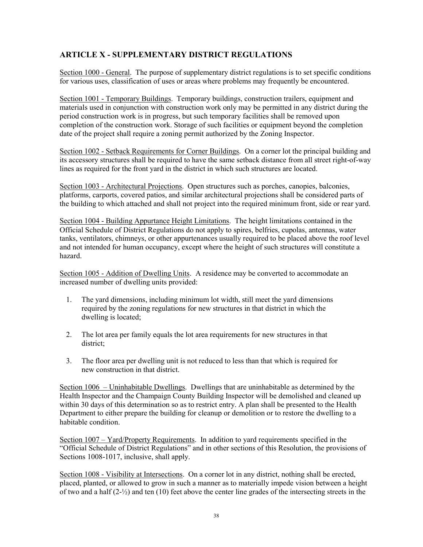## ARTICLE X - SUPPLEMENTARY DISTRICT REGULATIONS

Section 1000 - General. The purpose of supplementary district regulations is to set specific conditions for various uses, classification of uses or areas where problems may frequently be encountered.

Section 1001 - Temporary Buildings. Temporary buildings, construction trailers, equipment and materials used in conjunction with construction work only may be permitted in any district during the period construction work is in progress, but such temporary facilities shall be removed upon completion of the construction work. Storage of such facilities or equipment beyond the completion date of the project shall require a zoning permit authorized by the Zoning Inspector.

Section 1002 - Setback Requirements for Corner Buildings. On a corner lot the principal building and its accessory structures shall be required to have the same setback distance from all street right-of-way lines as required for the front yard in the district in which such structures are located.

Section 1003 - Architectural Projections. Open structures such as porches, canopies, balconies, platforms, carports, covered patios, and similar architectural projections shall be considered parts of the building to which attached and shall not project into the required minimum front, side or rear yard.

Section 1004 - Building Appurtance Height Limitations. The height limitations contained in the Official Schedule of District Regulations do not apply to spires, belfries, cupolas, antennas, water tanks, ventilators, chimneys, or other appurtenances usually required to be placed above the roof level and not intended for human occupancy, except where the height of such structures will constitute a hazard.

Section 1005 - Addition of Dwelling Units. A residence may be converted to accommodate an increased number of dwelling units provided:

- 1. The yard dimensions, including minimum lot width, still meet the yard dimensions required by the zoning regulations for new structures in that district in which the dwelling is located;
- 2. The lot area per family equals the lot area requirements for new structures in that district;
- 3. The floor area per dwelling unit is not reduced to less than that which is required for new construction in that district.

Section 1006 – Uninhabitable Dwellings. Dwellings that are uninhabitable as determined by the Health Inspector and the Champaign County Building Inspector will be demolished and cleaned up within 30 days of this determination so as to restrict entry. A plan shall be presented to the Health Department to either prepare the building for cleanup or demolition or to restore the dwelling to a habitable condition.

Section 1007 – Yard/Property Requirements. In addition to yard requirements specified in the "Official Schedule of District Regulations" and in other sections of this Resolution, the provisions of Sections 1008-1017, inclusive, shall apply.

Section 1008 - Visibility at Intersections. On a corner lot in any district, nothing shall be erected, placed, planted, or allowed to grow in such a manner as to materially impede vision between a height of two and a half  $(2-\frac{1}{2})$  and ten (10) feet above the center line grades of the intersecting streets in the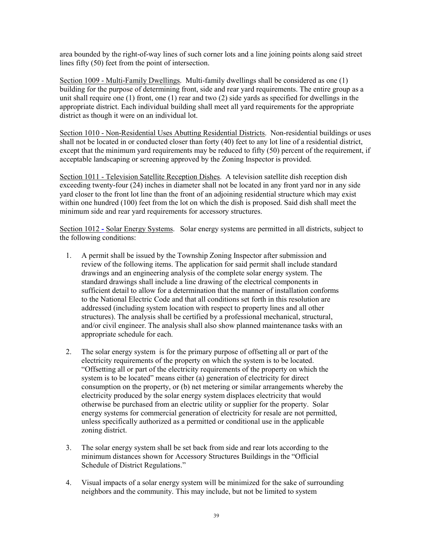area bounded by the right-of-way lines of such corner lots and a line joining points along said street lines fifty (50) feet from the point of intersection.

Section 1009 - Multi-Family Dwellings. Multi-family dwellings shall be considered as one (1) building for the purpose of determining front, side and rear yard requirements. The entire group as a unit shall require one (1) front, one (1) rear and two (2) side yards as specified for dwellings in the appropriate district. Each individual building shall meet all yard requirements for the appropriate district as though it were on an individual lot.

Section 1010 - Non-Residential Uses Abutting Residential Districts. Non-residential buildings or uses shall not be located in or conducted closer than forty (40) feet to any lot line of a residential district, except that the minimum yard requirements may be reduced to fifty (50) percent of the requirement, if acceptable landscaping or screening approved by the Zoning Inspector is provided.

Section 1011 - Television Satellite Reception Dishes. A television satellite dish reception dish exceeding twenty-four (24) inches in diameter shall not be located in any front yard nor in any side yard closer to the front lot line than the front of an adjoining residential structure which may exist within one hundred (100) feet from the lot on which the dish is proposed. Said dish shall meet the minimum side and rear yard requirements for accessory structures.

Section 1012 - Solar Energy Systems. Solar energy systems are permitted in all districts, subject to the following conditions:

- 1. A permit shall be issued by the Township Zoning Inspector after submission and review of the following items. The application for said permit shall include standard drawings and an engineering analysis of the complete solar energy system. The standard drawings shall include a line drawing of the electrical components in sufficient detail to allow for a determination that the manner of installation conforms to the National Electric Code and that all conditions set forth in this resolution are addressed (including system location with respect to property lines and all other structures). The analysis shall be certified by a professional mechanical, structural, and/or civil engineer. The analysis shall also show planned maintenance tasks with an appropriate schedule for each.
- 2. The solar energy system is for the primary purpose of offsetting all or part of the electricity requirements of the property on which the system is to be located. "Offsetting all or part of the electricity requirements of the property on which the system is to be located" means either (a) generation of electricity for direct consumption on the property, or (b) net metering or similar arrangements whereby the electricity produced by the solar energy system displaces electricity that would otherwise be purchased from an electric utility or supplier for the property. Solar energy systems for commercial generation of electricity for resale are not permitted, unless specifically authorized as a permitted or conditional use in the applicable zoning district.
- 3. The solar energy system shall be set back from side and rear lots according to the minimum distances shown for Accessory Structures Buildings in the "Official Schedule of District Regulations."
- 4. Visual impacts of a solar energy system will be minimized for the sake of surrounding neighbors and the community. This may include, but not be limited to system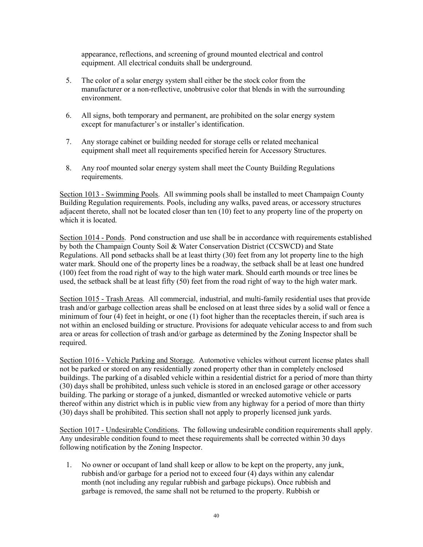appearance, reflections, and screening of ground mounted electrical and control equipment. All electrical conduits shall be underground.

- 5. The color of a solar energy system shall either be the stock color from the manufacturer or a non-reflective, unobtrusive color that blends in with the surrounding environment.
- 6. All signs, both temporary and permanent, are prohibited on the solar energy system except for manufacturer's or installer's identification.
- 7. Any storage cabinet or building needed for storage cells or related mechanical equipment shall meet all requirements specified herein for Accessory Structures.
- 8. Any roof mounted solar energy system shall meet the County Building Regulations requirements.

Section 1013 - Swimming Pools. All swimming pools shall be installed to meet Champaign County Building Regulation requirements. Pools, including any walks, paved areas, or accessory structures adjacent thereto, shall not be located closer than ten (10) feet to any property line of the property on which it is located.

Section 1014 - Ponds. Pond construction and use shall be in accordance with requirements established by both the Champaign County Soil & Water Conservation District (CCSWCD) and State Regulations. All pond setbacks shall be at least thirty (30) feet from any lot property line to the high water mark. Should one of the property lines be a roadway, the setback shall be at least one hundred (100) feet from the road right of way to the high water mark. Should earth mounds or tree lines be used, the setback shall be at least fifty (50) feet from the road right of way to the high water mark.

Section 1015 - Trash Areas. All commercial, industrial, and multi-family residential uses that provide trash and/or garbage collection areas shall be enclosed on at least three sides by a solid wall or fence a minimum of four (4) feet in height, or one (1) foot higher than the receptacles therein, if such area is not within an enclosed building or structure. Provisions for adequate vehicular access to and from such area or areas for collection of trash and/or garbage as determined by the Zoning Inspector shall be required.

Section 1016 - Vehicle Parking and Storage. Automotive vehicles without current license plates shall not be parked or stored on any residentially zoned property other than in completely enclosed buildings. The parking of a disabled vehicle within a residential district for a period of more than thirty (30) days shall be prohibited, unless such vehicle is stored in an enclosed garage or other accessory building. The parking or storage of a junked, dismantled or wrecked automotive vehicle or parts thereof within any district which is in public view from any highway for a period of more than thirty (30) days shall be prohibited. This section shall not apply to properly licensed junk yards.

Section 1017 - Undesirable Conditions. The following undesirable condition requirements shall apply. Any undesirable condition found to meet these requirements shall be corrected within 30 days following notification by the Zoning Inspector.

1. No owner or occupant of land shall keep or allow to be kept on the property, any junk, rubbish and/or garbage for a period not to exceed four (4) days within any calendar month (not including any regular rubbish and garbage pickups). Once rubbish and garbage is removed, the same shall not be returned to the property. Rubbish or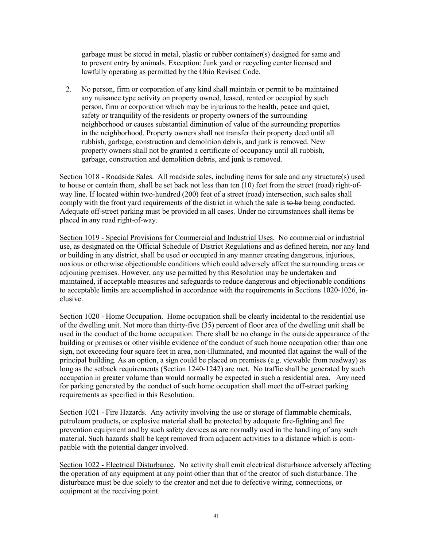garbage must be stored in metal, plastic or rubber container(s) designed for same and to prevent entry by animals. Exception: Junk yard or recycling center licensed and lawfully operating as permitted by the Ohio Revised Code.

2. No person, firm or corporation of any kind shall maintain or permit to be maintained any nuisance type activity on property owned, leased, rented or occupied by such person, firm or corporation which may be injurious to the health, peace and quiet, safety or tranquility of the residents or property owners of the surrounding neighborhood or causes substantial diminution of value of the surrounding properties in the neighborhood. Property owners shall not transfer their property deed until all rubbish, garbage, construction and demolition debris, and junk is removed. New property owners shall not be granted a certificate of occupancy until all rubbish, garbage, construction and demolition debris, and junk is removed.

Section 1018 - Roadside Sales. All roadside sales, including items for sale and any structure(s) used to house or contain them, shall be set back not less than ten (10) feet from the street (road) right-ofway line. If located within two-hundred (200) feet of a street (road) intersection, such sales shall comply with the front yard requirements of the district in which the sale is to be being conducted. Adequate off-street parking must be provided in all cases. Under no circumstances shall items be placed in any road right-of-way.

Section 1019 - Special Provisions for Commercial and Industrial Uses. No commercial or industrial use, as designated on the Official Schedule of District Regulations and as defined herein, nor any land or building in any district, shall be used or occupied in any manner creating dangerous, injurious, noxious or otherwise objectionable conditions which could adversely affect the surrounding areas or adjoining premises. However, any use permitted by this Resolution may be undertaken and maintained, if acceptable measures and safeguards to reduce dangerous and objectionable conditions to acceptable limits are accomplished in accordance with the requirements in Sections 1020-1026, inclusive.

Section 1020 - Home Occupation. Home occupation shall be clearly incidental to the residential use of the dwelling unit. Not more than thirty-five (35) percent of floor area of the dwelling unit shall be used in the conduct of the home occupation. There shall be no change in the outside appearance of the building or premises or other visible evidence of the conduct of such home occupation other than one sign, not exceeding four square feet in area, non-illuminated, and mounted flat against the wall of the principal building. As an option, a sign could be placed on premises (e.g. viewable from roadway) as long as the setback requirements (Section 1240-1242) are met. No traffic shall be generated by such occupation in greater volume than would normally be expected in such a residential area. Any need for parking generated by the conduct of such home occupation shall meet the off-street parking requirements as specified in this Resolution.

Section 1021 - Fire Hazards. Any activity involving the use or storage of flammable chemicals, petroleum products, or explosive material shall be protected by adequate fire-fighting and fire prevention equipment and by such safety devices as are normally used in the handling of any such material. Such hazards shall be kept removed from adjacent activities to a distance which is compatible with the potential danger involved.

Section 1022 - Electrical Disturbance. No activity shall emit electrical disturbance adversely affecting the operation of any equipment at any point other than that of the creator of such disturbance. The disturbance must be due solely to the creator and not due to defective wiring, connections, or equipment at the receiving point.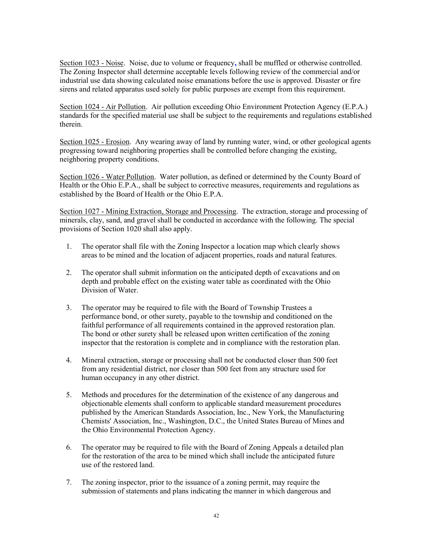Section 1023 - Noise. Noise, due to volume or frequency, shall be muffled or otherwise controlled. The Zoning Inspector shall determine acceptable levels following review of the commercial and/or industrial use data showing calculated noise emanations before the use is approved. Disaster or fire sirens and related apparatus used solely for public purposes are exempt from this requirement.

Section 1024 - Air Pollution. Air pollution exceeding Ohio Environment Protection Agency (E.P.A.) standards for the specified material use shall be subject to the requirements and regulations established therein.

Section 1025 - Erosion. Any wearing away of land by running water, wind, or other geological agents progressing toward neighboring properties shall be controlled before changing the existing, neighboring property conditions.

Section 1026 - Water Pollution. Water pollution, as defined or determined by the County Board of Health or the Ohio E.P.A., shall be subject to corrective measures, requirements and regulations as established by the Board of Health or the Ohio E.P.A.

Section 1027 - Mining Extraction, Storage and Processing. The extraction, storage and processing of minerals, clay, sand, and gravel shall be conducted in accordance with the following. The special provisions of Section 1020 shall also apply.

- 1. The operator shall file with the Zoning Inspector a location map which clearly shows areas to be mined and the location of adjacent properties, roads and natural features.
- 2. The operator shall submit information on the anticipated depth of excavations and on depth and probable effect on the existing water table as coordinated with the Ohio Division of Water.
- 3. The operator may be required to file with the Board of Township Trustees a performance bond, or other surety, payable to the township and conditioned on the faithful performance of all requirements contained in the approved restoration plan. The bond or other surety shall be released upon written certification of the zoning inspector that the restoration is complete and in compliance with the restoration plan.
- 4. Mineral extraction, storage or processing shall not be conducted closer than 500 feet from any residential district, nor closer than 500 feet from any structure used for human occupancy in any other district.
- 5. Methods and procedures for the determination of the existence of any dangerous and objectionable elements shall conform to applicable standard measurement procedures published by the American Standards Association, Inc., New York, the Manufacturing Chemists' Association, Inc., Washington, D.C., the United States Bureau of Mines and the Ohio Environmental Protection Agency.
- 6. The operator may be required to file with the Board of Zoning Appeals a detailed plan for the restoration of the area to be mined which shall include the anticipated future use of the restored land.
- 7. The zoning inspector, prior to the issuance of a zoning permit, may require the submission of statements and plans indicating the manner in which dangerous and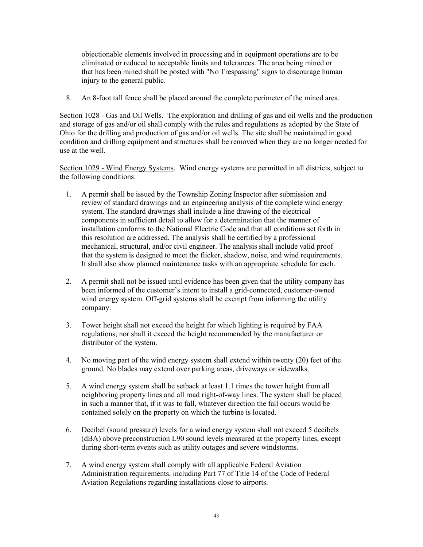objectionable elements involved in processing and in equipment operations are to be eliminated or reduced to acceptable limits and tolerances. The area being mined or that has been mined shall be posted with "No Trespassing" signs to discourage human injury to the general public.

8. An 8-foot tall fence shall be placed around the complete perimeter of the mined area.

Section 1028 - Gas and Oil Wells. The exploration and drilling of gas and oil wells and the production and storage of gas and/or oil shall comply with the rules and regulations as adopted by the State of Ohio for the drilling and production of gas and/or oil wells. The site shall be maintained in good condition and drilling equipment and structures shall be removed when they are no longer needed for use at the well.

Section 1029 - Wind Energy Systems. Wind energy systems are permitted in all districts, subject to the following conditions:

- 1. A permit shall be issued by the Township Zoning Inspector after submission and review of standard drawings and an engineering analysis of the complete wind energy system. The standard drawings shall include a line drawing of the electrical components in sufficient detail to allow for a determination that the manner of installation conforms to the National Electric Code and that all conditions set forth in this resolution are addressed. The analysis shall be certified by a professional mechanical, structural, and/or civil engineer. The analysis shall include valid proof that the system is designed to meet the flicker, shadow, noise, and wind requirements. It shall also show planned maintenance tasks with an appropriate schedule for each.
- 2. A permit shall not be issued until evidence has been given that the utility company has been informed of the customer's intent to install a grid-connected, customer-owned wind energy system. Off-grid systems shall be exempt from informing the utility company.
- 3. Tower height shall not exceed the height for which lighting is required by FAA regulations, nor shall it exceed the height recommended by the manufacturer or distributor of the system.
- 4. No moving part of the wind energy system shall extend within twenty (20) feet of the ground. No blades may extend over parking areas, driveways or sidewalks.
- 5. A wind energy system shall be setback at least 1.1 times the tower height from all neighboring property lines and all road right-of-way lines. The system shall be placed in such a manner that, if it was to fall, whatever direction the fall occurs would be contained solely on the property on which the turbine is located.
- 6. Decibel (sound pressure) levels for a wind energy system shall not exceed 5 decibels (dBA) above preconstruction L90 sound levels measured at the property lines, except during short-term events such as utility outages and severe windstorms.
- 7. A wind energy system shall comply with all applicable Federal Aviation Administration requirements, including Part 77 of Title 14 of the Code of Federal Aviation Regulations regarding installations close to airports.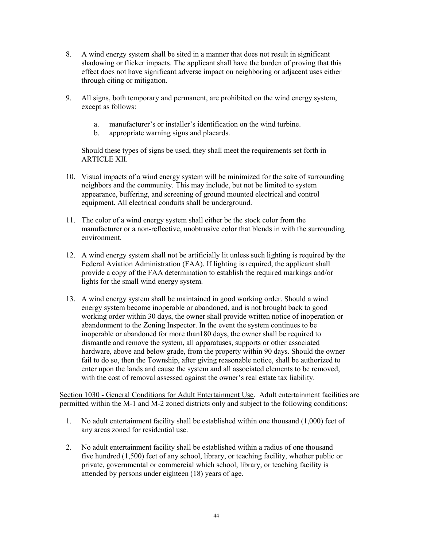- 8. A wind energy system shall be sited in a manner that does not result in significant shadowing or flicker impacts. The applicant shall have the burden of proving that this effect does not have significant adverse impact on neighboring or adjacent uses either through citing or mitigation.
- 9. All signs, both temporary and permanent, are prohibited on the wind energy system, except as follows:
	- a. manufacturer's or installer's identification on the wind turbine.
	- b. appropriate warning signs and placards.

 Should these types of signs be used, they shall meet the requirements set forth in ARTICLE XII.

- 10. Visual impacts of a wind energy system will be minimized for the sake of surrounding neighbors and the community. This may include, but not be limited to system appearance, buffering, and screening of ground mounted electrical and control equipment. All electrical conduits shall be underground.
- 11. The color of a wind energy system shall either be the stock color from the manufacturer or a non-reflective, unobtrusive color that blends in with the surrounding environment.
- 12. A wind energy system shall not be artificially lit unless such lighting is required by the Federal Aviation Administration (FAA). If lighting is required, the applicant shall provide a copy of the FAA determination to establish the required markings and/or lights for the small wind energy system.
- 13. A wind energy system shall be maintained in good working order. Should a wind energy system become inoperable or abandoned, and is not brought back to good working order within 30 days, the owner shall provide written notice of inoperation or abandonment to the Zoning Inspector. In the event the system continues to be inoperable or abandoned for more than180 days, the owner shall be required to dismantle and remove the system, all apparatuses, supports or other associated hardware, above and below grade, from the property within 90 days. Should the owner fail to do so, then the Township, after giving reasonable notice, shall be authorized to enter upon the lands and cause the system and all associated elements to be removed, with the cost of removal assessed against the owner's real estate tax liability.

Section 1030 - General Conditions for Adult Entertainment Use. Adult entertainment facilities are permitted within the M-1 and M-2 zoned districts only and subject to the following conditions:

- 1. No adult entertainment facility shall be established within one thousand (1,000) feet of any areas zoned for residential use.
- 2. No adult entertainment facility shall be established within a radius of one thousand five hundred (1,500) feet of any school, library, or teaching facility, whether public or private, governmental or commercial which school, library, or teaching facility is attended by persons under eighteen (18) years of age.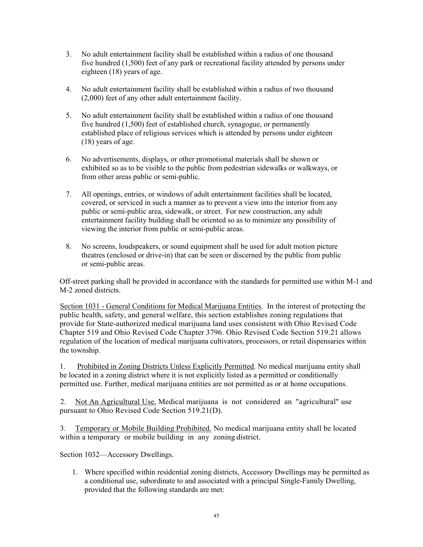- 3. No adult entertainment facility shall be established within a radius of one thousand five hundred (1,500) feet of any park or recreational facility attended by persons under eighteen (18) years of age.
- 4. No adult entertainment facility shall be established within a radius of two thousand (2,000) feet of any other adult entertainment facility.
- 5. No adult entertainment facility shall be established within a radius of one thousand five hundred (1,500) feet of established church, synagogue, or permanently established place of religious services which is attended by persons under eighteen (18) years of age.
- 6. No advertisements, displays, or other promotional materials shall be shown or exhibited so as to be visible to the public from pedestrian sidewalks or walkways, or from other areas public or semi-public.
- 7. All openings, entries, or windows of adult entertainment facilities shall be located, covered, or serviced in such a manner as to prevent a view into the interior from any public or semi-public area, sidewalk, or street. For new construction, any adult entertainment facility building shall be oriented so as to minimize any possibility of viewing the interior from public or semi-public areas.
- 8. No screens, loudspeakers, or sound equipment shall be used for adult motion picture theatres (enclosed or drive-in) that can be seen or discerned by the public from public or semi-public areas.

Off-street parking shall be provided in accordance with the standards for permitted use within M-1 and M-2 zoned districts.

Section 1031 - General Conditions for Medical Marijuana Entities. In the interest of protecting the public health, safety, and general welfare, this section establishes zoning regulations that provide for State-authorized medical marijuana land uses consistent with Ohio Revised Code Chapter 519 and Ohio Revised Code Chapter 3796. Ohio Revised Code Section 519.21 allows regulation of the location of medical marijuana cultivators, processors, or retail dispensaries within the township.

1. Prohibited in Zoning Districts Unless Explicitly Permitted. No medical marijuana entity shall be located in a zoning district where it is not explicitly listed as a permitted or conditionally permitted use. Further, medical marijuana entities are not permitted as or at home occupations.

2. Not An Agricultural Use. Medical marijuana is not considered an "agricultural" use pursuant to Ohio Revised Code Section 519.21(D).

3. Temporary or Mobile Building Prohibited. No medical marijuana entity shall be located within a temporary or mobile building in any zoning district.

Section 1032—Accessory Dwellings.

1. Where specified within residential zoning districts, Accessory Dwellings may be permitted as a conditional use, subordinate to and associated with a principal Single-Family Dwelling, provided that the following standards are met: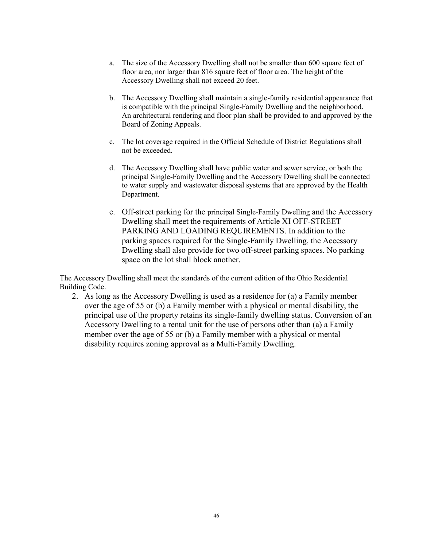- a. The size of the Accessory Dwelling shall not be smaller than 600 square feet of floor area, nor larger than 816 square feet of floor area. The height of the Accessory Dwelling shall not exceed 20 feet.
- b. The Accessory Dwelling shall maintain a single-family residential appearance that is compatible with the principal Single-Family Dwelling and the neighborhood. An architectural rendering and floor plan shall be provided to and approved by the Board of Zoning Appeals.
- c. The lot coverage required in the Official Schedule of District Regulations shall not be exceeded.
- d. The Accessory Dwelling shall have public water and sewer service, or both the principal Single-Family Dwelling and the Accessory Dwelling shall be connected to water supply and wastewater disposal systems that are approved by the Health Department.
- e. Off-street parking for the principal Single-Family Dwelling and the Accessory Dwelling shall meet the requirements of Article XI OFF-STREET PARKING AND LOADING REQUIREMENTS. In addition to the parking spaces required for the Single-Family Dwelling, the Accessory Dwelling shall also provide for two off-street parking spaces. No parking space on the lot shall block another.

The Accessory Dwelling shall meet the standards of the current edition of the Ohio Residential Building Code.

2. As long as the Accessory Dwelling is used as a residence for (a) a Family member over the age of 55 or (b) a Family member with a physical or mental disability, the principal use of the property retains its single-family dwelling status. Conversion of an Accessory Dwelling to a rental unit for the use of persons other than (a) a Family member over the age of 55 or (b) a Family member with a physical or mental disability requires zoning approval as a Multi-Family Dwelling.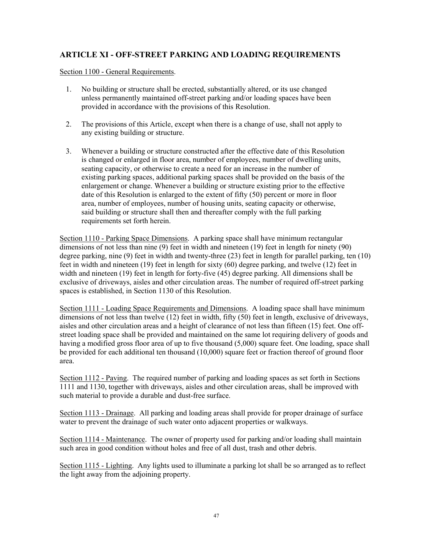## ARTICLE XI - OFF-STREET PARKING AND LOADING REQUIREMENTS

Section 1100 - General Requirements.

- 1. No building or structure shall be erected, substantially altered, or its use changed unless permanently maintained off-street parking and/or loading spaces have been provided in accordance with the provisions of this Resolution.
- 2. The provisions of this Article, except when there is a change of use, shall not apply to any existing building or structure.
- 3. Whenever a building or structure constructed after the effective date of this Resolution is changed or enlarged in floor area, number of employees, number of dwelling units, seating capacity, or otherwise to create a need for an increase in the number of existing parking spaces, additional parking spaces shall be provided on the basis of the enlargement or change. Whenever a building or structure existing prior to the effective date of this Resolution is enlarged to the extent of fifty (50) percent or more in floor area, number of employees, number of housing units, seating capacity or otherwise, said building or structure shall then and thereafter comply with the full parking requirements set forth herein.

Section 1110 - Parking Space Dimensions. A parking space shall have minimum rectangular dimensions of not less than nine (9) feet in width and nineteen (19) feet in length for ninety (90) degree parking, nine (9) feet in width and twenty-three (23) feet in length for parallel parking, ten (10) feet in width and nineteen (19) feet in length for sixty (60) degree parking, and twelve (12) feet in width and nineteen (19) feet in length for forty-five (45) degree parking. All dimensions shall be exclusive of driveways, aisles and other circulation areas. The number of required off-street parking spaces is established, in Section 1130 of this Resolution.

Section 1111 - Loading Space Requirements and Dimensions. A loading space shall have minimum dimensions of not less than twelve (12) feet in width, fifty (50) feet in length, exclusive of driveways, aisles and other circulation areas and a height of clearance of not less than fifteen (15) feet. One offstreet loading space shall be provided and maintained on the same lot requiring delivery of goods and having a modified gross floor area of up to five thousand (5,000) square feet. One loading, space shall be provided for each additional ten thousand (10,000) square feet or fraction thereof of ground floor area.

Section 1112 - Paving. The required number of parking and loading spaces as set forth in Sections 1111 and 1130, together with driveways, aisles and other circulation areas, shall be improved with such material to provide a durable and dust-free surface.

Section 1113 - Drainage. All parking and loading areas shall provide for proper drainage of surface water to prevent the drainage of such water onto adjacent properties or walkways.

Section 1114 - Maintenance. The owner of property used for parking and/or loading shall maintain such area in good condition without holes and free of all dust, trash and other debris.

Section 1115 - Lighting. Any lights used to illuminate a parking lot shall be so arranged as to reflect the light away from the adjoining property.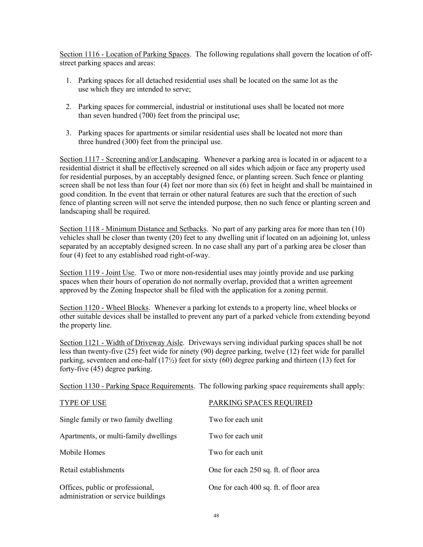Section 1116 - Location of Parking Spaces. The following regulations shall govern the location of offstreet parking spaces and areas:

- 1. Parking spaces for all detached residential uses shall be located on the same lot as the use which they are intended to serve;
- 2. Parking spaces for commercial, industrial or institutional uses shall be located not more than seven hundred (700) feet from the principal use;
- 3. Parking spaces for apartments or similar residential uses shall be located not more than three hundred (300) feet from the principal use.

Section 1117 - Screening and/or Landscaping. Whenever a parking area is located in or adjacent to a residential district it shall be effectively screened on all sides which adjoin or face any property used for residential purposes, by an acceptably designed fence, or planting screen. Such fence or planting screen shall be not less than four (4) feet nor more than six (6) feet in height and shall be maintained in good condition. In the event that terrain or other natural features are such that the erection of such fence of planting screen will not serve the intended purpose, then no such fence or planting screen and landscaping shall be required.

Section 1118 - Minimum Distance and Setbacks. No part of any parking area for more than ten (10) vehicles shall be closer than twenty (20) feet to any dwelling unit if located on an adjoining lot, unless separated by an acceptably designed screen. In no case shall any part of a parking area be closer than four (4) feet to any established road right-of-way.

Section 1119 - Joint Use. Two or more non-residential uses may jointly provide and use parking spaces when their hours of operation do not normally overlap, provided that a written agreement approved by the Zoning Inspector shall be filed with the application for a zoning permit.

Section 1120 - Wheel Blocks. Whenever a parking lot extends to a property line, wheel blocks or other suitable devices shall be installed to prevent any part of a parked vehicle from extending beyond the property line.

Section 1121 - Width of Driveway Aisle. Driveways serving individual parking spaces shall be not less than twenty-five (25) feet wide for ninety (90) degree parking, twelve (12) feet wide for parallel parking, seventeen and one-half  $(17/2)$  feet for sixty (60) degree parking and thirteen (13) feet for forty-five (45) degree parking.

Section 1130 - Parking Space Requirements. The following parking space requirements shall apply:

| TYPE OF USE                                                             | PARKING SPACES REQUIRED                |
|-------------------------------------------------------------------------|----------------------------------------|
| Single family or two family dwelling                                    | Two for each unit                      |
| Apartments, or multi-family dwellings                                   | Two for each unit                      |
| Mobile Homes                                                            | Two for each unit                      |
| Retail establishments                                                   | One for each 250 sq. ft. of floor area |
| Offices, public or professional,<br>administration or service buildings | One for each 400 sq. ft. of floor area |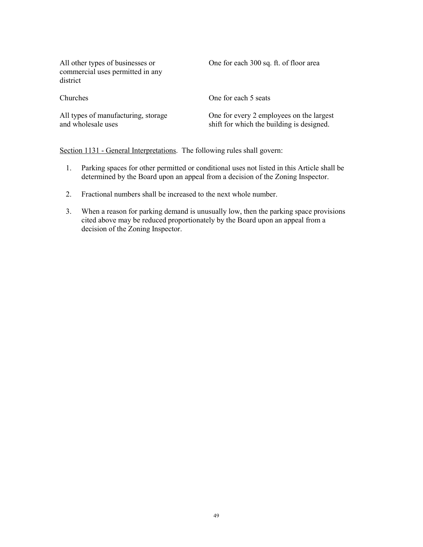| All other types of businesses or<br>commercial uses permitted in any<br>district | One for each 300 sq. ft. of floor area                                                |
|----------------------------------------------------------------------------------|---------------------------------------------------------------------------------------|
| Churches                                                                         | One for each 5 seats                                                                  |
| All types of manufacturing, storage<br>and wholesale uses                        | One for every 2 employees on the largest<br>shift for which the building is designed. |

Section 1131 - General Interpretations. The following rules shall govern:

- 1. Parking spaces for other permitted or conditional uses not listed in this Article shall be determined by the Board upon an appeal from a decision of the Zoning Inspector.
- 2. Fractional numbers shall be increased to the next whole number.
- 3. When a reason for parking demand is unusually low, then the parking space provisions cited above may be reduced proportionately by the Board upon an appeal from a decision of the Zoning Inspector.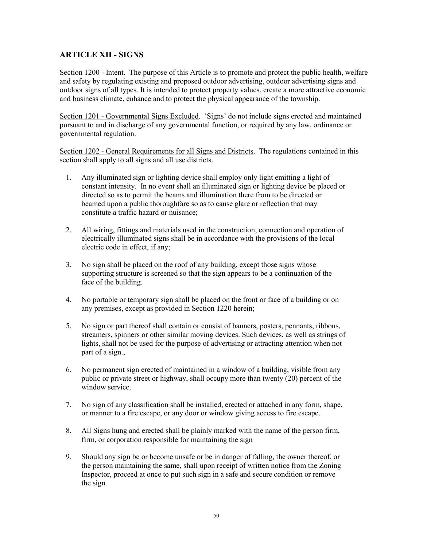### ARTICLE XII - SIGNS

Section 1200 - Intent. The purpose of this Article is to promote and protect the public health, welfare and safety by regulating existing and proposed outdoor advertising, outdoor advertising signs and outdoor signs of all types. It is intended to protect property values, create a more attractive economic and business climate, enhance and to protect the physical appearance of the township.

Section 1201 - Governmental Signs Excluded. 'Signs' do not include signs erected and maintained pursuant to and in discharge of any governmental function, or required by any law, ordinance or governmental regulation.

Section 1202 - General Requirements for all Signs and Districts. The regulations contained in this section shall apply to all signs and all use districts.

- 1. Any illuminated sign or lighting device shall employ only light emitting a light of constant intensity. In no event shall an illuminated sign or lighting device be placed or directed so as to permit the beams and illumination there from to be directed or beamed upon a public thoroughfare so as to cause glare or reflection that may constitute a traffic hazard or nuisance;
- 2. All wiring, fittings and materials used in the construction, connection and operation of electrically illuminated signs shall be in accordance with the provisions of the local electric code in effect, if any;
- 3. No sign shall be placed on the roof of any building, except those signs whose supporting structure is screened so that the sign appears to be a continuation of the face of the building.
- 4. No portable or temporary sign shall be placed on the front or face of a building or on any premises, except as provided in Section 1220 herein;
- 5. No sign or part thereof shall contain or consist of banners, posters, pennants, ribbons, streamers, spinners or other similar moving devices. Such devices, as well as strings of lights, shall not be used for the purpose of advertising or attracting attention when not part of a sign.,
- 6. No permanent sign erected of maintained in a window of a building, visible from any public or private street or highway, shall occupy more than twenty (20) percent of the window service.
- 7. No sign of any classification shall be installed, erected or attached in any form, shape, or manner to a fire escape, or any door or window giving access to fire escape.
- 8. All Signs hung and erected shall be plainly marked with the name of the person firm, firm, or corporation responsible for maintaining the sign
- 9. Should any sign be or become unsafe or be in danger of falling, the owner thereof, or the person maintaining the same, shall upon receipt of written notice from the Zoning Inspector, proceed at once to put such sign in a safe and secure condition or remove the sign.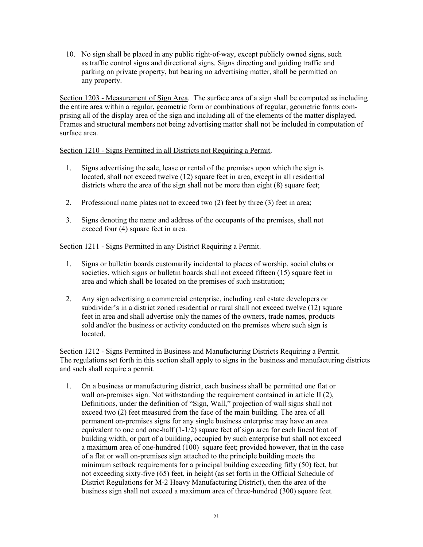10. No sign shall be placed in any public right-of-way, except publicly owned signs, such as traffic control signs and directional signs. Signs directing and guiding traffic and parking on private property, but bearing no advertising matter, shall be permitted on any property.

Section 1203 - Measurement of Sign Area. The surface area of a sign shall be computed as including the entire area within a regular, geometric form or combinations of regular, geometric forms comprising all of the display area of the sign and including all of the elements of the matter displayed. Frames and structural members not being advertising matter shall not be included in computation of surface area.

#### Section 1210 - Signs Permitted in all Districts not Requiring a Permit.

- 1. Signs advertising the sale, lease or rental of the premises upon which the sign is located, shall not exceed twelve (12) square feet in area, except in all residential districts where the area of the sign shall not be more than eight  $(8)$  square feet;
- 2. Professional name plates not to exceed two (2) feet by three (3) feet in area;
- 3. Signs denoting the name and address of the occupants of the premises, shall not exceed four (4) square feet in area.

### Section 1211 - Signs Permitted in any District Requiring a Permit.

- 1. Signs or bulletin boards customarily incidental to places of worship, social clubs or societies, which signs or bulletin boards shall not exceed fifteen (15) square feet in area and which shall be located on the premises of such institution;
- 2. Any sign advertising a commercial enterprise, including real estate developers or subdivider's in a district zoned residential or rural shall not exceed twelve  $(12)$  square feet in area and shall advertise only the names of the owners, trade names, products sold and/or the business or activity conducted on the premises where such sign is located.

Section 1212 - Signs Permitted in Business and Manufacturing Districts Requiring a Permit. The regulations set forth in this section shall apply to signs in the business and manufacturing districts and such shall require a permit.

1. On a business or manufacturing district, each business shall be permitted one flat or wall on-premises sign. Not withstanding the requirement contained in article II (2), Definitions, under the definition of "Sign, Wall," projection of wall signs shall not exceed two (2) feet measured from the face of the main building. The area of all permanent on-premises signs for any single business enterprise may have an area equivalent to one and one-half (1-1/2) square feet of sign area for each lineal foot of building width, or part of a building, occupied by such enterprise but shall not exceed a maximum area of one-hundred (100) square feet; provided however, that in the case of a flat or wall on-premises sign attached to the principle building meets the minimum setback requirements for a principal building exceeding fifty (50) feet, but not exceeding sixty-five (65) feet, in height (as set forth in the Official Schedule of District Regulations for M-2 Heavy Manufacturing District), then the area of the business sign shall not exceed a maximum area of three-hundred (300) square feet.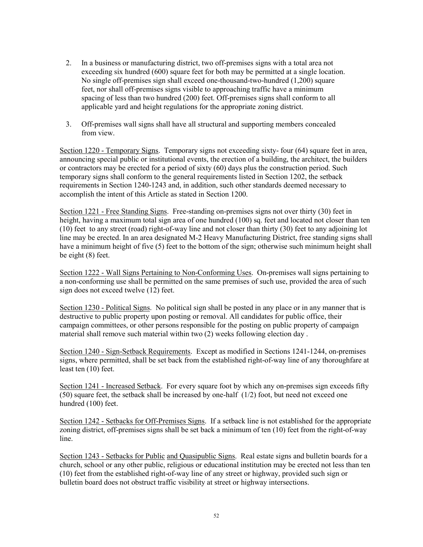- 2. In a business or manufacturing district, two off-premises signs with a total area not exceeding six hundred (600) square feet for both may be permitted at a single location. No single off-premises sign shall exceed one-thousand-two-hundred (1,200) square feet, nor shall off-premises signs visible to approaching traffic have a minimum spacing of less than two hundred (200) feet. Off-premises signs shall conform to all applicable yard and height regulations for the appropriate zoning district.
- 3. Off-premises wall signs shall have all structural and supporting members concealed from view.

Section 1220 - Temporary Signs. Temporary signs not exceeding sixty- four (64) square feet in area, announcing special public or institutional events, the erection of a building, the architect, the builders or contractors may be erected for a period of sixty (60) days plus the construction period. Such temporary signs shall conform to the general requirements listed in Section 1202, the setback requirements in Section 1240-1243 and, in addition, such other standards deemed necessary to accomplish the intent of this Article as stated in Section 1200.

Section 1221 - Free Standing Signs. Free-standing on-premises signs not over thirty (30) feet in height, having a maximum total sign area of one hundred (100) sq. feet and located not closer than ten (10) feet to any street (road) right-of-way line and not closer than thirty (30) feet to any adjoining lot line may be erected. In an area designated M-2 Heavy Manufacturing District, free standing signs shall have a minimum height of five (5) feet to the bottom of the sign; otherwise such minimum height shall be eight (8) feet.

Section 1222 - Wall Signs Pertaining to Non-Conforming Uses. On-premises wall signs pertaining to a non-conforming use shall be permitted on the same premises of such use, provided the area of such sign does not exceed twelve (12) feet.

Section 1230 - Political Signs. No political sign shall be posted in any place or in any manner that is destructive to public property upon posting or removal. All candidates for public office, their campaign committees, or other persons responsible for the posting on public property of campaign material shall remove such material within two (2) weeks following election day .

Section 1240 - Sign-Setback Requirements. Except as modified in Sections 1241-1244, on-premises signs, where permitted, shall be set back from the established right-of-way line of any thoroughfare at least ten (10) feet.

Section 1241 - Increased Setback. For every square foot by which any on-premises sign exceeds fifty (50) square feet, the setback shall be increased by one-half (1/2) foot, but need not exceed one hundred (100) feet.

Section 1242 - Setbacks for Off-Premises Signs. If a setback line is not established for the appropriate zoning district, off-premises signs shall be set back a minimum of ten (10) feet from the right-of-way line.

Section 1243 - Setbacks for Public and Quasipublic Signs. Real estate signs and bulletin boards for a church, school or any other public, religious or educational institution may be erected not less than ten (10) feet from the established right-of-way line of any street or highway, provided such sign or bulletin board does not obstruct traffic visibility at street or highway intersections.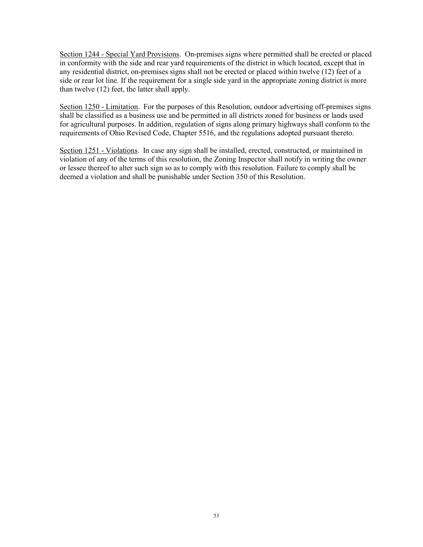Section 1244 - Special Yard Provisions. On-premises signs where permitted shall be erected or placed in conformity with the side and rear yard requirements of the district in which located, except that in any residential district, on-premises signs shall not be erected or placed within twelve (12) feet of a side or rear lot line. If the requirement for a single side yard in the appropriate zoning district is more than twelve (12) feet, the latter shall apply.

Section 1250 - Limitation. For the purposes of this Resolution, outdoor advertising off-premises signs shall be classified as a business use and be permitted in all districts zoned for business or lands used for agricultural purposes. In addition, regulation of signs along primary highways shall conform to the requirements of Ohio Revised Code, Chapter 5516, and the regulations adopted pursuant thereto.

Section 1251 - Violations. In case any sign shall be installed, erected, constructed, or maintained in violation of any of the terms of this resolution, the Zoning Inspector shall notify in writing the owner or lessee thereof to alter such sign so as to comply with this resolution. Failure to comply shall be deemed a violation and shall be punishable under Section 350 of this Resolution.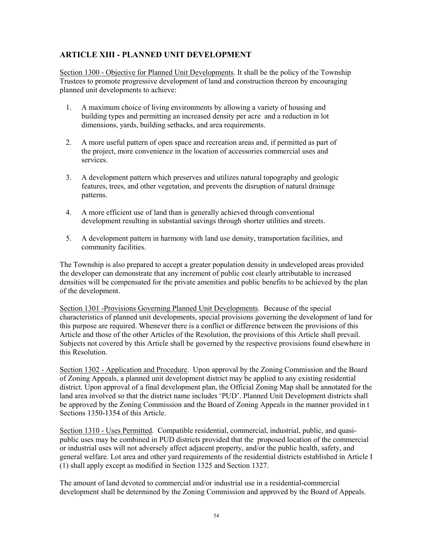## ARTICLE XIII - PLANNED UNIT DEVELOPMENT

Section 1300 - Objective for Planned Unit Developments. It shall be the policy of the Township Trustees to promote progressive development of land and construction thereon by encouraging planned unit developments to achieve:

- 1. A maximum choice of living environments by allowing a variety of housing and building types and permitting an increased density per acre and a reduction in lot dimensions, yards, building setbacks, and area requirements.
- 2. A more useful pattern of open space and recreation areas and, if permitted as part of the project, more convenience in the location of accessories commercial uses and services.
- 3. A development pattern which preserves and utilizes natural topography and geologic features, trees, and other vegetation, and prevents the disruption of natural drainage patterns.
- 4. A more efficient use of land than is generally achieved through conventional development resulting in substantial savings through shorter utilities and streets.
- 5. A development pattern in harmony with land use density, transportation facilities, and community facilities.

The Township is also prepared to accept a greater population density in undeveloped areas provided the developer can demonstrate that any increment of public cost clearly attributable to increased densities will be compensated for the private amenities and public benefits to be achieved by the plan of the development.

Section 1301 -Provisions Governing Planned Unit Developments. Because of the special characteristics of planned unit developments, special provisions governing the development of land for this purpose are required. Whenever there is a conflict or difference between the provisions of this Article and those of the other Articles of the Resolution, the provisions of this Article shall prevail. Subjects not covered by this Article shall be governed by the respective provisions found elsewhere in this Resolution.

Section 1302 - Application and Procedure. Upon approval by the Zoning Commission and the Board of Zoning Appeals, a planned unit development district may be applied to any existing residential district. Upon approval of a final development plan, the Official Zoning Map shall be annotated for the land area involved so that the district name includes 'PUD'. Planned Unit Development districts shall be approved by the Zoning Commission and the Board of Zoning Appeals in the manner provided in t Sections 1350-1354 of this Article.

Section 1310 - Uses Permitted. Compatible residential, commercial, industrial, public, and quasipublic uses may be combined in PUD districts provided that the proposed location of the commercial or industrial uses will not adversely affect adjacent property, and/or the public health, safety, and general welfare. Lot area and other yard requirements of the residential districts established in Article I (1) shall apply except as modified in Section 1325 and Section 1327.

The amount of land devoted to commercial and/or industrial use in a residential-commercial development shall be determined by the Zoning Commission and approved by the Board of Appeals.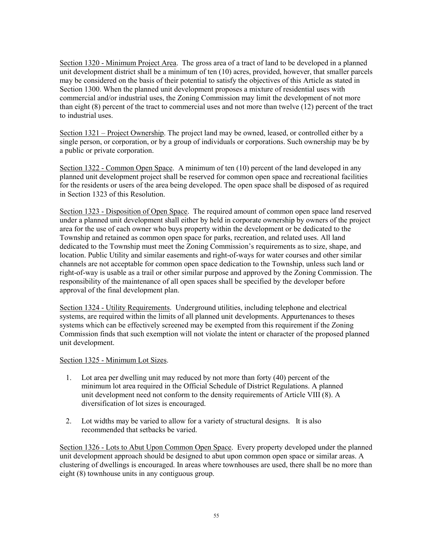Section 1320 - Minimum Project Area. The gross area of a tract of land to be developed in a planned unit development district shall be a minimum of ten (10) acres, provided, however, that smaller parcels may be considered on the basis of their potential to satisfy the objectives of this Article as stated in Section 1300. When the planned unit development proposes a mixture of residential uses with commercial and/or industrial uses, the Zoning Commission may limit the development of not more than eight  $(8)$  percent of the tract to commercial uses and not more than twelve  $(12)$  percent of the tract to industrial uses.

Section 1321 – Project Ownership. The project land may be owned, leased, or controlled either by a single person, or corporation, or by a group of individuals or corporations. Such ownership may be by a public or private corporation.

Section 1322 - Common Open Space. A minimum of ten (10) percent of the land developed in any planned unit development project shall be reserved for common open space and recreational facilities for the residents or users of the area being developed. The open space shall be disposed of as required in Section 1323 of this Resolution.

Section 1323 - Disposition of Open Space. The required amount of common open space land reserved under a planned unit development shall either by held in corporate ownership by owners of the project area for the use of each owner who buys property within the development or be dedicated to the Township and retained as common open space for parks, recreation, and related uses. All land dedicated to the Township must meet the Zoning Commission's requirements as to size, shape, and location. Public Utility and similar easements and right-of-ways for water courses and other similar channels are not acceptable for common open space dedication to the Township, unless such land or right-of-way is usable as a trail or other similar purpose and approved by the Zoning Commission. The responsibility of the maintenance of all open spaces shall be specified by the developer before approval of the final development plan.

Section 1324 - Utility Requirements. Underground utilities, including telephone and electrical systems, are required within the limits of all planned unit developments. Appurtenances to theses systems which can be effectively screened may be exempted from this requirement if the Zoning Commission finds that such exemption will not violate the intent or character of the proposed planned unit development.

#### Section 1325 - Minimum Lot Sizes.

- 1. Lot area per dwelling unit may reduced by not more than forty (40) percent of the minimum lot area required in the Official Schedule of District Regulations. A planned unit development need not conform to the density requirements of Article VIII (8). A diversification of lot sizes is encouraged.
- 2. Lot widths may be varied to allow for a variety of structural designs. It is also recommended that setbacks be varied.

Section 1326 - Lots to Abut Upon Common Open Space. Every property developed under the planned unit development approach should be designed to abut upon common open space or similar areas. A clustering of dwellings is encouraged. In areas where townhouses are used, there shall be no more than eight (8) townhouse units in any contiguous group.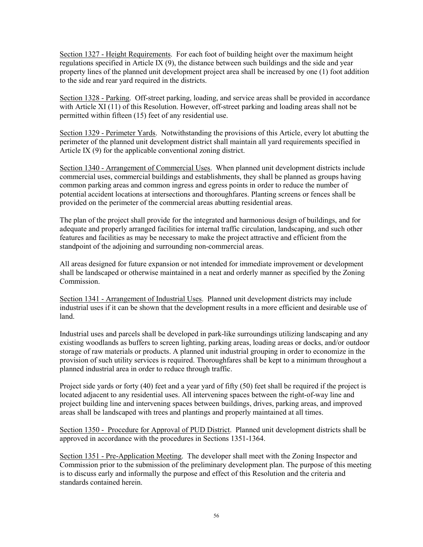Section 1327 - Height Requirements. For each foot of building height over the maximum height regulations specified in Article IX (9), the distance between such buildings and the side and year property lines of the planned unit development project area shall be increased by one (1) foot addition to the side and rear yard required in the districts.

Section 1328 - Parking. Off-street parking, loading, and service areas shall be provided in accordance with Article XI (11) of this Resolution. However, off-street parking and loading areas shall not be permitted within fifteen (15) feet of any residential use.

Section 1329 - Perimeter Yards. Notwithstanding the provisions of this Article, every lot abutting the perimeter of the planned unit development district shall maintain all yard requirements specified in Article IX (9) for the applicable conventional zoning district.

Section 1340 - Arrangement of Commercial Uses. When planned unit development districts include commercial uses, commercial buildings and establishments, they shall be planned as groups having common parking areas and common ingress and egress points in order to reduce the number of potential accident locations at intersections and thoroughfares. Planting screens or fences shall be provided on the perimeter of the commercial areas abutting residential areas.

The plan of the project shall provide for the integrated and harmonious design of buildings, and for adequate and properly arranged facilities for internal traffic circulation, landscaping, and such other features and facilities as may be necessary to make the project attractive and efficient from the standpoint of the adjoining and surrounding non-commercial areas.

All areas designed for future expansion or not intended for immediate improvement or development shall be landscaped or otherwise maintained in a neat and orderly manner as specified by the Zoning Commission.

Section 1341 - Arrangement of Industrial Uses. Planned unit development districts may include industrial uses if it can be shown that the development results in a more efficient and desirable use of land.

Industrial uses and parcels shall be developed in park-like surroundings utilizing landscaping and any existing woodlands as buffers to screen lighting, parking areas, loading areas or docks, and/or outdoor storage of raw materials or products. A planned unit industrial grouping in order to economize in the provision of such utility services is required. Thoroughfares shall be kept to a minimum throughout a planned industrial area in order to reduce through traffic.

Project side yards or forty (40) feet and a year yard of fifty (50) feet shall be required if the project is located adjacent to any residential uses. All intervening spaces between the right-of-way line and project building line and intervening spaces between buildings, drives, parking areas, and improved areas shall be landscaped with trees and plantings and properly maintained at all times.

Section 1350 - Procedure for Approval of PUD District. Planned unit development districts shall be approved in accordance with the procedures in Sections 1351-1364.

Section 1351 - Pre-Application Meeting. The developer shall meet with the Zoning Inspector and Commission prior to the submission of the preliminary development plan. The purpose of this meeting is to discuss early and informally the purpose and effect of this Resolution and the criteria and standards contained herein.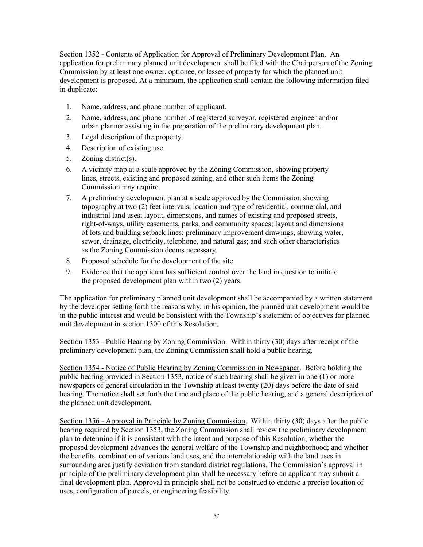Section 1352 - Contents of Application for Approval of Preliminary Development Plan. An application for preliminary planned unit development shall be filed with the Chairperson of the Zoning Commission by at least one owner, optionee, or lessee of property for which the planned unit development is proposed. At a minimum, the application shall contain the following information filed in duplicate:

- 1. Name, address, and phone number of applicant.
- 2. Name, address, and phone number of registered surveyor, registered engineer and/or urban planner assisting in the preparation of the preliminary development plan.
- 3. Legal description of the property.
- 4. Description of existing use.
- 5. Zoning district(s).
- 6. A vicinity map at a scale approved by the Zoning Commission, showing property lines, streets, existing and proposed zoning, and other such items the Zoning Commission may require.
- 7. A preliminary development plan at a scale approved by the Commission showing topography at two (2) feet intervals; location and type of residential, commercial, and industrial land uses; layout, dimensions, and names of existing and proposed streets, right-of-ways, utility easements, parks, and community spaces; layout and dimensions of lots and building setback lines; preliminary improvement drawings, showing water, sewer, drainage, electricity, telephone, and natural gas; and such other characteristics as the Zoning Commission deems necessary.
- 8. Proposed schedule for the development of the site.
- 9. Evidence that the applicant has sufficient control over the land in question to initiate the proposed development plan within two (2) years.

The application for preliminary planned unit development shall be accompanied by a written statement by the developer setting forth the reasons why, in his opinion, the planned unit development would be in the public interest and would be consistent with the Township's statement of objectives for planned unit development in section 1300 of this Resolution.

Section 1353 - Public Hearing by Zoning Commission. Within thirty (30) days after receipt of the preliminary development plan, the Zoning Commission shall hold a public hearing.

Section 1354 - Notice of Public Hearing by Zoning Commission in Newspaper. Before holding the public hearing provided in Section 1353, notice of such hearing shall be given in one (1) or more newspapers of general circulation in the Township at least twenty (20) days before the date of said hearing. The notice shall set forth the time and place of the public hearing, and a general description of the planned unit development.

Section 1356 - Approval in Principle by Zoning Commission. Within thirty (30) days after the public hearing required by Section 1353, the Zoning Commission shall review the preliminary development plan to determine if it is consistent with the intent and purpose of this Resolution, whether the proposed development advances the general welfare of the Township and neighborhood; and whether the benefits, combination of various land uses, and the interrelationship with the land uses in surrounding area justify deviation from standard district regulations. The Commission's approval in principle of the preliminary development plan shall be necessary before an applicant may submit a final development plan. Approval in principle shall not be construed to endorse a precise location of uses, configuration of parcels, or engineering feasibility.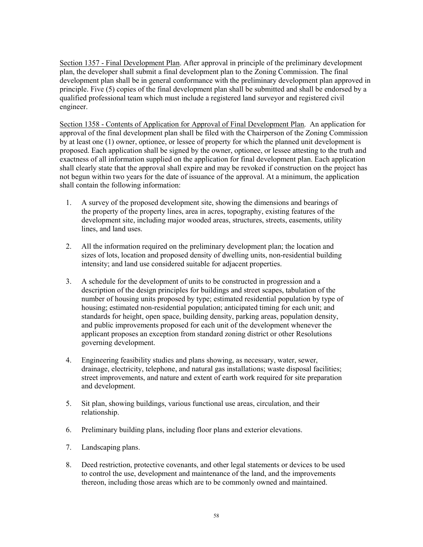Section 1357 - Final Development Plan. After approval in principle of the preliminary development plan, the developer shall submit a final development plan to the Zoning Commission. The final development plan shall be in general conformance with the preliminary development plan approved in principle. Five (5) copies of the final development plan shall be submitted and shall be endorsed by a qualified professional team which must include a registered land surveyor and registered civil engineer.

Section 1358 - Contents of Application for Approval of Final Development Plan. An application for approval of the final development plan shall be filed with the Chairperson of the Zoning Commission by at least one (1) owner, optionee, or lessee of property for which the planned unit development is proposed. Each application shall be signed by the owner, optionee, or lessee attesting to the truth and exactness of all information supplied on the application for final development plan. Each application shall clearly state that the approval shall expire and may be revoked if construction on the project has not begun within two years for the date of issuance of the approval. At a minimum, the application shall contain the following information:

- 1. A survey of the proposed development site, showing the dimensions and bearings of the property of the property lines, area in acres, topography, existing features of the development site, including major wooded areas, structures, streets, easements, utility lines, and land uses.
- 2. All the information required on the preliminary development plan; the location and sizes of lots, location and proposed density of dwelling units, non-residential building intensity; and land use considered suitable for adjacent properties.
- 3. A schedule for the development of units to be constructed in progression and a description of the design principles for buildings and street scapes, tabulation of the number of housing units proposed by type; estimated residential population by type of housing; estimated non-residential population; anticipated timing for each unit; and standards for height, open space, building density, parking areas, population density, and public improvements proposed for each unit of the development whenever the applicant proposes an exception from standard zoning district or other Resolutions governing development.
- 4. Engineering feasibility studies and plans showing, as necessary, water, sewer, drainage, electricity, telephone, and natural gas installations; waste disposal facilities; street improvements, and nature and extent of earth work required for site preparation and development.
- 5. Sit plan, showing buildings, various functional use areas, circulation, and their relationship.
- 6. Preliminary building plans, including floor plans and exterior elevations.
- 7. Landscaping plans.
- 8. Deed restriction, protective covenants, and other legal statements or devices to be used to control the use, development and maintenance of the land, and the improvements thereon, including those areas which are to be commonly owned and maintained.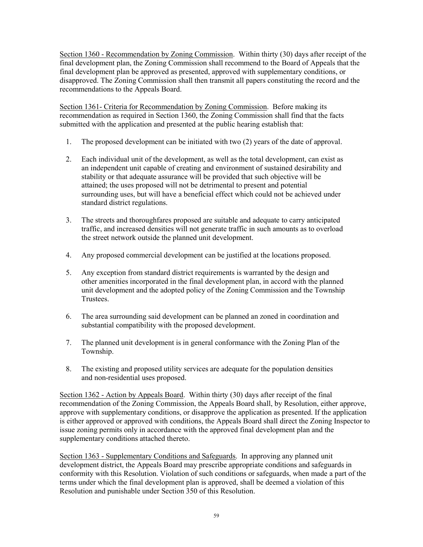Section 1360 - Recommendation by Zoning Commission. Within thirty (30) days after receipt of the final development plan, the Zoning Commission shall recommend to the Board of Appeals that the final development plan be approved as presented, approved with supplementary conditions, or disapproved. The Zoning Commission shall then transmit all papers constituting the record and the recommendations to the Appeals Board.

Section 1361- Criteria for Recommendation by Zoning Commission. Before making its recommendation as required in Section 1360, the Zoning Commission shall find that the facts submitted with the application and presented at the public hearing establish that:

- 1. The proposed development can be initiated with two (2) years of the date of approval.
- 2. Each individual unit of the development, as well as the total development, can exist as an independent unit capable of creating and environment of sustained desirability and stability or that adequate assurance will be provided that such objective will be attained; the uses proposed will not be detrimental to present and potential surrounding uses, but will have a beneficial effect which could not be achieved under standard district regulations.
- 3. The streets and thoroughfares proposed are suitable and adequate to carry anticipated traffic, and increased densities will not generate traffic in such amounts as to overload the street network outside the planned unit development.
- 4. Any proposed commercial development can be justified at the locations proposed.
- 5. Any exception from standard district requirements is warranted by the design and other amenities incorporated in the final development plan, in accord with the planned unit development and the adopted policy of the Zoning Commission and the Township Trustees.
- 6. The area surrounding said development can be planned an zoned in coordination and substantial compatibility with the proposed development.
- 7. The planned unit development is in general conformance with the Zoning Plan of the Township.
- 8. The existing and proposed utility services are adequate for the population densities and non-residential uses proposed.

Section 1362 - Action by Appeals Board. Within thirty (30) days after receipt of the final recommendation of the Zoning Commission, the Appeals Board shall, by Resolution, either approve, approve with supplementary conditions, or disapprove the application as presented. If the application is either approved or approved with conditions, the Appeals Board shall direct the Zoning Inspector to issue zoning permits only in accordance with the approved final development plan and the supplementary conditions attached thereto.

Section 1363 - Supplementary Conditions and Safeguards. In approving any planned unit development district, the Appeals Board may prescribe appropriate conditions and safeguards in conformity with this Resolution. Violation of such conditions or safeguards, when made a part of the terms under which the final development plan is approved, shall be deemed a violation of this Resolution and punishable under Section 350 of this Resolution.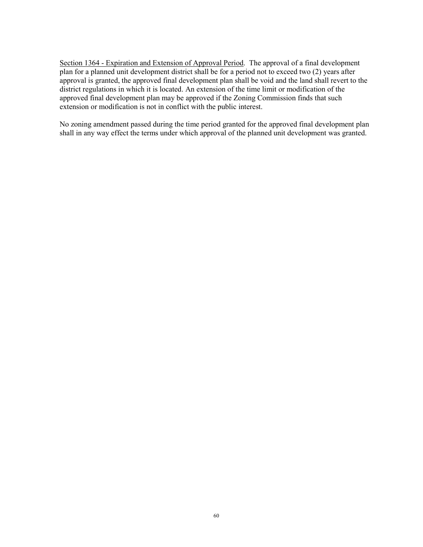Section 1364 - Expiration and Extension of Approval Period. The approval of a final development plan for a planned unit development district shall be for a period not to exceed two (2) years after approval is granted, the approved final development plan shall be void and the land shall revert to the district regulations in which it is located. An extension of the time limit or modification of the approved final development plan may be approved if the Zoning Commission finds that such extension or modification is not in conflict with the public interest.

No zoning amendment passed during the time period granted for the approved final development plan shall in any way effect the terms under which approval of the planned unit development was granted.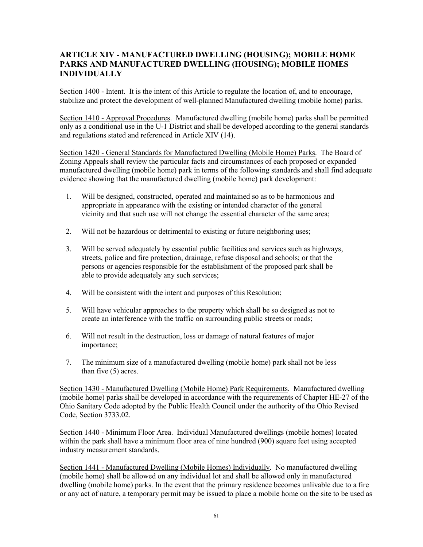## ARTICLE XIV - MANUFACTURED DWELLING (HOUSING); MOBILE HOME PARKS AND MANUFACTURED DWELLING (HOUSING); MOBILE HOMES INDIVIDUALLY

Section 1400 - Intent. It is the intent of this Article to regulate the location of, and to encourage, stabilize and protect the development of well-planned Manufactured dwelling (mobile home) parks.

Section 1410 - Approval Procedures. Manufactured dwelling (mobile home) parks shall be permitted only as a conditional use in the U-1 District and shall be developed according to the general standards and regulations stated and referenced in Article XIV (14).

Section 1420 - General Standards for Manufactured Dwelling (Mobile Home) Parks. The Board of Zoning Appeals shall review the particular facts and circumstances of each proposed or expanded manufactured dwelling (mobile home) park in terms of the following standards and shall find adequate evidence showing that the manufactured dwelling (mobile home) park development:

- 1. Will be designed, constructed, operated and maintained so as to be harmonious and appropriate in appearance with the existing or intended character of the general vicinity and that such use will not change the essential character of the same area;
- 2. Will not be hazardous or detrimental to existing or future neighboring uses;
- 3. Will be served adequately by essential public facilities and services such as highways, streets, police and fire protection, drainage, refuse disposal and schools; or that the persons or agencies responsible for the establishment of the proposed park shall be able to provide adequately any such services;
- 4. Will be consistent with the intent and purposes of this Resolution;
- 5. Will have vehicular approaches to the property which shall be so designed as not to create an interference with the traffic on surrounding public streets or roads;
- 6. Will not result in the destruction, loss or damage of natural features of major importance;
- 7. The minimum size of a manufactured dwelling (mobile home) park shall not be less than five (5) acres.

Section 1430 - Manufactured Dwelling (Mobile Home) Park Requirements. Manufactured dwelling (mobile home) parks shall be developed in accordance with the requirements of Chapter HE-27 of the Ohio Sanitary Code adopted by the Public Health Council under the authority of the Ohio Revised Code, Section 3733.02.

Section 1440 - Minimum Floor Area. Individual Manufactured dwellings (mobile homes) located within the park shall have a minimum floor area of nine hundred (900) square feet using accepted industry measurement standards.

Section 1441 - Manufactured Dwelling (Mobile Homes) Individually. No manufactured dwelling (mobile home) shall be allowed on any individual lot and shall be allowed only in manufactured dwelling (mobile home) parks. In the event that the primary residence becomes unlivable due to a fire or any act of nature, a temporary permit may be issued to place a mobile home on the site to be used as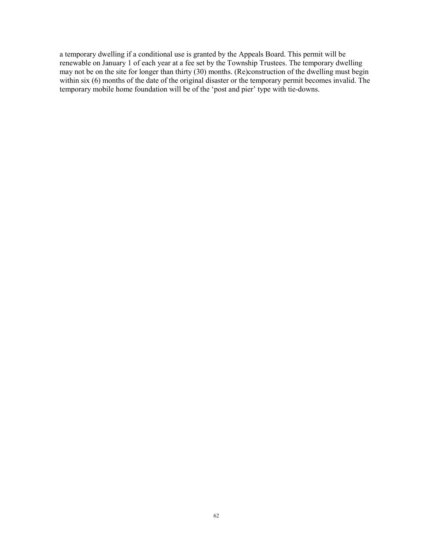a temporary dwelling if a conditional use is granted by the Appeals Board. This permit will be renewable on January 1 of each year at a fee set by the Township Trustees. The temporary dwelling may not be on the site for longer than thirty (30) months. (Re)construction of the dwelling must begin within six (6) months of the date of the original disaster or the temporary permit becomes invalid. The temporary mobile home foundation will be of the 'post and pier' type with tie-downs.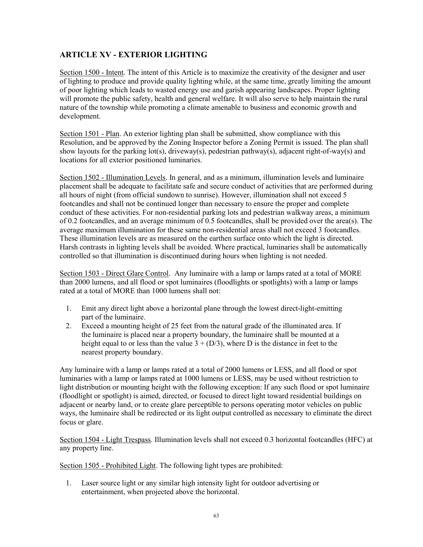# ARTICLE XV - EXTERIOR LIGHTING

Section 1500 - Intent. The intent of this Article is to maximize the creativity of the designer and user of lighting to produce and provide quality lighting while, at the same time, greatly limiting the amount of poor lighting which leads to wasted energy use and garish appearing landscapes. Proper lighting will promote the public safety, health and general welfare. It will also serve to help maintain the rural nature of the township while promoting a climate amenable to business and economic growth and development.

Section 1501 - Plan. An exterior lighting plan shall be submitted, show compliance with this Resolution, and be approved by the Zoning Inspector before a Zoning Permit is issued. The plan shall show layouts for the parking lot(s), driveway(s), pedestrian pathway(s), adjacent right-of-way(s) and locations for all exterior positioned luminaries.

Section 1502 - Illumination Levels. In general, and as a minimum, illumination levels and luminaire placement shall be adequate to facilitate safe and secure conduct of activities that are performed during all hours of night (from official sundown to sunrise). However, illumination shall not exceed 5 footcandles and shall not be continued longer than necessary to ensure the proper and complete conduct of these activities. For non-residential parking lots and pedestrian walkway areas, a minimum of 0.2 footcandles, and an average minimum of 0.5 footcandles, shall be provided over the area(s). The average maximum illumination for these same non-residential areas shall not exceed 3 footcandles. These illumination levels are as measured on the earthen surface onto which the light is directed. Harsh contrasts in lighting levels shall be avoided. Where practical, luminaries shall be automatically controlled so that illumination is discontinued during hours when lighting is not needed.

Section 1503 - Direct Glare Control. Any luminaire with a lamp or lamps rated at a total of MORE than 2000 lumens, and all flood or spot luminaires (floodlights or spotlights) with a lamp or lamps rated at a total of MORE than 1000 lumens shall not:

- 1. Emit any direct light above a horizontal plane through the lowest direct-light-emitting part of the luminaire.
- 2. Exceed a mounting height of 25 feet from the natural grade of the illuminated area. If the luminaire is placed near a property boundary, the luminaire shall be mounted at a height equal to or less than the value  $3 + (D/3)$ , where D is the distance in feet to the nearest property boundary.

Any luminaire with a lamp or lamps rated at a total of 2000 lumens or LESS, and all flood or spot luminaries with a lamp or lamps rated at 1000 lumens or LESS, may be used without restriction to light distribution or mounting height with the following exception: If any such flood or spot luminaire (floodlight or spotlight) is aimed, directed, or focused to direct light toward residential buildings on adjacent or nearby land, or to create glare perceptible to persons operating motor vehicles on public ways, the luminaire shall be redirected or its light output controlled as necessary to eliminate the direct focus or glare.

Section 1504 - Light Trespass. Illumination levels shall not exceed 0.3 horizontal footcandles (HFC) at any property line.

Section 1505 - Prohibited Light. The following light types are prohibited:

1. Laser source light or any similar high intensity light for outdoor advertising or entertainment, when projected above the horizontal.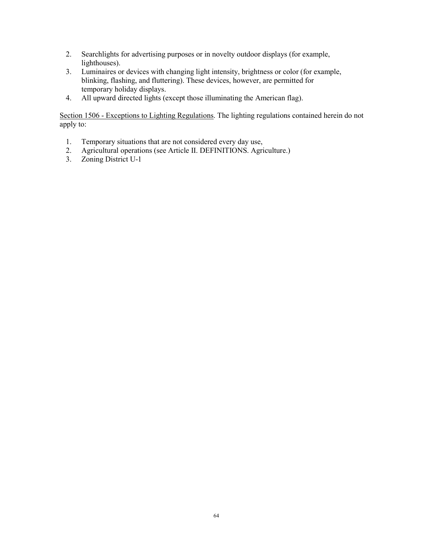- 2. Searchlights for advertising purposes or in novelty outdoor displays (for example, lighthouses).
- 3. Luminaires or devices with changing light intensity, brightness or color (for example, blinking, flashing, and fluttering). These devices, however, are permitted for temporary holiday displays.
- 4. All upward directed lights (except those illuminating the American flag).

Section 1506 - Exceptions to Lighting Regulations. The lighting regulations contained herein do not apply to:

- 1. Temporary situations that are not considered every day use,
- 2. Agricultural operations (see Article II. DEFINITIONS. Agriculture.)
- 3. Zoning District U-1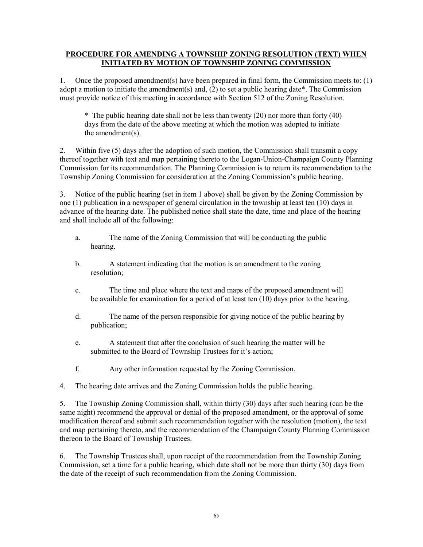### PROCEDURE FOR AMENDING A TOWNSHIP ZONING RESOLUTION (TEXT) WHEN INITIATED BY MOTION OF TOWNSHIP ZONING COMMISSION

1. Once the proposed amendment(s) have been prepared in final form, the Commission meets to: (1) adopt a motion to initiate the amendment(s) and,  $(2)$  to set a public hearing date\*. The Commission must provide notice of this meeting in accordance with Section 512 of the Zoning Resolution.

\* The public hearing date shall not be less than twenty (20) nor more than forty (40) days from the date of the above meeting at which the motion was adopted to initiate the amendment(s).

2. Within five (5) days after the adoption of such motion, the Commission shall transmit a copy thereof together with text and map pertaining thereto to the Logan-Union-Champaign County Planning Commission for its recommendation. The Planning Commission is to return its recommendation to the Township Zoning Commission for consideration at the Zoning Commission's public hearing.

3. Notice of the public hearing (set in item 1 above) shall be given by the Zoning Commission by one (1) publication in a newspaper of general circulation in the township at least ten (10) days in advance of the hearing date. The published notice shall state the date, time and place of the hearing and shall include all of the following:

- a. The name of the Zoning Commission that will be conducting the public hearing.
- b. A statement indicating that the motion is an amendment to the zoning resolution;
- c. The time and place where the text and maps of the proposed amendment will be available for examination for a period of at least ten (10) days prior to the hearing.
- d. The name of the person responsible for giving notice of the public hearing by publication;
- e. A statement that after the conclusion of such hearing the matter will be submitted to the Board of Township Trustees for it's action;
- f. Any other information requested by the Zoning Commission.
- 4. The hearing date arrives and the Zoning Commission holds the public hearing.

5. The Township Zoning Commission shall, within thirty (30) days after such hearing (can be the same night) recommend the approval or denial of the proposed amendment, or the approval of some modification thereof and submit such recommendation together with the resolution (motion), the text and map pertaining thereto, and the recommendation of the Champaign County Planning Commission thereon to the Board of Township Trustees.

6. The Township Trustees shall, upon receipt of the recommendation from the Township Zoning Commission, set a time for a public hearing, which date shall not be more than thirty (30) days from the date of the receipt of such recommendation from the Zoning Commission.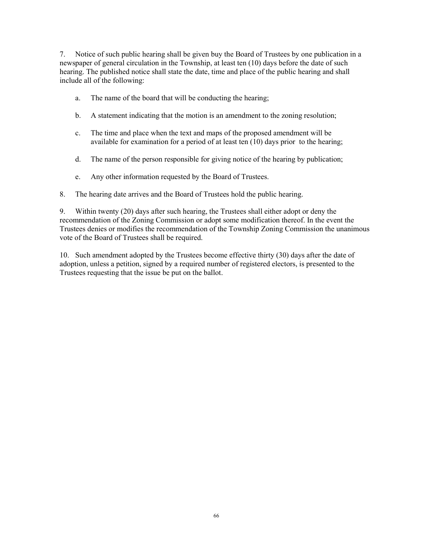7. Notice of such public hearing shall be given buy the Board of Trustees by one publication in a newspaper of general circulation in the Township, at least ten (10) days before the date of such hearing. The published notice shall state the date, time and place of the public hearing and shall include all of the following:

- a. The name of the board that will be conducting the hearing;
- b. A statement indicating that the motion is an amendment to the zoning resolution;
- c. The time and place when the text and maps of the proposed amendment will be available for examination for a period of at least ten  $(10)$  days prior to the hearing;
- d. The name of the person responsible for giving notice of the hearing by publication;
- e. Any other information requested by the Board of Trustees.
- 8. The hearing date arrives and the Board of Trustees hold the public hearing.

9. Within twenty (20) days after such hearing, the Trustees shall either adopt or deny the recommendation of the Zoning Commission or adopt some modification thereof. In the event the Trustees denies or modifies the recommendation of the Township Zoning Commission the unanimous vote of the Board of Trustees shall be required.

10. Such amendment adopted by the Trustees become effective thirty (30) days after the date of adoption, unless a petition, signed by a required number of registered electors, is presented to the Trustees requesting that the issue be put on the ballot.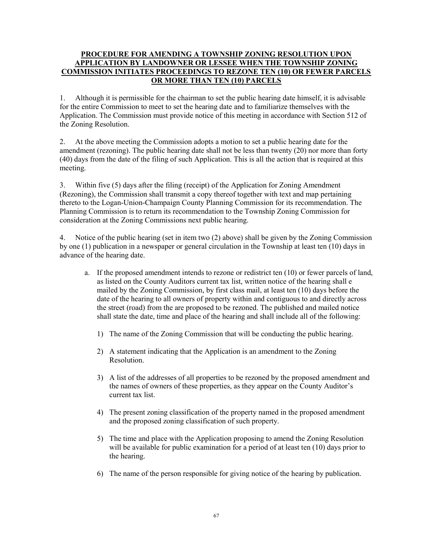## PROCEDURE FOR AMENDING A TOWNSHIP ZONING RESOLUTION UPON APPLICATION BY LANDOWNER OR LESSEE WHEN THE TOWNSHIP ZONING COMMISSION INITIATES PROCEEDINGS TO REZONE TEN (10) OR FEWER PARCELS OR MORE THAN TEN (10) PARCELS

1. Although it is permissible for the chairman to set the public hearing date himself, it is advisable for the entire Commission to meet to set the hearing date and to familiarize themselves with the Application. The Commission must provide notice of this meeting in accordance with Section 512 of the Zoning Resolution.

2. At the above meeting the Commission adopts a motion to set a public hearing date for the amendment (rezoning). The public hearing date shall not be less than twenty (20) nor more than forty (40) days from the date of the filing of such Application. This is all the action that is required at this meeting.

3. Within five (5) days after the filing (receipt) of the Application for Zoning Amendment (Rezoning), the Commission shall transmit a copy thereof together with text and map pertaining thereto to the Logan-Union-Champaign County Planning Commission for its recommendation. The Planning Commission is to return its recommendation to the Township Zoning Commission for consideration at the Zoning Commissions next public hearing.

4. Notice of the public hearing (set in item two (2) above) shall be given by the Zoning Commission by one (1) publication in a newspaper or general circulation in the Township at least ten (10) days in advance of the hearing date.

- a. If the proposed amendment intends to rezone or redistrict ten (10) or fewer parcels of land, as listed on the County Auditors current tax list, written notice of the hearing shall e mailed by the Zoning Commission, by first class mail, at least ten (10) days before the date of the hearing to all owners of property within and contiguous to and directly across the street (road) from the are proposed to be rezoned. The published and mailed notice shall state the date, time and place of the hearing and shall include all of the following:
	- 1) The name of the Zoning Commission that will be conducting the public hearing.
	- 2) A statement indicating that the Application is an amendment to the Zoning Resolution.
	- 3) A list of the addresses of all properties to be rezoned by the proposed amendment and the names of owners of these properties, as they appear on the County Auditor's current tax list.
	- 4) The present zoning classification of the property named in the proposed amendment and the proposed zoning classification of such property.
	- 5) The time and place with the Application proposing to amend the Zoning Resolution will be available for public examination for a period of at least ten (10) days prior to the hearing.
	- 6) The name of the person responsible for giving notice of the hearing by publication.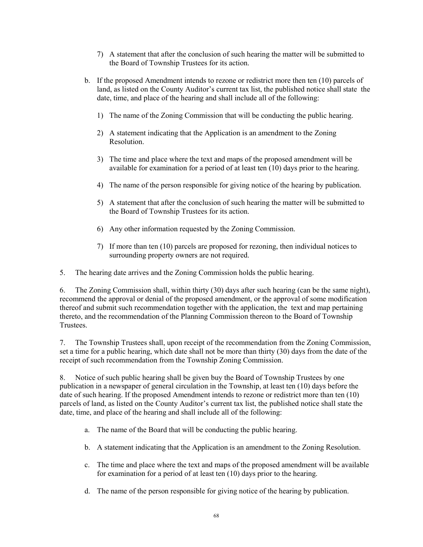- 7) A statement that after the conclusion of such hearing the matter will be submitted to the Board of Township Trustees for its action.
- b. If the proposed Amendment intends to rezone or redistrict more then ten (10) parcels of land, as listed on the County Auditor's current tax list, the published notice shall state the date, time, and place of the hearing and shall include all of the following:
	- 1) The name of the Zoning Commission that will be conducting the public hearing.
	- 2) A statement indicating that the Application is an amendment to the Zoning Resolution.
	- 3) The time and place where the text and maps of the proposed amendment will be available for examination for a period of at least ten (10) days prior to the hearing.
	- 4) The name of the person responsible for giving notice of the hearing by publication.
	- 5) A statement that after the conclusion of such hearing the matter will be submitted to the Board of Township Trustees for its action.
	- 6) Any other information requested by the Zoning Commission.
	- 7) If more than ten (10) parcels are proposed for rezoning, then individual notices to surrounding property owners are not required.
- 5. The hearing date arrives and the Zoning Commission holds the public hearing.

6. The Zoning Commission shall, within thirty (30) days after such hearing (can be the same night), recommend the approval or denial of the proposed amendment, or the approval of some modification thereof and submit such recommendation together with the application, the text and map pertaining thereto, and the recommendation of the Planning Commission thereon to the Board of Township Trustees.

7. The Township Trustees shall, upon receipt of the recommendation from the Zoning Commission, set a time for a public hearing, which date shall not be more than thirty (30) days from the date of the receipt of such recommendation from the Township Zoning Commission.

8. Notice of such public hearing shall be given buy the Board of Township Trustees by one publication in a newspaper of general circulation in the Township, at least ten (10) days before the date of such hearing. If the proposed Amendment intends to rezone or redistrict more than ten (10) parcels of land, as listed on the County Auditor's current tax list, the published notice shall state the date, time, and place of the hearing and shall include all of the following:

- a. The name of the Board that will be conducting the public hearing.
- b. A statement indicating that the Application is an amendment to the Zoning Resolution.
- c. The time and place where the text and maps of the proposed amendment will be available for examination for a period of at least ten (10) days prior to the hearing.
- d. The name of the person responsible for giving notice of the hearing by publication.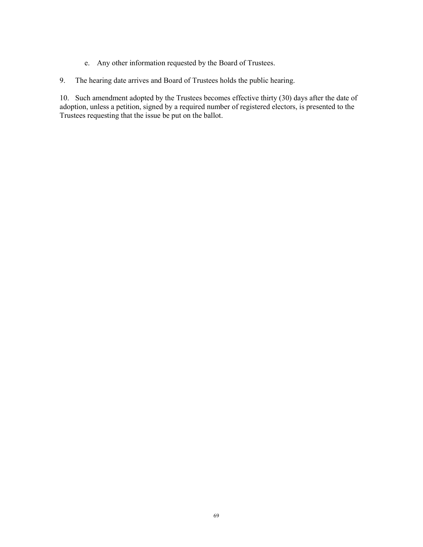- e. Any other information requested by the Board of Trustees.
- 9. The hearing date arrives and Board of Trustees holds the public hearing.

10. Such amendment adopted by the Trustees becomes effective thirty (30) days after the date of adoption, unless a petition, signed by a required number of registered electors, is presented to the Trustees requesting that the issue be put on the ballot.